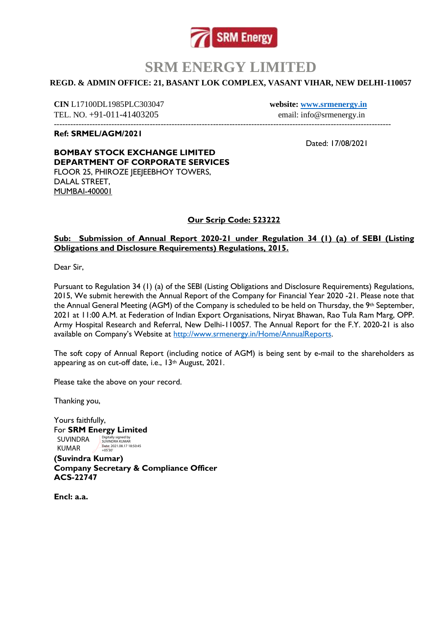

## **SRM ENERGY LIMITED**

## **REGD. & ADMIN OFFICE: 21, BASANT LOK COMPLEX, VASANT VIHAR, NEW DELHI-110057**

**CIN** L17100DL1985PLC303047 **website: [www.srmenergy.in](http://www.srmenergy.in/)** TEL. NO. +91-011-41403205 email: info@srmenergy.in ---------------------------------------------------------------------------------------------------------------------------

### **Ref: SRMEL/AGM/2021**

Dated: 17/08/2021

## **BOMBAY STOCK EXCHANGE LIMITED DEPARTMENT OF CORPORATE SERVICES** FLOOR 25, PHIROZE JEEJEEBHOY TOWERS, DALAL STREET, MUMBAI-400001

## **Our Scrip Code: 523222**

## **Sub: Submission of Annual Report 2020-21 under Regulation 34 (1) (a) of SEBI (Listing Obligations and Disclosure Requirements) Regulations, 2015.**

Dear Sir,

Pursuant to Regulation 34 (1) (a) of the SEBI (Listing Obligations and Disclosure Requirements) Regulations, 2015, We submit herewith the Annual Report of the Company for Financial Year 2020 -21. Please note that the Annual General Meeting (AGM) of the Company is scheduled to be held on Thursday, the 9th September, 2021 at 11:00 A.M. at Federation of Indian Export Organisations, Niryat Bhawan, Rao Tula Ram Marg, OPP. Army Hospital Research and Referral, New Delhi-110057. The Annual Report for the F.Y. 2020-21 is also available on Company's Website at [http://www.srmenergy.in/Home/AnnualReports.](http://www.srmenergy.in/Home/AnnualReports)

The soft copy of Annual Report (including notice of AGM) is being sent by e-mail to the shareholders as appearing as on cut-off date, i.e., 13<sup>th</sup> August, 2021.

Please take the above on your record.

Thanking you,

Yours faithfully, For **SRM Energy Limited** SUVINDRA SUVINDRA KUMAR KUMAR Date: 2021.08.17 18:50:45 +05'30'

**(Suvindra Kumar) Company Secretary & Compliance Officer ACS-22747**

**Encl: a.a.**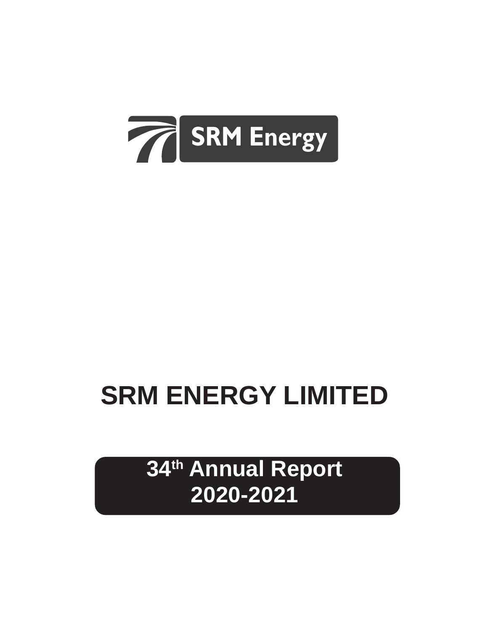

# **SRM ENERGY LIMITED**

**34th Annual Report 2020-2021**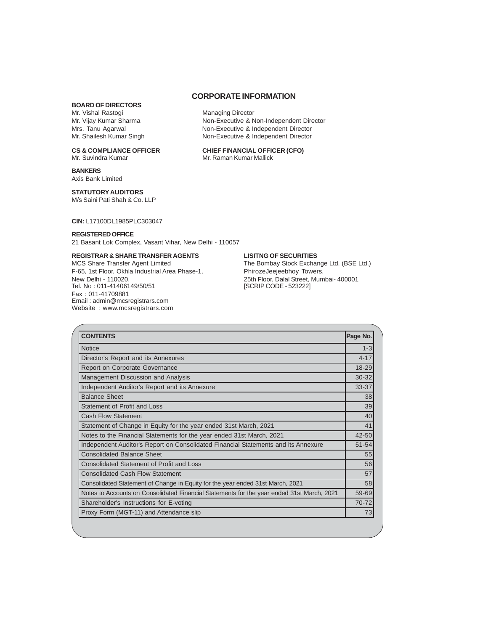#### **BOARD OF DIRECTORS**

Mr. Vishal Rastogi **Managing Director** Managing Director

**BANKERS**

Axis Bank Limited

**STATUTORY AUDITORS** M/s Saini Pati Shah & Co. LLP

**CIN:** L17100DL1985PLC303047

#### **REGISTERED OFFICE**

21 Basant Lok Complex, Vasant Vihar, New Delhi - 110057

#### **REGISTRAR & SHARE TRANSFER AGENTS LISITNG OF SECURITIES**

MCS Share Transfer Agent Limited The Bombay Stock Exchange Ltd. (BSE Ltd.) F-65, 1st Floor, Okhla Industrial Area Phase-1, PhirozeJeejeebhoy Towers, New Delhi - 110020. Tel. No: 011-41406149/50/51 Fax : 011-41709881 Email : admin@mcsregistrars.com Website : www.mcsregistrars.com

### **CORPORATE INFORMATION**

Mr. Vijay Kumar Sharma Non-Executive & Non-Independent Director Mrs. Tanu Agarwal **Non-Executive & Independent Director**<br>Mr. Shailesh Kumar Singh **Non-Executive & Independent Director** Non-Executive & Independent Director

#### **CS & COMPLIANCE OFFICER CHIEF FINANCIAL OFFICER (CFO)**<br>Mr. Suvindra Kumar **CHIEF FINANCIAL Mr. Raman Kumar Mallick** Mr. Raman Kumar Mallick

25th Floor, Dalal Street, Mumbai- 400001<br>[SCRIP CODE - 523222]

| <b>CONTENTS</b>                                                                            | Page No.  |
|--------------------------------------------------------------------------------------------|-----------|
| <b>Notice</b>                                                                              | $1 - 3$   |
| Director's Report and its Annexures                                                        | $4 - 17$  |
| Report on Corporate Governance                                                             | $18 - 29$ |
| Management Discussion and Analysis                                                         | $30 - 32$ |
| Independent Auditor's Report and its Annexure                                              | $33 - 37$ |
| <b>Balance Sheet</b>                                                                       | 38        |
| Statement of Profit and Loss                                                               | 39        |
| <b>Cash Flow Statement</b>                                                                 | 40        |
| Statement of Change in Equity for the year ended 31st March, 2021                          | 41        |
| Notes to the Financial Statements for the year ended 31st March, 2021                      | $42 - 50$ |
| Independent Auditor's Report on Consolidated Financial Statements and its Annexure         | $51 - 54$ |
| <b>Consolidated Balance Sheet</b>                                                          | 55        |
| Consolidated Statement of Profit and Loss                                                  | 56        |
| <b>Consolidated Cash Flow Statement</b>                                                    | 57        |
| Consolidated Statement of Change in Equity for the year ended 31st March, 2021             | 58        |
| Notes to Accounts on Consolidated Financial Statements for the year ended 31st March, 2021 | $59 - 69$ |
| Shareholder's Instructions for E-voting                                                    | 70-72     |
| Proxy Form (MGT-11) and Attendance slip                                                    | 73        |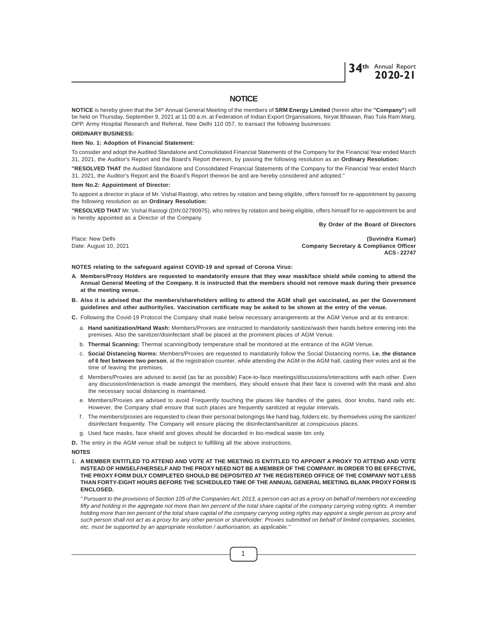#### **NOTICE**

**NOTICE** is hereby given that the 34th Annual General Meeting of the members of **SRM Energy Limited** (herein after the **"Company"**) will be held on Thursday, September 9, 2021 at 11:00 a.m. at Federation of Indian Export Organisations, Niryat Bhawan, Rao Tula Ram Marg, OPP. Army Hospital Research and Referral, New Delhi 110 057, to transact the following businesses:

#### **ORDINARY BUSINESS:**

#### **Item No. 1: Adoption of Financial Statement:**

To consider and adopt the Audited Standalone and Consolidated Financial Statements of the Company for the Financial Year ended March 31, 2021, the Auditor's Report and the Board's Report thereon, by passing the following resolution as an **Ordinary Resolution:**

**"RESOLVED THAT** the Audited Standalone and Consolidated Financial Statements of the Company for the Financial Year ended March 31, 2021, the Auditor's Report and the Board's Report thereon be and are hereby considered and adopted."

#### **Item No.2: Appointment of Director:**

To appoint a director in place of Mr. Vishal Rastogi, who retires by rotation and being eligible, offers himself for re-appointment by passing the following resolution as an **Ordinary Resolution:**

**"RESOLVED THAT** Mr. Vishal Rastogi (DIN:02780975), who retires by rotation and being eligible, offers himself for re-appointment be and is hereby appointed as a Director of the Company.

**By Order of the Board of Directors**

Place: New Delhi **(Suvindra Kumar)** Date: August 10, 2021 **Company Secretary & Compliance Officer ACS - 22747**

**NOTES relating to the safeguard against COVID-19 and spread of Corona Virus:**

- **A. Members/Proxy Holders are requested to mandatorily ensure that they wear mask/face shield while coming to attend the Annual General Meeting of the Company. It is instructed that the members should not remove mask during their presence at the meeting venue.**
- **B. Also it is advised that the members/shareholders willing to attend the AGM shall get vaccinated, as per the Government guidelines and other authority/ies. Vaccination certificate may be asked to be shown at the entry of the venue.**

**C.** Following the Covid-19 Protocol the Company shall make below necessary arrangements at the AGM Venue and at its entrance:

- a. **Hand sanitization/Hand Wash:** Members/Proxies are instructed to mandatorily sanitize/wash their hands before entering into the premises. Also the sanitizer/disinfectant shall be placed at the prominent places of AGM Venue.
- b. **Thermal Scanning:** Thermal scanning/body temperature shall be monitored at the entrance of the AGM Venue.
- c. **Social Distancing Norms:** Members/Proxies are requested to mandatorily follow the Social Distancing norms, **i.e. the distance of 6 feet between two person**, at the registration counter, while attending the AGM in the AGM hall, casting their votes and at the time of leaving the premises.
- d. Members/Proxies are advised to avoid (as far as possible) Face-to-face meetings/discussions/interactions with each other. Even any discussion/interaction is made amongst the members, they should ensure that their face is covered with the mask and also the necessary social distancing is maintained.
- e. Members/Proxies are advised to avoid Frequently touching the places like handles of the gates, door knobs, hand rails etc. However, the Company shall ensure that such places are frequently sanitized at regular intervals.
- f . The members/proxies are requested to clean their personal belongings like hand bag, folders etc. by themselves using the sanitizer/ disinfectant frequently. The Company will ensure placing the disinfectant/sanitizer at conspicuous places.
- g. Used face masks, face shield and gloves should be discarded in bio-medical waste bin only.
- **D.** The entry in the AGM venue shall be subject to fulfilling all the above instructions.

**NOTES**

1. **A MEMBER ENTITLED TO ATTEND AND VOTE AT THE MEETING IS ENTITLED TO APPOINT A PROXY TO ATTEND AND VOTE INSTEAD OF HIMSELF/HERSELF AND THE PROXY NEED NOT BE A MEMBER OF THE COMPANY. IN ORDER TO BE EFFECTIVE, THE PROXY FORM DULY COMPLETED SHOULD BE DEPOSITED AT THE REGISTERED OFFICE OF THE COMPANY NOT LESS THAN FORTY-EIGHT HOURS BEFORE THE SCHEDULED TIME OF THE ANNUAL GENERAL MEETING. BLANK PROXY FORM IS ENCLOSED.**

*" Pursuant to the provisions of Section 105 of the Companies Act, 2013, a person can act as a proxy on behalf of members not exceeding fifty and holding in the aggregate not more than ten percent of the total share capital of the company carrying voting rights. A member holding more than ten percent of the total share capital of the company carrying voting rights may appoint a single person as proxy and such person shall not act as a proxy for any other person or shareholder. Proxies submitted on behalf of limited companies, societies, etc. must be supported by an appropriate resolution / authorisation, as applicable."*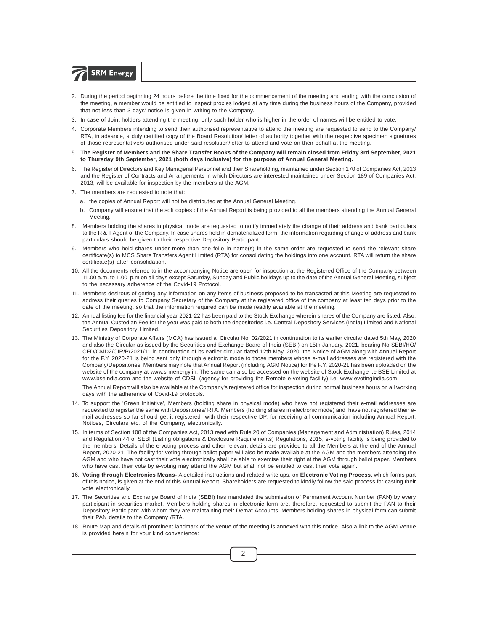## **SRM Energy**

- 2. During the period beginning 24 hours before the time fixed for the commencement of the meeting and ending with the conclusion of the meeting, a member would be entitled to inspect proxies lodged at any time during the business hours of the Company, provided that not less than 3 days' notice is given in writing to the Company.
- 3. In case of Joint holders attending the meeting, only such holder who is higher in the order of names will be entitled to vote.
- 4. Corporate Members intending to send their authorised representative to attend the meeting are requested to send to the Company/ RTA, in advance, a duly certified copy of the Board Resolution/ letter of authority together with the respective specimen signatures of those representative/s authorised under said resolution/letter to attend and vote on their behalf at the meeting.
- 5. **The Register of Members and the Share Transfer Books of the Company will remain closed from Friday 3rd September, 2021 to Thursday 9th September, 2021 (both days inclusive) for the purpose of Annual General Meeting.**
- 6. The Register of Directors and Key Managerial Personnel and their Shareholding, maintained under Section 170 of Companies Act, 2013 and the Register of Contracts and Arrangements in which Directors are interested maintained under Section 189 of Companies Act, 2013, will be available for inspection by the members at the AGM.
- 7. The members are requested to note that:
	- a. the copies of Annual Report will not be distributed at the Annual General Meeting.
	- b. Company will ensure that the soft copies of the Annual Report is being provided to all the members attending the Annual General Meeting.
- 8. Members holding the shares in physical mode are requested to notify immediately the change of their address and bank particulars to the R & T Agent of the Company. In case shares held in dematerialized form, the information regarding change of address and bank particulars should be given to their respective Depository Participant.
- 9. Members who hold shares under more than one folio in name(s) in the same order are requested to send the relevant share certificate(s) to MCS Share Transfers Agent Limited (RTA) for consolidating the holdings into one account. RTA will return the share certificate(s) after consolidation.
- 10. All the documents referred to in the accompanying Notice are open for inspection at the Registered Office of the Company between 11.00 a.m. to 1.00 p.m on all days except Saturday, Sunday and Public holidays up to the date of the Annual General Meeting, subject to the necessary adherence of the Covid-19 Protocol.
- 11. Members desirous of getting any information on any items of business proposed to be transacted at this Meeting are requested to address their queries to Company Secretary of the Company at the registered office of the company at least ten days prior to the date of the meeting, so that the information required can be made readily available at the meeting.
- 12. Annual listing fee for the financial year 2021-22 has been paid to the Stock Exchange wherein shares of the Company are listed. Also, the Annual Custodian Fee for the year was paid to both the depositories i.e. Central Depository Services (India) Limited and National Securities Depository Limited.
- 13. The Ministry of Corporate Affairs (MCA) has issued a Circular No. 02/2021 in continuation to its earlier circular dated 5th May, 2020 and also the Circular as issued by the Securities and Exchange Board of India (SEBI) on 15th January, 2021, bearing No SEBI/HO/ CFD/CMD2/CIR/P/2021/11 in continuation of its earlier circular dated 12th May, 2020, the Notice of AGM along with Annual Report for the F.Y. 2020-21 is being sent only through electronic mode to those members whose e-mail addresses are registered with the Company/Depositories. Members may note that Annual Report (including AGM Notice) for the F.Y. 2020-21 has been uploaded on the website of the company at www.srmenergy.in. The same can also be accessed on the website of Stock Exchange i.e BSE Limited at www.bseindia.com and the website of CDSL (agency for providing the Remote e-voting facility) i.e. www.evotingindia.com.

The Annual Report will also be available at the Company's registered office for inspection during normal business hours on all working days with the adherence of Covid-19 protocols.

- 14. To support the 'Green Initiative', Members (holding share in physical mode) who have not registered their e-mail addresses are requested to register the same with Depositories/ RTA. Members (holding shares in electronic mode) and have not registered their email addresses so far should get it registered with their respective DP, for receiving all communication including Annual Report, Notices, Circulars etc. of the Company, electronically.
- 15. In terms of Section 108 of the Companies Act, 2013 read with Rule 20 of Companies (Management and Administration) Rules, 2014 and Regulation 44 of SEBI (Listing obligations & Disclosure Requirements) Regulations, 2015, e-voting facility is being provided to the members. Details of the e-voting process and other relevant details are provided to all the Members at the end of the Annual Report, 2020-21. The facility for voting through ballot paper will also be made available at the AGM and the members attending the AGM and who have not cast their vote electronically shall be able to exercise their right at the AGM through ballot paper. Members who have cast their vote by e-voting may attend the AGM but shall not be entitled to cast their vote again.
- 16. **Voting through Electronics Means-** A detailed instructions and related write ups, on **Electronic Voting Process**, which forms part of this notice, is given at the end of this Annual Report. Shareholders are requested to kindly follow the said process for casting their vote electronically.
- 17. The Securities and Exchange Board of India (SEBI) has mandated the submission of Permanent Account Number (PAN) by every participant in securities market. Members holding shares in electronic form are, therefore, requested to submit the PAN to their Depository Participant with whom they are maintaining their Demat Accounts. Members holding shares in physical form can submit their PAN details to the Company /RTA.
- 18. Route Map and details of prominent landmark of the venue of the meeting is annexed with this notice. Also a link to the AGM Venue is provided herein for your kind convenience: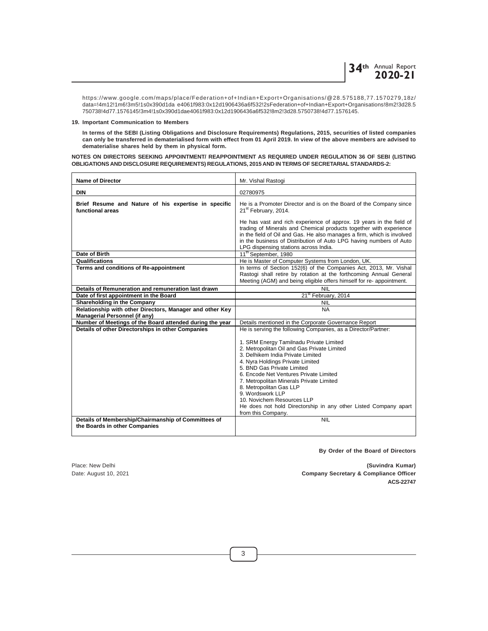https://www.google.com/maps/place/Federation+of+Indian+Export+Organisations/@28.575188,77.1570279,18z/ data=!4m12!1m6!3m5!1s0x390d1da e4061f983:0x12d1906436a6f532!2sFederation+of+Indian+Export+Organisations!8m2!3d28.5 750738!4d77.1576145!3m4!1s0x390d1dae4061f983:0x12d1906436a6f532!8m2!3d28.5750738!4d77.1576145.

#### **19. Important Communication to Members**

**In terms of the SEBI (Listing Obligations and Disclosure Requirements) Regulations, 2015, securities of listed companies can only be transferred in dematerialised form with effect from 01 April 2019. In view of the above members are advised to dematerialise shares held by them in physical form.**

**NOTES ON DIRECTORS SEEKING APPOINTMENT/ REAPPOINTMENT AS REQUIRED UNDER REGULATION 36 OF SEBI (LISTING OBLIGATIONS AND DISCLOSURE REQUIREMENTS) REGULATIONS, 2015 AND IN TERMS OF SECRETARIAL STANDARDS-2:**

| <b>Name of Director</b>                                                                   | Mr. Vishal Rastogi                                                                                                                                                                                                                                                                                                                 |  |  |
|-------------------------------------------------------------------------------------------|------------------------------------------------------------------------------------------------------------------------------------------------------------------------------------------------------------------------------------------------------------------------------------------------------------------------------------|--|--|
| <b>DIN</b>                                                                                | 02780975                                                                                                                                                                                                                                                                                                                           |  |  |
| Brief Resume and Nature of his expertise in specific<br>functional areas                  | He is a Promoter Director and is on the Board of the Company since<br>21 <sup>st</sup> February, 2014.                                                                                                                                                                                                                             |  |  |
|                                                                                           | He has vast and rich experience of approx. 19 years in the field of<br>trading of Minerals and Chemical products together with experience<br>in the field of Oil and Gas. He also manages a firm, which is involved<br>in the business of Distribution of Auto LPG having numbers of Auto<br>LPG dispensing stations across India. |  |  |
| Date of Birth                                                                             | 11 <sup>th</sup> September, 1980                                                                                                                                                                                                                                                                                                   |  |  |
| Qualifications                                                                            | He is Master of Computer Systems from London, UK.                                                                                                                                                                                                                                                                                  |  |  |
| Terms and conditions of Re-appointment                                                    | In terms of Section 152(6) of the Companies Act, 2013, Mr. Vishal<br>Rastogi shall retire by rotation at the forthcoming Annual General<br>Meeting (AGM) and being eligible offers himself for re-appointment.                                                                                                                     |  |  |
| Details of Remuneration and remuneration last drawn                                       | <b>NIL</b>                                                                                                                                                                                                                                                                                                                         |  |  |
| Date of first appointment in the Board                                                    | 21 <sup>st</sup> February, 2014                                                                                                                                                                                                                                                                                                    |  |  |
| Shareholding in the Company                                                               | <b>NIL</b>                                                                                                                                                                                                                                                                                                                         |  |  |
| Relationship with other Directors, Manager and other Key<br>Managerial Personnel (if any) | <b>NA</b>                                                                                                                                                                                                                                                                                                                          |  |  |
|                                                                                           | Details mentioned in the Corporate Governance Report                                                                                                                                                                                                                                                                               |  |  |
| Number of Meetings of the Board attended during the year                                  |                                                                                                                                                                                                                                                                                                                                    |  |  |
| Details of other Directorships in other Companies                                         | He is serving the following Companies, as a Director/Partner:                                                                                                                                                                                                                                                                      |  |  |
|                                                                                           | 1. SRM Energy Tamilnadu Private Limited                                                                                                                                                                                                                                                                                            |  |  |
|                                                                                           | 2. Metropolitan Oil and Gas Private Limited                                                                                                                                                                                                                                                                                        |  |  |
|                                                                                           | 3. Delhikem India Private Limited                                                                                                                                                                                                                                                                                                  |  |  |
|                                                                                           | 4. Nyra Holdings Private Limited<br>5. BND Gas Private Limited                                                                                                                                                                                                                                                                     |  |  |
|                                                                                           | 6. Encode Net Ventures Private Limited                                                                                                                                                                                                                                                                                             |  |  |
|                                                                                           | 7. Metropolitan Minerals Private Limited                                                                                                                                                                                                                                                                                           |  |  |
|                                                                                           | 8. Metropolitan Gas LLP                                                                                                                                                                                                                                                                                                            |  |  |
|                                                                                           | 9. Wordswork LLP                                                                                                                                                                                                                                                                                                                   |  |  |
|                                                                                           | 10. Novichem Resources LLP                                                                                                                                                                                                                                                                                                         |  |  |
|                                                                                           | He does not hold Directorship in any other Listed Company apart                                                                                                                                                                                                                                                                    |  |  |
| Details of Membership/Chairmanship of Committees of                                       | from this Company.<br><b>NIL</b>                                                                                                                                                                                                                                                                                                   |  |  |
| the Boards in other Companies                                                             |                                                                                                                                                                                                                                                                                                                                    |  |  |

**By Order of the Board of Directors**

Place: New Delhi **(Suvindra Kumar)** Date: August 10, 2021 **Company Secretary & Compliance Officer ACS-22747**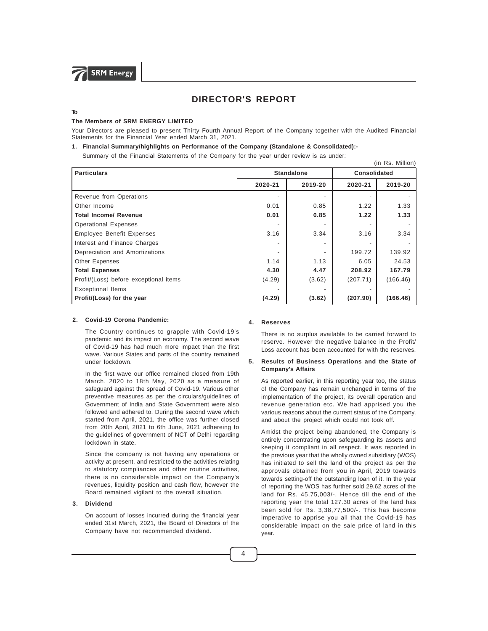## **DIRECTOR'S REPORT**

#### **To**

#### **The Members of SRM ENERGY LIMITED**

Your Directors are pleased to present Thirty Fourth Annual Report of the Company together with the Audited Financial Statements for the Financial Year ended March 31, 2021.

#### **1. Financial Summary/highlights on Performance of the Company (Standalone & Consolidated):-**

Summary of the Financial Statements of the Company for the year under review is as under:

| (in Rs. Million)                       |                   |         |          |                     |  |
|----------------------------------------|-------------------|---------|----------|---------------------|--|
| <b>Particulars</b>                     | <b>Standalone</b> |         |          | <b>Consolidated</b> |  |
|                                        | 2020-21           | 2019-20 | 2020-21  | 2019-20             |  |
| Revenue from Operations                |                   |         |          |                     |  |
| Other Income                           | 0.01              | 0.85    | 1.22     | 1.33                |  |
| <b>Total Income/ Revenue</b>           | 0.01              | 0.85    | 1.22     | 1.33                |  |
| <b>Operational Expenses</b>            |                   |         |          |                     |  |
| <b>Employee Benefit Expenses</b>       | 3.16              | 3.34    | 3.16     | 3.34                |  |
| Interest and Finance Charges           |                   |         |          |                     |  |
| Depreciation and Amortizations         |                   |         | 199.72   | 139.92              |  |
| <b>Other Expenses</b>                  | 1.14              | 1.13    | 6.05     | 24.53               |  |
| <b>Total Expenses</b>                  | 4.30              | 4.47    | 208.92   | 167.79              |  |
| Profit/(Loss) before exceptional items | (4.29)            | (3.62)  | (207.71) | (166.46)            |  |
| <b>Exceptional Items</b>               |                   |         |          |                     |  |
| Profit/(Loss) for the year             | (4.29)            | (3.62)  | (207.90) | (166.46)            |  |

#### **2. Covid-19 Corona Pandemic:**

The Country continues to grapple with Covid-19's pandemic and its impact on economy. The second wave of Covid-19 has had much more impact than the first wave. Various States and parts of the country remained under lockdown.

In the first wave our office remained closed from 19th March, 2020 to 18th May, 2020 as a measure of safeguard against the spread of Covid-19. Various other preventive measures as per the circulars/guidelines of Government of India and State Government were also followed and adhered to. During the second wave which started from April, 2021, the office was further closed from 20th April, 2021 to 6th June, 2021 adhereing to the guidelines of government of NCT of Delhi regarding lockdown in state.

Since the company is not having any operations or activity at present, and restricted to the activities relating to statutory compliances and other routine activities, there is no considerable impact on the Company's revenues, liquidity position and cash flow, however the Board remained vigilant to the overall situation.

#### **3. Dividend**

On account of losses incurred during the financial year ended 31st March, 2021, the Board of Directors of the Company have not recommended dividend.

#### **4. Reserves**

There is no surplus available to be carried forward to reserve. However the negative balance in the Profit/ Loss account has been accounted for with the reserves.

#### **5. Results of Business Operations and the State of Company's Affairs**

As reported earlier, in this reporting year too, the status of the Company has remain unchanged in terms of the implementation of the project, its overall operation and revenue generation etc. We had apprised you the various reasons about the current status of the Company, and about the project which could not took off.

Amidst the project being abandoned, the Company is entirely concentrating upon safeguarding its assets and keeping it compliant in all respect. It was reported in the previous year that the wholly owned subsidiary (WOS) has initiated to sell the land of the project as per the approvals obtained from you in April, 2019 towards towards setting-off the outstanding loan of it. In the year of reporting the WOS has further sold 29.62 acres of the land for Rs. 45,75,003/-. Hence till the end of the reporting year the total 127.30 acres of the land has been sold for Rs. 3,38,77,500/-. This has become imperative to apprise you all that the Covid-19 has considerable impact on the sale price of land in this year.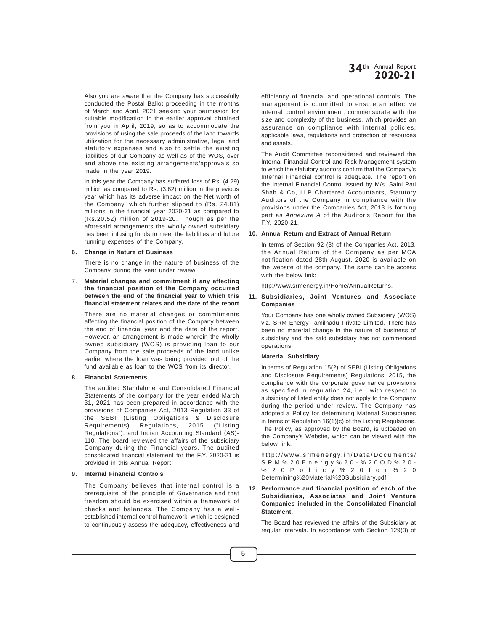Also you are aware that the Company has successfully conducted the Postal Ballot proceeding in the months of March and April, 2021 seeking your permission for suitable modification in the earlier approval obtained from you in April, 2019, so as to accommodate the provisions of using the sale proceeds of the land towards utilization for the necessary administrative, legal and statutory expenses and also to settle the existing liabilities of our Company as well as of the WOS, over and above the existing arrangements/approvals so made in the year 2019.

In this year the Company has suffered loss of Rs. (4.29) million as compared to Rs. (3.62) million in the previous year which has its adverse impact on the Net worth of the Company, which further slipped to (Rs. 24.81) millions in the financial year 2020-21 as compared to (Rs.20.52) million of 2019-20. Though as per the aforesaid arrangements the wholly owned subsidiary has been infusing funds to meet the liabilities and future running expenses of the Company.

#### **6. Change in Nature of Business**

There is no change in the nature of business of the Company during the year under review.

7. **Material changes and commitment if any affecting the financial position of the Company occurred between the end of the financial year to which this financial statement relates and the date of the report**

There are no material changes or commitments affecting the financial position of the Company between the end of financial year and the date of the report. However, an arrangement is made wherein the wholly owned subsidiary (WOS) is providing loan to our Company from the sale proceeds of the land unlike earlier where the loan was being provided out of the fund available as loan to the WOS from its director.

#### **8. Financial Statements**

The audited Standalone and Consolidated Financial Statements of the company for the year ended March 31, 2021 has been prepared in accordance with the provisions of Companies Act, 2013 Regulation 33 of the SEBI (Listing Obligations & Disclosure Requirements) Regulations, 2015 ("Listing Regulations"), and Indian Accounting Standard (AS)- 110. The board reviewed the affairs of the subsidiary Company during the Financial years. The audited consolidated financial statement for the F.Y. 2020-21 is provided in this Annual Report.

#### **9. Internal Financial Controls**

The Company believes that internal control is a prerequisite of the principle of Governance and that freedom should be exercised within a framework of checks and balances. The Company has a wellestablished internal control framework, which is designed to continuously assess the adequacy, effectiveness and

efficiency of financial and operational controls. The management is committed to ensure an effective internal control environment, commensurate with the size and complexity of the business, which provides an assurance on compliance with internal policies, applicable laws, regulations and protection of resources and assets.

The Audit Committee reconsidered and reviewed the Internal Financial Control and Risk Management system to which the statutory auditors confirm that the Company's Internal Financial control is adequate. The report on the Internal Financial Control issued by M/s. Saini Pati Shah & Co, LLP Chartered Accountants, Statutory Auditors of the Company in compliance with the provisions under the Companies Act, 2013 is forming part as *Annexure A* of the Auditor's Report for the F.Y. 2020-21.

#### **10. Annual Return and Extract of Annual Return**

In terms of Section 92 (3) of the Companies Act, 2013, the Annual Return of the Company as per MCA notification dated 28th August, 2020 is available on the website of the company. The same can be access with the below link:

http://www.srmenergy.in/Home/AnnualReturns.

#### **11. Subsidiaries, Joint Ventures and Associate Companies**

Your Company has one wholly owned Subsidiary (WOS) viz. SRM Energy Tamilnadu Private Limited. There has been no material change in the nature of business of subsidiary and the said subsidiary has not commenced operations.

#### **Material Subsidiary**

In terms of Regulation 15(2) of SEBI (Listing Obligations and Disclosure Requirements) Regulations, 2015, the compliance with the corporate governance provisions as specified in regulation 24, i.e., with respect to subsidiary of listed entity does not apply to the Company during the period under review. The Company has adopted a Policy for determining Material Subsidiaries in terms of Regulation 16(1)(c) of the Listing Regulations. The Policy, as approved by the Board, is uploaded on the Company's Website, which can be viewed with the below link:

http://www.srmenergy.in/Data/Documents/ SRM%20Energy%20-%20OD%20- %20Policy%20for%20 Determining%20Material%20Subsidiary.pdf

#### **12. Performance and financial position of each of the Subsidiaries, Associates and Joint Venture Companies included in the Consolidated Financial Statement.**

The Board has reviewed the affairs of the Subsidiary at regular intervals. In accordance with Section 129(3) of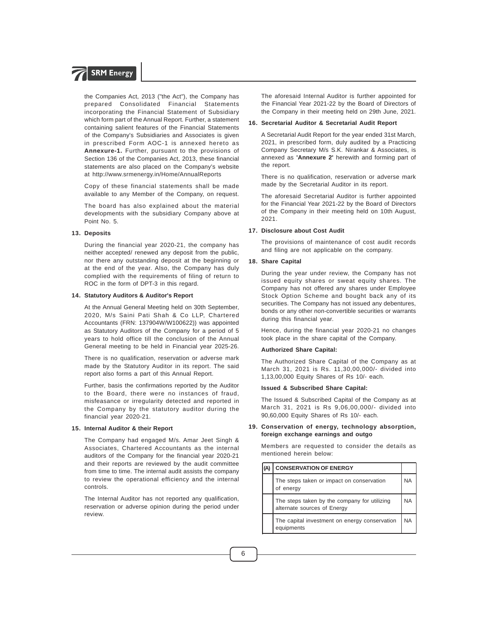## **SRM Energy**

the Companies Act, 2013 ("the Act"), the Company has prepared Consolidated Financial Statements incorporating the Financial Statement of Subsidiary which form part of the Annual Report. Further, a statement containing salient features of the Financial Statements of the Company's Subsidiaries and Associates is given in prescribed Form AOC-1 is annexed hereto as **Annexure-1.** Further, pursuant to the provisions of Section 136 of the Companies Act, 2013, these financial statements are also placed on the Company's website at http://www.srmenergy.in/Home/AnnualReports

Copy of these financial statements shall be made available to any Member of the Company, on request.

The board has also explained about the material developments with the subsidiary Company above at Point No. 5.

#### **13. Deposits**

During the financial year 2020-21, the company has neither accepted/ renewed any deposit from the public, nor there any outstanding deposit at the beginning or at the end of the year. Also, the Company has duly complied with the requirements of filing of return to ROC in the form of DPT-3 in this regard.

#### **14. Statutory Auditors & Auditor's Report**

At the Annual General Meeting held on 30th September, 2020, M/s Saini Pati Shah & Co LLP, Chartered Accountants (FRN: 137904W/W100622)) was appointed as Statutory Auditors of the Company for a period of 5 years to hold office till the conclusion of the Annual General meeting to be held in Financial year 2025-26.

There is no qualification, reservation or adverse mark made by the Statutory Auditor in its report. The said report also forms a part of this Annual Report.

Further, basis the confirmations reported by the Auditor to the Board, there were no instances of fraud, misfeasance or irregularity detected and reported in the Company by the statutory auditor during the financial year 2020-21.

#### **15. Internal Auditor & their Report**

The Company had engaged M/s. Amar Jeet Singh & Associates, Chartered Accountants as the internal auditors of the Company for the financial year 2020-21 and their reports are reviewed by the audit committee from time to time. The internal audit assists the company to review the operational efficiency and the internal controls.

The Internal Auditor has not reported any qualification, reservation or adverse opinion during the period under review.

The aforesaid Internal Auditor is further appointed for the Financial Year 2021-22 by the Board of Directors of the Company in their meeting held on 29th June, 2021.

#### **16. Secretarial Auditor & Secretarial Audit Report**

A Secretarial Audit Report for the year ended 31st March, 2021, in prescribed form, duly audited by a Practicing Company Secretary M/s S.K. Nirankar & Associates, is annexed as **'Annexure 2'** herewith and forming part of the report.

There is no qualification, reservation or adverse mark made by the Secretarial Auditor in its report.

The aforesaid Secretarial Auditor is further appointed for the Financial Year 2021-22 by the Board of Directors of the Company in their meeting held on 10th August, 2021.

#### **17. Disclosure about Cost Audit**

The provisions of maintenance of cost audit records and filing are not applicable on the company.

#### **18. Share Capital**

During the year under review, the Company has not issued equity shares or sweat equity shares. The Company has not offered any shares under Employee Stock Option Scheme and bought back any of its securities. The Company has not issued any debentures, bonds or any other non-convertible securities or warrants during this financial year.

Hence, during the financial year 2020-21 no changes took place in the share capital of the Company.

#### **Authorized Share Capital:**

The Authorized Share Capital of the Company as at March 31, 2021 is Rs. 11,30,00,000/- divided into 1,13,00,000 Equity Shares of Rs 10/- each.

#### **Issued & Subscribed Share Capital:**

The Issued & Subscribed Capital of the Company as at March 31, 2021 is Rs 9,06,00,000/- divided into 90,60,000 Equity Shares of Rs 10/- each.

#### **19. Conservation of energy, technology absorption, foreign exchange earnings and outgo**

Members are requested to consider the details as mentioned herein below:

| <b>CONSERVATION OF ENERGY</b>                                               |    |
|-----------------------------------------------------------------------------|----|
| The steps taken or impact on conservation<br>of energy                      | N۵ |
| The steps taken by the company for utilizing<br>alternate sources of Energy | NΑ |
| The capital investment on energy conservation<br>equipments                 | ΝA |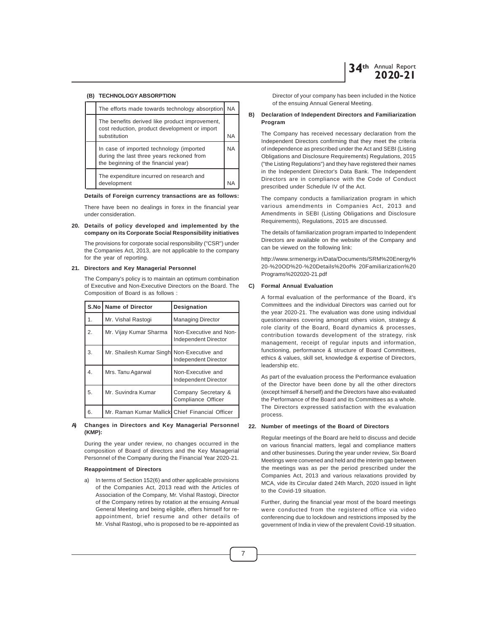#### **(B) TECHNOLOGY ABSORPTION**

| The efforts made towards technology absorption                                                                                | <b>NA</b> |
|-------------------------------------------------------------------------------------------------------------------------------|-----------|
| The benefits derived like product improvement,<br>cost reduction, product development or import<br>substitution               | NΔ        |
| In case of imported technology (imported<br>during the last three years reckoned from<br>the beginning of the financial year) | NΑ        |
| The expenditure incurred on research and<br>development                                                                       |           |

#### **Details of Foreign currency transactions are as follows:**

There have been no dealings in forex in the financial year under consideration.

#### **20. Details of policy developed and implemented by the company on its Corporate Social Responsibility initiatives**

The provisions for corporate social responsibility ("CSR") under the Companies Act, 2013, are not applicable to the company for the year of reporting.

#### **21. Directors and Key Managerial Personnel**

The Company's policy is to maintain an optimum combination of Executive and Non-Executive Directors on the Board. The Composition of Board is as follows :

| S.No | Name of Director                                | Designation                                    |
|------|-------------------------------------------------|------------------------------------------------|
| 1.   | Mr. Vishal Rastogi                              | <b>Managing Director</b>                       |
| 2.   | Mr. Vijay Kumar Sharma                          | Non-Executive and Non-<br>Independent Director |
| 3.   | Mr. Shailesh Kumar Singh Non-Executive and      | Independent Director                           |
| 4.   | Mrs. Tanu Agarwal                               | Non-Executive and<br>Independent Director      |
| 5.   | Mr. Suvindra Kumar                              | Company Secretary &<br>Compliance Officer      |
| 6.   | Mr. Raman Kumar Mallick Chief Financial Officer |                                                |

#### **A) Changes in Directors and Key Managerial Personnel (KMP):**

During the year under review, no changes occurred in the composition of Board of directors and the Key Managerial Personnel of the Company during the Financial Year 2020-21.

#### **Reappointment of Directors**

a) In terms of Section 152(6) and other applicable provisions of the Companies Act, 2013 read with the Articles of Association of the Company, Mr. Vishal Rastogi, Director of the Company retires by rotation at the ensuing Annual General Meeting and being eligible, offers himself for reappointment, brief resume and other details of Mr. Vishal Rastogi, who is proposed to be re-appointed as

Director of your company has been included in the Notice of the ensuing Annual General Meeting.

Annual Report **2020-21 34th**

#### **B) Declaration of Independent Directors and Familiarization Program**

The Company has received necessary declaration from the Independent Directors confirming that they meet the criteria of independence as prescribed under the Act and SEBI (Listing Obligations and Disclosure Requirements) Regulations, 2015 ("the Listing Regulations") and they have registered their names in the Independent Director's Data Bank. The Independent Directors are in compliance with the Code of Conduct prescribed under Schedule IV of the Act.

The company conducts a familiarization program in which various amendments in Companies Act, 2013 and Amendments in SEBI (Listing Obligations and Disclosure Requirements), Regulations, 2015 are discussed.

The details of familiarization program imparted to Independent Directors are available on the website of the Company and can be viewed on the following link:

http://www.srmenergy.in/Data/Documents/SRM%20Energy% 20-%20OD%20-%20Details%20of% 20Familiarization%20 Programs%202020-21.pdf

#### **C) Formal Annual Evaluation**

A formal evaluation of the performance of the Board, it's Committees and the individual Directors was carried out for the year 2020-21. The evaluation was done using individual questionnaires covering amongst others vision, strategy & role clarity of the Board, Board dynamics & processes, contribution towards development of the strategy, risk management, receipt of regular inputs and information, functioning, performance & structure of Board Committees, ethics & values, skill set, knowledge & expertise of Directors, leadership etc.

As part of the evaluation process the Performance evaluation of the Director have been done by all the other directors (except himself & herself) and the Directors have also evaluated the Performance of the Board and its Committees as a whole. The Directors expressed satisfaction with the evaluation process.

#### **22. Number of meetings of the Board of Directors**

Regular meetings of the Board are held to discuss and decide on various financial matters, legal and compliance matters and other businesses. During the year under review, Six Board Meetings were convened and held and the interim gap between the meetings was as per the period prescribed under the Companies Act, 2013 and various relaxations provided by MCA, vide its Circular dated 24th March, 2020 issued in light to the Covid-19 situation.

Further, during the financial year most of the board meetings were conducted from the registered office via video conferencing due to lockdown and restrictions imposed by the government of India in view of the prevalent Covid-19 situation.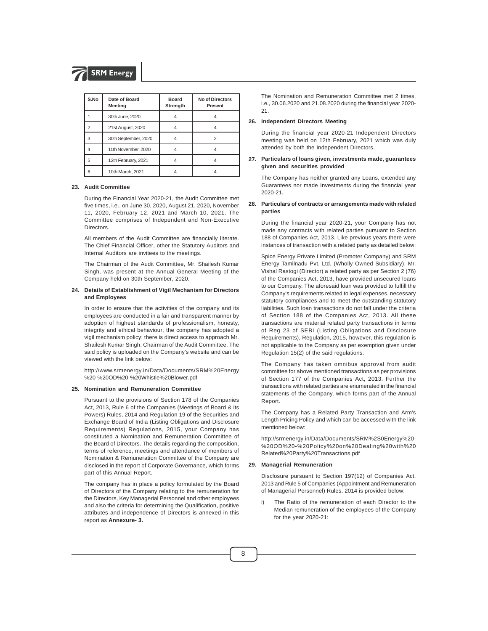## **SRM Energy**

| S.No | Date of Board<br>Meeting | <b>Board</b><br>Strength | <b>No of Directors</b><br>Present |
|------|--------------------------|--------------------------|-----------------------------------|
|      | 30th June, 2020          |                          |                                   |
| 2    | 21st August, 2020        |                          |                                   |
| 3    | 30th September, 2020     |                          | 2                                 |
|      | 11th November, 2020      |                          |                                   |
| 5    | 12th February, 2021      |                          |                                   |
| հ    | 10th March, 2021         |                          |                                   |

#### **23. Audit Committee**

During the Financial Year 2020-21, the Audit Committee met five times, i.e., on June 30, 2020, August 21, 2020, November 11, 2020, February 12, 2021 and March 10, 2021. The Committee comprises of Independent and Non-Executive Directors.

All members of the Audit Committee are financially literate. The Chief Financial Officer, other the Statutory Auditors and Internal Auditors are invitees to the meetings.

The Chairman of the Audit Committee, Mr. Shailesh Kumar Singh, was present at the Annual General Meeting of the Company held on 30th September, 2020.

#### **24. Details of Establishment of Vigil Mechanism for Directors and Employees**

In order to ensure that the activities of the company and its employees are conducted in a fair and transparent manner by adoption of highest standards of professionalism, honesty, integrity and ethical behaviour, the company has adopted a vigil mechanism policy; there is direct access to approach Mr. Shailesh Kumar Singh, Chairman of the Audit Committee. The said policy is uploaded on the Company's website and can be viewed with the link below:

http://www.srmenergy.in/Data/Documents/SRM%20Energy %20-%20OD%20-%20Whistle%20Blower.pdf

#### **25. Nomination and Remuneration Committee**

Pursuant to the provisions of Section 178 of the Companies Act, 2013, Rule 6 of the Companies (Meetings of Board & its Powers) Rules, 2014 and Regulation 19 of the Securities and Exchange Board of India (Listing Obligations and Disclosure Requirements) Regulations, 2015, your Company has constituted a Nomination and Remuneration Committee of the Board of Directors. The details regarding the composition, terms of reference, meetings and attendance of members of Nomination & Remuneration Committee of the Company are disclosed in the report of Corporate Governance, which forms part of this Annual Report.

The company has in place a policy formulated by the Board of Directors of the Company relating to the remuneration for the Directors, Key Managerial Personnel and other employees and also the criteria for determining the Qualification, positive attributes and independence of Directors is annexed in this report as **Annexure- 3.**

The Nomination and Remuneration Committee met 2 times, i.e., 30.06.2020 and 21.08.2020 during the financial year 2020- 21.

#### **26. Independent Directors Meeting**

During the financial year 2020-21 Independent Directors meeting was held on 12th February, 2021 which was duly attended by both the Independent Directors.

#### **27. Particulars of loans given, investments made, guarantees given and securities provided**

The Company has neither granted any Loans, extended any Guarantees nor made Investments during the financial year 2020-21.

#### **28. Particulars of contracts or arrangements made with related parties**

During the financial year 2020-21, your Company has not made any contracts with related parties pursuant to Section 188 of Companies Act, 2013. Like previous years there were instances of transaction with a related party as detailed below:

Spice Energy Private Limited (Promoter Company) and SRM Energy Tamilnadu Pvt. Ltd. (Wholly Owned Subsidiary), Mr. Vishal Rastogi (Director) a related party as per Section 2 (76) of the Companies Act, 2013, have provided unsecured loans to our Company. The aforesaid loan was provided to fulfill the Company's requirements related to legal expenses, necessary statutory compliances and to meet the outstanding statutory liabilities. Such loan transactions do not fall under the criteria of Section 188 of the Companies Act, 2013. All these transactions are material related party transactions in terms of Reg 23 of SEBI (Listing Obligations and Disclosure Requirements), Regulation, 2015, however, this regulation is not applicable to the Company as per exemption given under Regulation 15(2) of the said regulations.

The Company has taken omnibus approval from audit committee for above mentioned transactions as per provisions of Section 177 of the Companies Act, 2013. Further the transactions with related parties are enumerated in the financial statements of the Company, which forms part of the Annual Report.

The Company has a Related Party Transaction and Arm's Length Pricing Policy and which can be accessed with the link mentioned below:

http://srmenergy.in/Data/Documents/SRM%2S0Energy%20- %20OD%20-%20Policy%20on%20Dealing%20with%20 Related%20Party%20Transactions.pdf

#### **29. Managerial Remuneration**

Disclosure pursuant to Section 197(12) of Companies Act, 2013 and Rule 5 of Companies (Appointment and Remuneration of Managerial Personnel) Rules, 2014 is provided below:

The Ratio of the remuneration of each Director to the Median remuneration of the employees of the Company for the year 2020-21: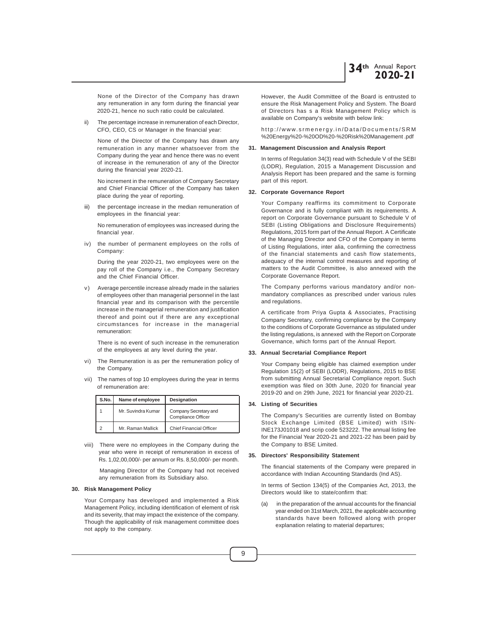None of the Director of the Company has drawn any remuneration in any form during the financial year 2020-21, hence no such ratio could be calculated.

The percentage increase in remuneration of each Director, CFO, CEO, CS or Manager in the financial year:

None of the Director of the Company has drawn any remuneration in any manner whatsoever from the Company during the year and hence there was no event of increase in the remuneration of any of the Director during the financial year 2020-21.

No increment in the remuneration of Company Secretary and Chief Financial Officer of the Company has taken place during the year of reporting.

the percentage increase in the median remuneration of employees in the financial year:

No remuneration of employees was increased during the financial year.

iv) the number of permanent employees on the rolls of Company:

During the year 2020-21, two employees were on the pay roll of the Company i.e., the Company Secretary and the Chief Financial Officer.

v) Average percentile increase already made in the salaries of employees other than managerial personnel in the last financial year and its comparison with the percentile increase in the managerial remuneration and justification thereof and point out if there are any exceptional circumstances for increase in the managerial remuneration:

There is no event of such increase in the remuneration of the employees at any level during the year.

- vi) The Remuneration is as per the remuneration policy of the Company.
- vii) The names of top 10 employees during the year in terms of remuneration are:

| S.No. | Name of employee   | Designation                                 |  |
|-------|--------------------|---------------------------------------------|--|
|       | Mr. Suvindra Kumar | Company Secretary and<br>Compliance Officer |  |
|       | Mr. Raman Mallick  | <b>Chief Financial Officer</b>              |  |

viii) There were no employees in the Company during the year who were in receipt of remuneration in excess of Rs. 1,02,00,000/- per annum or Rs. 8,50,000/- per month.

Managing Director of the Company had not received any remuneration from its Subsidiary also.

#### **30. Risk Management Policy**

Your Company has developed and implemented a Risk Management Policy, including identification of element of risk and its severity, that may impact the existence of the company. Though the applicability of risk management committee does not apply to the company.

However, the Audit Committee of the Board is entrusted to ensure the Risk Management Policy and System. The Board of Directors has s a Risk Management Policy which is available on Company's website with below link:

http://www.srmenergy.in/Data/Documents/SRM %20Energy%20-%20OD%20-%20Risk%20Management .pdf

#### **31. Management Discussion and Analysis Report**

In terms of Regulation 34(3) read with Schedule V of the SEBI (LODR), Regulation, 2015 a Management Discussion and Analysis Report has been prepared and the same is forming part of this report.

#### **32. Corporate Governance Report**

Your Company reaffirms its commitment to Corporate Governance and is fully compliant with its requirements. A report on Corporate Governance pursuant to Schedule V of SEBI (Listing Obligations and Disclosure Requirements) Regulations, 2015 form part of the Annual Report. A Certificate of the Managing Director and CFO of the Company in terms of Listing Regulations, inter alia, confirming the correctness of the financial statements and cash flow statements, adequacy of the internal control measures and reporting of matters to the Audit Committee, is also annexed with the Corporate Governance Report.

The Company performs various mandatory and/or nonmandatory compliances as prescribed under various rules and regulations.

A certificate from Priya Gupta & Associates, Practising Company Secretary, confirming compliance by the Company to the conditions of Corporate Governance as stipulated under the listing regulations, is annexed with the Report on Corporate Governance, which forms part of the Annual Report.

#### **33. Annual Secretarial Compliance Report**

Your Company being eligible has claimed exemption under Regulation 15(2) of SEBI (LODR), Regulations, 2015 to BSE from submitting Annual Secretarial Compliance report. Such exemption was filed on 30th June, 2020 for financial year 2019-20 and on 29th June, 2021 for financial year 2020-21.

#### **34. Listing of Securities**

The Company's Securities are currently listed on Bombay Stock Exchange Limited (BSE Limited) with ISIN-INE173J01018 and scrip code 523222. The annual listing fee for the Financial Year 2020-21 and 2021-22 has been paid by the Company to BSE Limited.

#### **35. Directors' Responsibility Statement**

The financial statements of the Company were prepared in accordance with Indian Accounting Standards (Ind AS).

In terms of Section 134(5) of the Companies Act, 2013, the Directors would like to state/confirm that:

(a) in the preparation of the annual accounts for the financial year ended on 31st March, 2021, the applicable accounting standards have been followed along with proper explanation relating to material departures;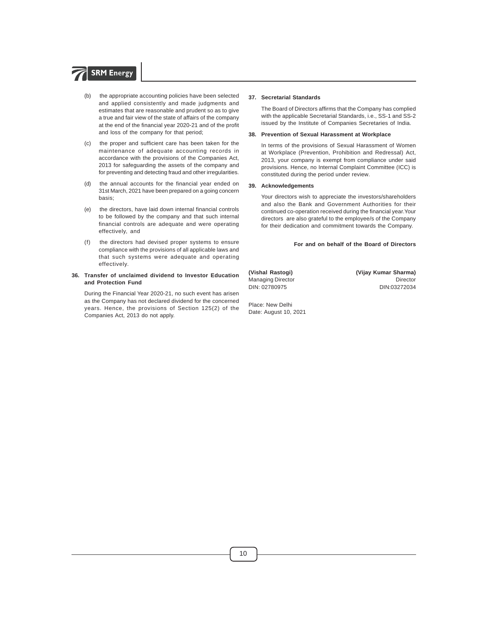## **SRM Energy**

- (b) the appropriate accounting policies have been selected and applied consistently and made judgments and estimates that are reasonable and prudent so as to give a true and fair view of the state of affairs of the company at the end of the financial year 2020-21 and of the profit and loss of the company for that period;
- (c) the proper and sufficient care has been taken for the maintenance of adequate accounting records in accordance with the provisions of the Companies Act, 2013 for safeguarding the assets of the company and for preventing and detecting fraud and other irregularities.
- (d) the annual accounts for the financial year ended on 31st March, 2021 have been prepared on a going concern basis;
- (e) the directors, have laid down internal financial controls to be followed by the company and that such internal financial controls are adequate and were operating effectively, and
- (f) the directors had devised proper systems to ensure compliance with the provisions of all applicable laws and that such systems were adequate and operating effectively.

#### **36. Transfer of unclaimed dividend to Investor Education and Protection Fund**

During the Financial Year 2020-21, no such event has arisen as the Company has not declared dividend for the concerned years. Hence, the provisions of Section 125(2) of the Companies Act, 2013 do not apply.

#### **37. Secretarial Standards**

The Board of Directors affirms that the Company has complied with the applicable Secretarial Standards, i.e., SS-1 and SS-2 issued by the Institute of Companies Secretaries of India.

#### **38. Prevention of Sexual Harassment at Workplace**

In terms of the provisions of Sexual Harassment of Women at Workplace (Prevention, Prohibition and Redressal) Act, 2013, your company is exempt from compliance under said provisions. Hence, no Internal Complaint Committee (ICC) is constituted during the period under review.

#### **39. Acknowledgements**

Your directors wish to appreciate the investors/shareholders and also the Bank and Government Authorities for their continued co-operation received during the financial year.Your directors are also grateful to the employee/s of the Company for their dedication and commitment towards the Company.

#### **For and on behalf of the Board of Directors**

**(Vishal Rastogi) (Vijay Kumar Sharma)** Managing Director Director Director DIN: 02780975 DIN:03272034

Place: New Delhi Date: August 10, 2021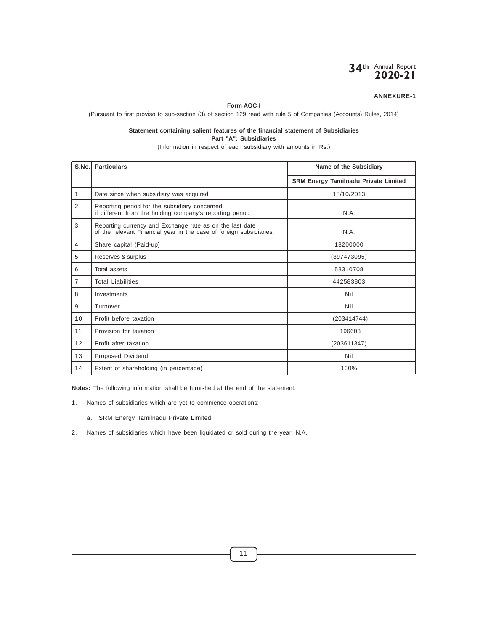

#### **ANNEXURE-1**

#### **Form AOC-I**

(Pursuant to first proviso to sub-section (3) of section 129 read with rule 5 of Companies (Accounts) Rules, 2014)

#### **Statement containing salient features of the financial statement of Subsidiaries Part "A": Subsidiaries**

(Information in respect of each subsidiary with amounts in Rs.)

| S.No.          | <b>Particulars</b>                                                                                                              | Name of the Subsidiary                      |  |
|----------------|---------------------------------------------------------------------------------------------------------------------------------|---------------------------------------------|--|
|                |                                                                                                                                 | <b>SRM Energy Tamilnadu Private Limited</b> |  |
| 1              | Date since when subsidiary was acquired                                                                                         | 18/10/2013                                  |  |
| 2              | Reporting period for the subsidiary concerned,<br>if different from the holding company's reporting period                      | N.A.                                        |  |
| 3              | Reporting currency and Exchange rate as on the last date<br>of the relevant Financial year in the case of foreign subsidiaries. | N.A.                                        |  |
| $\overline{4}$ | Share capital (Paid-up)                                                                                                         | 13200000                                    |  |
| 5              | Reserves & surplus                                                                                                              | (397473095)                                 |  |
| 6              | <b>Total assets</b>                                                                                                             | 58310708                                    |  |
| $\overline{7}$ | <b>Total Liabilities</b>                                                                                                        | 442583803                                   |  |
| 8              | Investments                                                                                                                     | Nil                                         |  |
| 9              | Turnover                                                                                                                        | Nil                                         |  |
| 10             | Profit before taxation                                                                                                          | (203414744)                                 |  |
| 11             | Provision for taxation                                                                                                          | 196603                                      |  |
| 12             | Profit after taxation                                                                                                           | (203611347)                                 |  |
| 13             | Proposed Dividend                                                                                                               | Nil                                         |  |
| 14             | Extent of shareholding (in percentage)                                                                                          | 100%                                        |  |

**Notes:** The following information shall be furnished at the end of the statement:

- 1. Names of subsidiaries which are yet to commence operations:
	- a. SRM Energy Tamilnadu Private Limited
- 2. Names of subsidiaries which have been liquidated or sold during the year: N.A.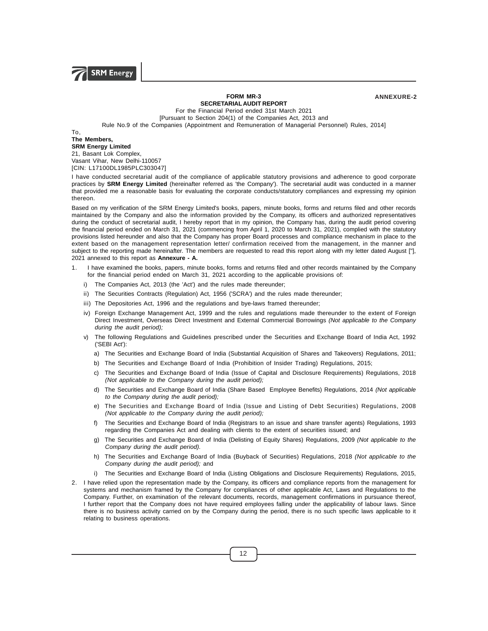

**FORM MR-3 SECRETARIAL AUDIT REPORT** **ANNEXURE-2**

For the Financial Period ended 31st March 2021

[Pursuant to Section 204(1) of the Companies Act, 2013 and Rule No.9 of the Companies (Appointment and Remuneration of Managerial Personnel) Rules, 2014]

To, **The Members,**

**SRM Energy Limited** 21, Basant Lok Complex, Vasant Vihar, New Delhi-110057 [CIN: L17100DL1985PLC303047]

I have conducted secretarial audit of the compliance of applicable statutory provisions and adherence to good corporate practices by **SRM Energy Limited** (hereinafter referred as 'the Company'). The secretarial audit was conducted in a manner that provided me a reasonable basis for evaluating the corporate conducts/statutory compliances and expressing my opinion thereon.

Based on my verification of the SRM Energy Limited's books, papers, minute books, forms and returns filed and other records maintained by the Company and also the information provided by the Company, its officers and authorized representatives during the conduct of secretarial audit, I hereby report that in my opinion, the Company has, during the audit period covering the financial period ended on March 31, 2021 (commencing from April 1, 2020 to March 31, 2021), complied with the statutory provisions listed hereunder and also that the Company has proper Board processes and compliance mechanism in place to the extent based on the management representation letter/ confirmation received from the management, in the manner and subject to the reporting made hereinafter. The members are requested to read this report along with my letter dated August ["], 2021 annexed to this report as **Annexure - A.**

- 1. I have examined the books, papers, minute books, forms and returns filed and other records maintained by the Company for the financial period ended on March 31, 2021 according to the applicable provisions of:
	- i) The Companies Act, 2013 (the 'Act') and the rules made thereunder;
	- ii) The Securities Contracts (Regulation) Act, 1956 ('SCRA') and the rules made thereunder;
	- iii) The Depositories Act, 1996 and the regulations and bye-laws framed thereunder;
	- iv) Foreign Exchange Management Act, 1999 and the rules and regulations made thereunder to the extent of Foreign Direct Investment, Overseas Direct Investment and External Commercial Borrowings *(Not applicable to the Company during the audit period);*
	- v) The following Regulations and Guidelines prescribed under the Securities and Exchange Board of India Act, 1992 ('SEBI Act'):
		- a) The Securities and Exchange Board of India (Substantial Acquisition of Shares and Takeovers) Regulations, 2011;
		- b) The Securities and Exchange Board of India (Prohibition of Insider Trading) Regulations, 2015;
		- c) The Securities and Exchange Board of India (Issue of Capital and Disclosure Requirements) Regulations, 2018 *(Not applicable to the Company during the audit period);*
		- d) The Securities and Exchange Board of India (Share Based Employee Benefits) Regulations, 2014 *(Not applicable to the Company during the audit period);*
		- e) The Securities and Exchange Board of India (Issue and Listing of Debt Securities) Regulations, 2008 *(Not applicable to the Company during the audit period);*
		- f) The Securities and Exchange Board of India (Registrars to an issue and share transfer agents) Regulations, 1993 regarding the Companies Act and dealing with clients to the extent of securities issued; and
		- g) The Securities and Exchange Board of India (Delisting of Equity Shares) Regulations, 2009 *(Not applicable to the Company during the audit period).*
		- h) The Securities and Exchange Board of India (Buyback of Securities) Regulations, 2018 *(Not applicable to the Company during the audit period);* and
		- i) The Securities and Exchange Board of India (Listing Obligations and Disclosure Requirements) Regulations, 2015,
- 2. I have relied upon the representation made by the Company, its officers and compliance reports from the management for systems and mechanism framed by the Company for compliances of other applicable Act, Laws and Regulations to the Company. Further, on examination of the relevant documents, records, management confirmations in pursuance thereof, I further report that the Company does not have required employees falling under the applicability of labour laws. Since there is no business activity carried on by the Company during the period, there is no such specific laws applicable to it relating to business operations.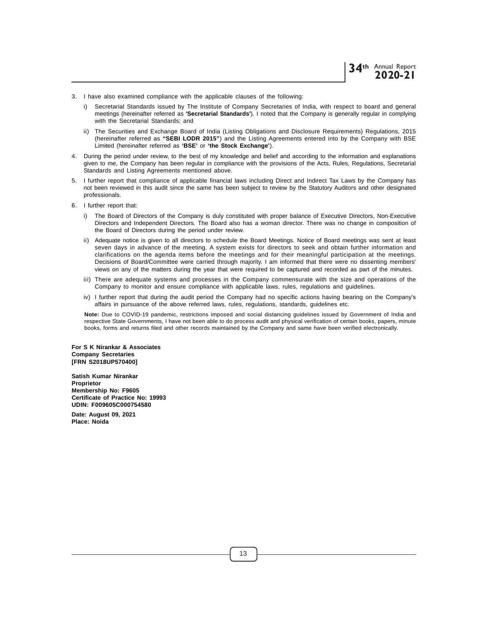- 3. I have also examined compliance with the applicable clauses of the following:
	- i) Secretarial Standards issued by The Institute of Company Secretaries of India, with respect to board and general meetings (hereinafter referred as **'Secretarial Standards'**). I noted that the Company is generally regular in complying with the Secretarial Standards; and
	- ii) The Securities and Exchange Board of India (Listing Obligations and Disclosure Requirements) Regulations, 2015 (hereinafter referred as **"SEBI LODR 2015"**) and the Listing Agreements entered into by the Company with BSE Limited (hereinafter referred as **'BSE'** or **'the Stock Exchange'**).
- 4. During the period under review, to the best of my knowledge and belief and according to the information and explanations given to me, the Company has been regular in compliance with the provisions of the Acts, Rules, Regulations, Secretarial Standards and Listing Agreements mentioned above.
- 5. I further report that compliance of applicable financial laws including Direct and Indirect Tax Laws by the Company has not been reviewed in this audit since the same has been subject to review by the Statutory Auditors and other designated professionals.
- 6. I further report that:
	- i) The Board of Directors of the Company is duly constituted with proper balance of Executive Directors, Non-Executive Directors and Independent Directors. The Board also has a woman director. There was no change in composition of the Board of Directors during the period under review.
	- ii) Adequate notice is given to all directors to schedule the Board Meetings. Notice of Board meetings was sent at least seven days in advance of the meeting. A system exists for directors to seek and obtain further information and clarifications on the agenda items before the meetings and for their meaningful participation at the meetings. Decisions of Board/Committee were carried through majority. I am informed that there were no dissenting members' views on any of the matters during the year that were required to be captured and recorded as part of the minutes.
	- iii) There are adequate systems and processes in the Company commensurate with the size and operations of the Company to monitor and ensure compliance with applicable laws, rules, regulations and guidelines.
	- iv) I further report that during the audit period the Company had no specific actions having bearing on the Company's affairs in pursuance of the above referred laws, rules, regulations, standards, guidelines etc.

**Note:** Due to COVID-19 pandemic, restrictions imposed and social distancing guidelines issued by Government of India and respective State Governments, I have not been able to do process audit and physical verification of certain books, papers, minute books, forms and returns filed and other records maintained by the Company and same have been verified electronically.

**For S K Nirankar & Associates Company Secretaries [FRN S2018UP570400]**

**Satish Kumar Nirankar Proprietor Membership No: F9605 Certificate of Practice No: 19993 UDIN: F009605C000754580**

**Date: August 09, 2021 Place: Noida**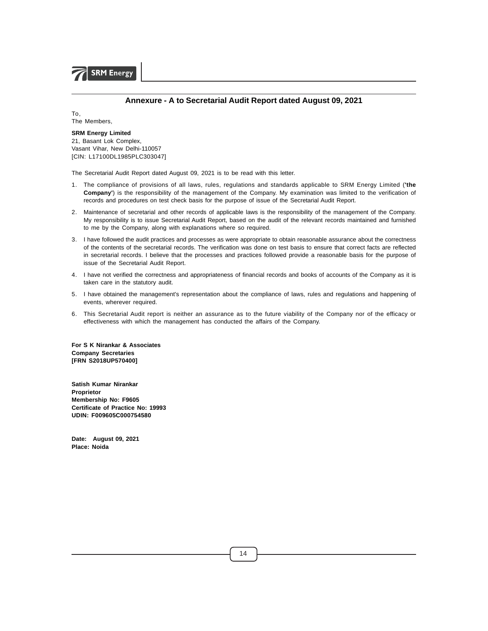

#### **Annexure - A to Secretarial Audit Report dated August 09, 2021**

To, The Members,

#### **SRM Energy Limited**

21, Basant Lok Complex, Vasant Vihar, New Delhi-110057 [CIN: L17100DL1985PLC303047]

The Secretarial Audit Report dated August 09, 2021 is to be read with this letter.

- 1. The compliance of provisions of all laws, rules, regulations and standards applicable to SRM Energy Limited (**'the Company'**) is the responsibility of the management of the Company. My examination was limited to the verification of records and procedures on test check basis for the purpose of issue of the Secretarial Audit Report.
- 2. Maintenance of secretarial and other records of applicable laws is the responsibility of the management of the Company. My responsibility is to issue Secretarial Audit Report, based on the audit of the relevant records maintained and furnished to me by the Company, along with explanations where so required.
- 3. I have followed the audit practices and processes as were appropriate to obtain reasonable assurance about the correctness of the contents of the secretarial records. The verification was done on test basis to ensure that correct facts are reflected in secretarial records. I believe that the processes and practices followed provide a reasonable basis for the purpose of issue of the Secretarial Audit Report.
- 4. I have not verified the correctness and appropriateness of financial records and books of accounts of the Company as it is taken care in the statutory audit.
- 5. I have obtained the management's representation about the compliance of laws, rules and regulations and happening of events, wherever required.
- 6. This Secretarial Audit report is neither an assurance as to the future viability of the Company nor of the efficacy or effectiveness with which the management has conducted the affairs of the Company.

**For S K Nirankar & Associates Company Secretaries [FRN S2018UP570400]**

**Satish Kumar Nirankar Proprietor Membership No: F9605 Certificate of Practice No: 19993 UDIN: F009605C000754580**

**Date: August 09, 2021 Place: Noida**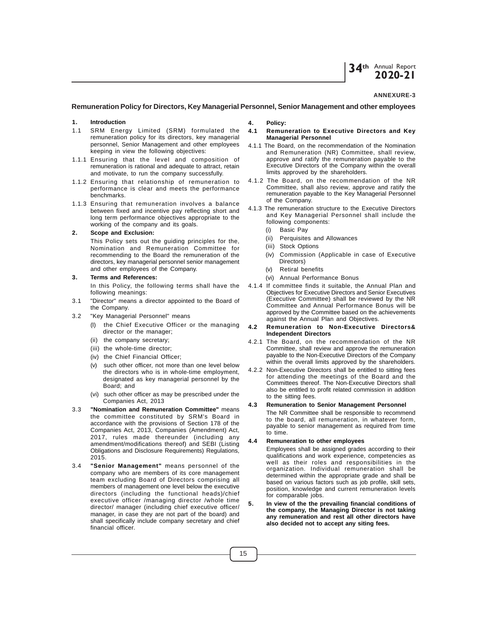# Annual Report **2020-21 34th**

#### **ANNEXURE-3**

#### **Remuneration Policy for Directors, Key Managerial Personnel, Senior Management and other employees**

#### **1. Introduction**

- 1.1 SRM Energy Limited (SRM) formulated the remuneration policy for its directors, key managerial personnel, Senior Management and other employees keeping in view the following objectives:
- 1.1.1 Ensuring that the level and composition of remuneration is rational and adequate to attract, retain and motivate, to run the company successfully.
- 1.1.2 Ensuring that relationship of remuneration to performance is clear and meets the performance benchmarks.
- 1.1.3 Ensuring that remuneration involves a balance between fixed and incentive pay reflecting short and long term performance objectives appropriate to the working of the company and its goals.

#### **2. Scope and Exclusion:**

This Policy sets out the guiding principles for the, Nomination and Remuneration Committee for recommending to the Board the remuneration of the directors, key managerial personnel senior management and other employees of the Company.

#### **3. Terms and References:**

In this Policy, the following terms shall have the following meanings:

- 3.1 "Director" means a director appointed to the Board of the Company.
- 3.2 "Key Managerial Personnel" means
	- (I) the Chief Executive Officer or the managing director or the manager;
	- (ii) the company secretary;
	- (iii) the whole-time director;
	- (iv) the Chief Financial Officer;
	- (v) such other officer, not more than one level below the directors who is in whole-time employment, designated as key managerial personnel by the Board; and
	- (vi) such other officer as may be prescribed under the Companies Act, 2013
- 3.3 **"Nomination and Remuneration Committee"** means the committee constituted by SRM's Board in accordance with the provisions of Section 178 of the Companies Act, 2013, Companies (Amendment) Act, 2017, rules made thereunder (including any amendment/modifications thereof) and SEBI (Listing Obligations and Disclosure Requirements) Regulations, 2015.
- 3.4 **"Senior Management"** means personnel of the company who are members of its core management team excluding Board of Directors comprising all members of management one level below the executive directors (including the functional heads)/chief executive officer /managing director /whole time director/ manager (including chief executive officer/ manager, in case they are not part of the board) and shall specifically include company secretary and chief financial officer.

#### **4. Policy:**

- **4.1 Remuneration to Executive Directors and Key Managerial Personnel**
- 4.1.1 The Board, on the recommendation of the Nomination and Remuneration (NR) Committee, shall review, approve and ratify the remuneration payable to the Executive Directors of the Company within the overall limits approved by the shareholders.
- 4.1.2 The Board, on the recommendation of the NR Committee, shall also review, approve and ratify the remuneration payable to the Key Managerial Personnel of the Company.
- 4.1.3 The remuneration structure to the Executive Directors and Key Managerial Personnel shall include the following components:
	- (i) Basic Pay
	- (ii) Perquisites and Allowances
	- (iii) Stock Options
	- (iv) Commission (Applicable in case of Executive Directors)
	- (v) Retiral benefits
	- (vi) Annual Performance Bonus
- 4.1.4 If committee finds it suitable, the Annual Plan and Objectives for Executive Directors and Senior Executives (Executive Committee) shall be reviewed by the NR Committee and Annual Performance Bonus will be approved by the Committee based on the achievements against the Annual Plan and Objectives.
- **4.2 Remuneration to Non-Executive Directors& Independent Directors**
- 4.2.1 The Board, on the recommendation of the NR Committee, shall review and approve the remuneration payable to the Non-Executive Directors of the Company within the overall limits approved by the shareholders.
- 4.2.2 Non-Executive Directors shall be entitled to sitting fees for attending the meetings of the Board and the Committees thereof. The Non-Executive Directors shall also be entitled to profit related commission in addition to the sitting fees.

#### **4.3 Remuneration to Senior Management Personnel**

The NR Committee shall be responsible to recommend to the board, all remuneration, in whatever form, payable to senior management as required from time to time.

#### **4.4 Remuneration to other employees**

Employees shall be assigned grades according to their qualifications and work experience, competencies as well as their roles and responsibilities in the organization. Individual remuneration shall be determined within the appropriate grade and shall be based on various factors such as job profile, skill sets, position, knowledge and current remuneration levels for comparable jobs.

**5. In view of the the prevailing financial conditions of the company, the Managing Director is not taking any remuneration and rest all other directors have also decided not to accept any siting fees.**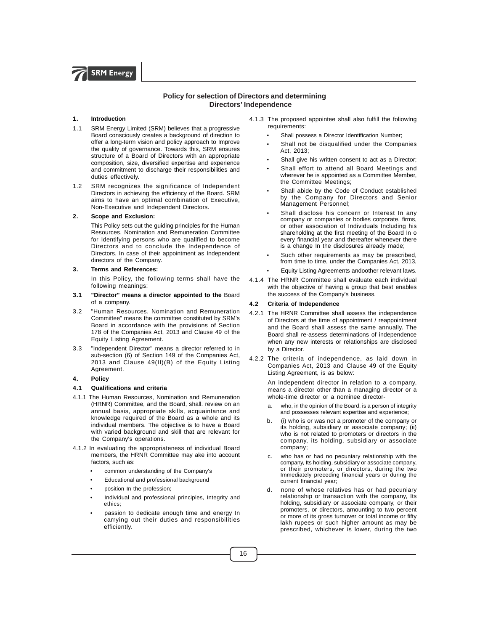

#### **Policy for selection of Directors and determining Directors' Independence**

#### **1. Introduction**

- 1.1 SRM Energy Limited (SRM) believes that a progressive Board consciously creates a background of direction to offer a long-term vision and policy approach to Improve the quality of governance. Towards this, SRM ensures structure of a Board of Directors with an appropriate composition, size, diversified expertise and experience and commitment to discharge their responsibilities and duties effectively.
- 1.2 SRM recognizes the significance of Independent Directors in achieving the efficiency of the Board. SRM aims to have an optimal combination of Executive, Non-Executive and Independent Directors.

#### **2. Scope and Exclusion:**

This Policy sets out the guiding principles for the Human Resources, Nomination and Remuneration Committee for Identifying persons who are quallfied to become Directors and to conclude the Independence of Directors, In case of their appointment as Independent directors of the Company.

#### **3. Terms and References:**

In this Policy, the following terms shall have the following meanings:

- **3.1 "Director" means a director appointed to the** Board of a company.
- 3.2 "Human Resources, Nomination and Remuneration Committee" means the committee constituted by SRM's Board in accordance with the provisions of Section 178 of the Companies Act, 2013 and Clause 49 of the Equity Listing Agreement.
- 3.3 "Independent Director'' means a director referred to in sub-section (6) of Section 149 of the Companies Act, 2013 and Clause 49(II)(B) of the Equity Listing Agreement.

#### **4. Policy**

#### **4.1 Qualifications and criteria**

- 4.1.1 The Human Resources, Nomination and Remuneration (HRNR) Committee, and the Board, shall. review on an annual basis, appropriate skills, acquaintance and knowledge required of the Board as a whole and its individual members. The objective is to have a Board with varied background and skill that are relevant for the Company's operations.
- 4.1.2 In evaluating the appropriateness of individual Board members, the HRNR Committee may ake into account factors, such as:
	- common understanding of the Company's
	- Educational and professional background
	- position In the profession;
	- Individual and professional principles, Integrity and ethics;
	- passion to dedicate enough time and energy In carrying out their duties and responsibilities efficiently.
- 4.1.3 The proposed appointee shall also fulfill the foliowlng requirements:
	- Shall possess a Director Identification Number;
	- Shall not be disqualified under the Companies Act, 2013;
	- Shall give his written consent to act as a Director;
	- Shall effort to attend all Board Meetings and wherever he is appointed as a Committee Member, the Committee Meetings;
	- Shall abide by the Code of Conduct established by the Company for Directors and Senior Management Personnel;
	- Shall disclose his concern or Interest In any company or companies or bodies corporate, firms, or other association of Individuals Including his shareholdlng at the first meeting of the Board In o every financial year and thereafter whenever there is a change In the disclosures already made;
	- Such other requirements as may be prescribed, from time to time, under the Companies Act, 2013,
	- Equity Listing Agreements andoother relevant laws.
- 4.1.4 The HRNR Committee shall evaluate each individual with the objective of having a group that best enables the success of the Company's business.

#### **4.2 Criteria of Independence**

- 4.2.1 The HRNR Committee shall assess the independence of Directors at the time of appointment / reappointment and the Board shall assess the same annually. The Board shall re-assess determinations of independence when any new interests or relationships are disclosed by a Director.
- 4.2.2 The criteria of independence, as laid down in Companies Act, 2013 and Clause 49 of the Equity Listing Agreement, is as below:

An independent director in relation to a company, means a director other than a managing director or a whole-time director or a nominee director-

- a. who, in the opinion of the Board, is a person of integrity and possesses relevant expertise and experience;
- b. (i) who is or was not a promoter of the company or its holding, subsidiary or associate company; (ii) who is not related to promoters or directors in the company, its holding, subsidiary or associate company;
- c. who has or had no pecuniary relationship with the company, Its holding, subsidiary or associate company, or their promoters, or directors, during the two Immediately preceding financial years or during the current financial year;
- none of whose relatives has or had pecuniary relationship or transaction with the company, Its holding, subsidiary or associate company, or their promoters, or directors, amounting to two percent or more of its gross turnover or total income or fifty lakh rupees or such higher amount as may be prescribed, whichever is lower, during the two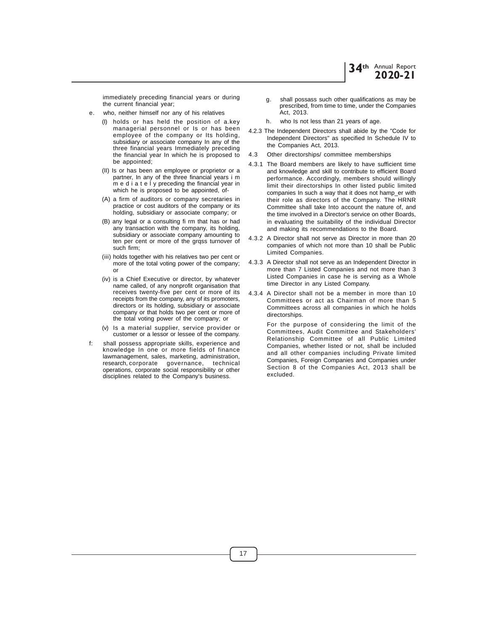

immediately preceding financial years or during the current financial year;

- e. who, neither himself nor any of his relatives
	- (I) holds or has held the position of a.key managerial personnel or Is or has been employee of the company or Its holding, subsidiary or associate company In any of the three financial years Immediately preceding the financial year In which he is proposed to be appointed;
	- (II) Is or has been an employee or proprietor or a partner, In any of the three financial years i m m e d i a t e l y preceding the financial year in which he is proposed to be appointed, of-
	- (A) a firm of auditors or company secretaries in practice or cost auditors of the company or its holding, subsidiary or associate company; or
	- (B) any legal or a consulting fi rm that has or had any transaction with the company, its holding, subsidiary or associate company amounting to ten per cent or more of the grqss turnover of such firm;
	- (iii) holds together with his relatives two per cent or more of the total voting power of the company; or
	- (iv) is a Chief Executive or director, by whatever name called, of any nonprofit organisation that receives twenty-five per cent or more of its receipts from the company, any of its promoters, directors or its holding, subsidiary or associate company or that holds two per cent or more of the total voting power of the company; or
	- (v) Is a material supplier, service provider or customer or a lessor or lessee of the company.
- f: shall possess appropriate skills, experience and knowledge In one or more fields of finance lawmanagement, sales, marketing, administration, research, corporate governance, technical research, corporate governance, operations, corporate social responsibility or other disciplines related to the Company's business.
- g. shall possass such other qualifications as may be prescribed, from time to time, under the Companies Act, 2013.
- h. who Is not less than 21 years of age.
- 4.2.3 The Independent Directors shall abide by the "Code for Independent Directors" as specified In Schedule IV to the Companies Act, 2013.
- 4.3 Other directorships/ committee memberships
- 4.3.1 The Board members are likely to have sufficient time and knowledge and skill to contribute to efficient Board performance. Accordingly, members should willingly limit their directorships In other listed public limited companies In such a way that it does not hamp\_er with their role as directors of the Company. The HRNR Committee shall take Into account the nature of, and the time involved in a Director's service on other Boards, in evaluating the suitability of the individual Director and making its recommendations to the Board.
- 4.3.2 A Director shall not serve as Director in more than 20 companies of which not more than 10 shall be Public Limited Companies.
- 4.3.3 A Director shall not serve as an Independent Director in more than 7 Listed Companies and not more than 3 Listed Companies in case he is serving as a Whole time Director in any Listed Company.
- 4.3.4 A Director shall not be a member in more than 10 Committees or act as Chairman of more than 5 Committees across all companies in which he holds directorships.

For the purpose of considering the limit of the Committees, Audit Committee and Stakeholders' Relationship Committee of all Public Limited Companies, whether listed or not, shall be included and all other companies including Private limited Companies, Foreign Companies and Companies under Section 8 of the Companies Act, 2013 shall be excluded.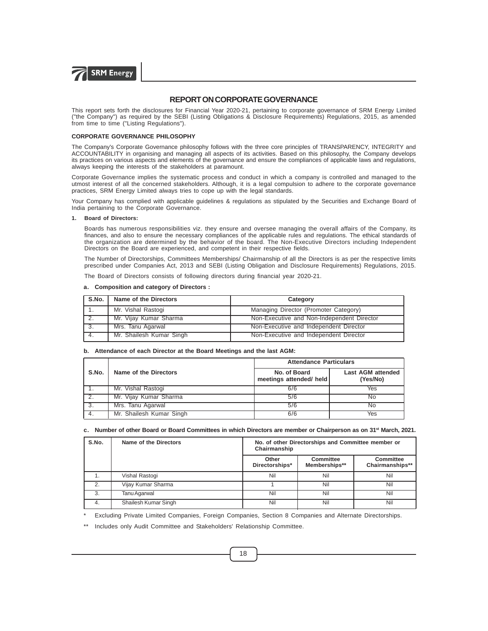

#### **REPORT ON CORPORATE GOVERNANCE**

This report sets forth the disclosures for Financial Year 2020-21, pertaining to corporate governance of SRM Energy Limited ("the Company") as required by the SEBI (Listing Obligations & Disclosure Requirements) Regulations, 2015, as amended from time to time ("Listing Regulations").

#### **CORPORATE GOVERNANCE PHILOSOPHY**

The Company's Corporate Governance philosophy follows with the three core principles of TRANSPARENCY, INTEGRITY and ACCOUNTABILITY in organising and managing all aspects of its activities. Based on this philosophy, the Company develops its practices on various aspects and elements of the governance and ensure the compliances of applicable laws and regulations, always keeping the interests of the stakeholders at paramount.

Corporate Governance implies the systematic process and conduct in which a company is controlled and managed to the utmost interest of all the concerned stakeholders. Although, it is a legal compulsion to adhere to the corporate governance practices, SRM Energy Limited always tries to cope up with the legal standards.

Your Company has complied with applicable guidelines & regulations as stipulated by the Securities and Exchange Board of India pertaining to the Corporate Governance.

#### **1. Board of Directors:**

Boards has numerous responsibilities viz. they ensure and oversee managing the overall affairs of the Company, its finances, and also to ensure the necessary compliances of the applicable rules and regulations. The ethical standards of the organization are determined by the behavior of the board. The Non-Executive Directors including Independent Directors on the Board are experienced, and competent in their respective fields.

The Number of Directorships, Committees Memberships/ Chairmanship of all the Directors is as per the respective limits prescribed under Companies Act, 2013 and SEBI (Listing Obligation and Disclosure Requirements) Regulations, 2015.

The Board of Directors consists of following directors during financial year 2020-21.

#### **a. Composition and category of Directors :**

| S.No. | Name of the Directors    | Category                                   |  |
|-------|--------------------------|--------------------------------------------|--|
|       | Mr. Vishal Rastogi       | Managing Director (Promoter Category)      |  |
|       | Mr. Vijay Kumar Sharma   | Non-Executive and Non-Independent Director |  |
|       | Mrs. Tanu Agarwal        | Non-Executive and Independent Director     |  |
|       | Mr. Shailesh Kumar Singh | Non-Executive and Independent Director     |  |

#### **b. Attendance of each Director at the Board Meetings and the last AGM:**

|       |                          | <b>Attendance Particulars</b>           |                               |  |
|-------|--------------------------|-----------------------------------------|-------------------------------|--|
| S.No. | Name of the Directors    | No. of Board<br>meetings attended/ held | Last AGM attended<br>(Yes/No) |  |
|       | Mr. Vishal Rastogi       | 6/6                                     | Yes                           |  |
|       | Mr. Vijay Kumar Sharma   | 5/6                                     | No                            |  |
|       | Mrs. Tanu Agarwal        | 5/6                                     | NΟ                            |  |
| 4.    | Mr. Shailesh Kumar Singh | 6/6                                     | Yes                           |  |

#### **c. Number of other Board or Board Committees in which Directors are member or Chairperson as on 31st March, 2021.**

| S.No. | Name of the Directors | No. of other Directorships and Committee member or<br>Chairmanship |                            |                              |
|-------|-----------------------|--------------------------------------------------------------------|----------------------------|------------------------------|
|       |                       | Other<br>Directorships*                                            | Committee<br>Memberships** | Committee<br>Chairmanships** |
| 1.    | Vishal Rastogi        | Nil                                                                | Nil                        | Nil                          |
| 2.    | Vijay Kumar Sharma    |                                                                    | Nil                        | Nil                          |
| 3.    | Tanu Agarwal          | Nil                                                                | Nil                        | Nil                          |
| 4.    | Shailesh Kumar Singh  | Nil                                                                | Nil                        | Nil                          |

\* Excluding Private Limited Companies, Foreign Companies, Section 8 Companies and Alternate Directorships.

Includes only Audit Committee and Stakeholders' Relationship Committee.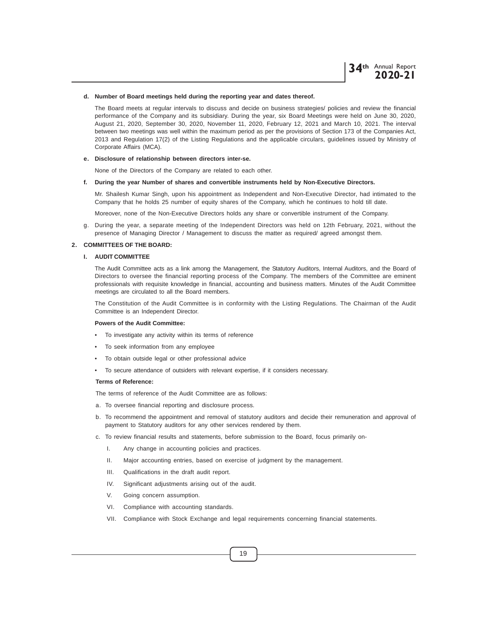#### **d. Number of Board meetings held during the reporting year and dates thereof.**

The Board meets at regular intervals to discuss and decide on business strategies/ policies and review the financial performance of the Company and its subsidiary. During the year, six Board Meetings were held on June 30, 2020, August 21, 2020, September 30, 2020, November 11, 2020, February 12, 2021 and March 10, 2021. The interval between two meetings was well within the maximum period as per the provisions of Section 173 of the Companies Act, 2013 and Regulation 17(2) of the Listing Regulations and the applicable circulars, guidelines issued by Ministry of Corporate Affairs (MCA).

#### **e. Disclosure of relationship between directors inter-se.**

None of the Directors of the Company are related to each other.

#### **f. During the year Number of shares and convertible instruments held by Non-Executive Directors.**

Mr. Shailesh Kumar Singh, upon his appointment as Independent and Non-Executive Director, had intimated to the Company that he holds 25 number of equity shares of the Company, which he continues to hold till date.

Moreover, none of the Non-Executive Directors holds any share or convertible instrument of the Company.

g. During the year, a separate meeting of the Independent Directors was held on 12th February, 2021, without the presence of Managing Director / Management to discuss the matter as required/ agreed amongst them.

#### **2. COMMITTEES OF THE BOARD:**

#### **I. AUDIT COMMITTEE**

The Audit Committee acts as a link among the Management, the Statutory Auditors, Internal Auditors, and the Board of Directors to oversee the financial reporting process of the Company. The members of the Committee are eminent professionals with requisite knowledge in financial, accounting and business matters. Minutes of the Audit Committee meetings are circulated to all the Board members.

The Constitution of the Audit Committee is in conformity with the Listing Regulations. The Chairman of the Audit Committee is an Independent Director.

#### **Powers of the Audit Committee:**

- To investigate any activity within its terms of reference
- To seek information from any employee
- To obtain outside legal or other professional advice
- To secure attendance of outsiders with relevant expertise, if it considers necessary.

#### **Terms of Reference:**

The terms of reference of the Audit Committee are as follows:

- a. To oversee financial reporting and disclosure process.
- b. To recommend the appointment and removal of statutory auditors and decide their remuneration and approval of payment to Statutory auditors for any other services rendered by them.
- c. To review financial results and statements, before submission to the Board, focus primarily on-
	- I. Any change in accounting policies and practices.
	- II. Major accounting entries, based on exercise of judgment by the management.
	- III. Qualifications in the draft audit report.
	- IV. Significant adjustments arising out of the audit.
	- V. Going concern assumption.
	- VI. Compliance with accounting standards.
	- VII. Compliance with Stock Exchange and legal requirements concerning financial statements.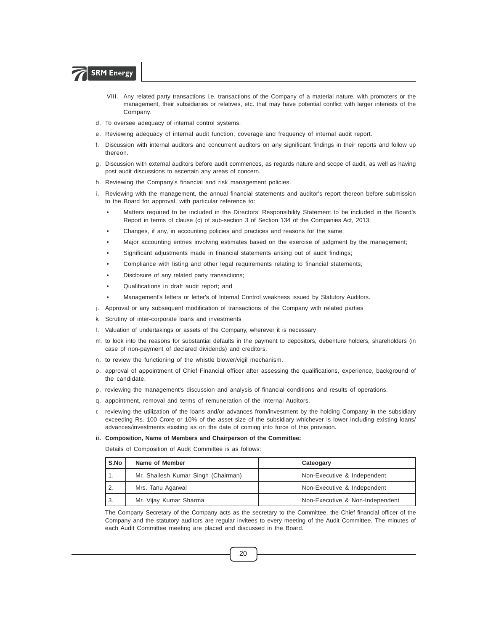## **SRM Energy**

- VIII. Any related party transactions i.e. transactions of the Company of a material nature, with promoters or the management, their subsidiaries or relatives, etc. that may have potential conflict with larger interests of the Company.
- d. To oversee adequacy of internal control systems.
- e. Reviewing adequacy of internal audit function, coverage and frequency of internal audit report.
- f. Discussion with internal auditors and concurrent auditors on any significant findings in their reports and follow up thereon.
- g. Discussion with external auditors before audit commences, as regards nature and scope of audit, as well as having post audit discussions to ascertain any areas of concern.
- h. Reviewing the Company's financial and risk management policies.
- i. Reviewing with the management, the annual financial statements and auditor's report thereon before submission to the Board for approval, with particular reference to:
	- Matters required to be included in the Directors' Responsibility Statement to be included in the Board's Report in terms of clause (c) of sub-section 3 of Section 134 of the Companies Act, 2013;
	- Changes, if any, in accounting policies and practices and reasons for the same;
	- Major accounting entries involving estimates based on the exercise of judgment by the management;
	- Significant adjustments made in financial statements arising out of audit findings;
	- Compliance with listing and other legal requirements relating to financial statements;
	- Disclosure of any related party transactions;
	- Qualifications in draft audit report; and
	- Management's letters or letter's of Internal Control weakness issued by Statutory Auditors.
- j. Approval or any subsequent modification of transactions of the Company with related parties
- k. Scrutiny of inter-corporate loans and investments
- l. Valuation of undertakings or assets of the Company, wherever it is necessary
- m. to look into the reasons for substantial defaults in the payment to depositors, debenture holders, shareholders (in case of non-payment of declared dividends) and creditors.
- n. to review the functioning of the whistle blower/vigil mechanism.
- o. approval of appointment of Chief Financial officer after assessing the qualifications, experience, background of the candidate.
- p. reviewing the management's discussion and analysis of financial conditions and results of operations.
- q. appointment, removal and terms of remuneration of the Internal Auditors.
- r. reviewing the utilization of the loans and/or advances from/investment by the holding Company in the subsidiary exceeding Rs. 100 Crore or 10% of the asset size of the subsidiary whichever is lower including existing loans/ advances/investments existing as on the date of coming into force of this provision.

#### **ii. Composition, Name of Members and Chairperson of the Committee:**

Details of Composition of Audit Committee is as follows:

| S.No | Name of Member                      | Cateogary                       |  |  |
|------|-------------------------------------|---------------------------------|--|--|
|      | Mr. Shailesh Kumar Singh (Chairman) | Non-Executive & Independent     |  |  |
| 2.   | Mrs. Tanu Agarwal                   | Non-Executive & Independent     |  |  |
| 3.   | Mr. Vijay Kumar Sharma              | Non-Executive & Non-Independent |  |  |

The Company Secretary of the Company acts as the secretary to the Committee, the Chief financial officer of the Company and the statutory auditors are regular invitees to every meeting of the Audit Committee. The minutes of each Audit Committee meeting are placed and discussed in the Board.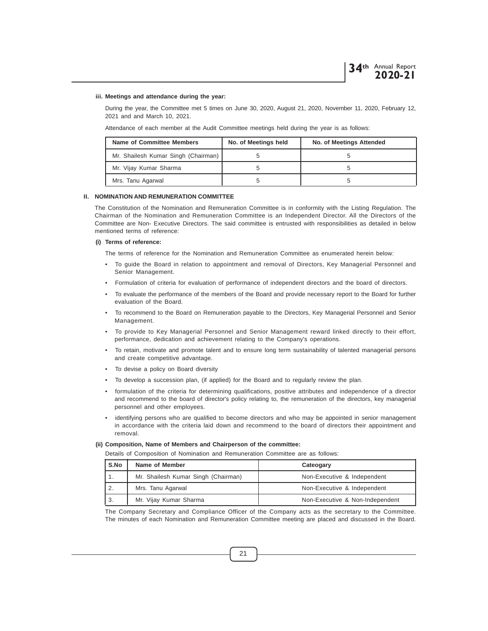#### **iii. Meetings and attendance during the year:**

During the year, the Committee met 5 times on June 30, 2020, August 21, 2020, November 11, 2020, February 12, 2021 and and March 10, 2021.

Attendance of each member at the Audit Committee meetings held during the year is as follows:

| <b>Name of Committee Members</b>    | No. of Meetings held | No. of Meetings Attended |
|-------------------------------------|----------------------|--------------------------|
| Mr. Shailesh Kumar Singh (Chairman) |                      |                          |
| Mr. Vijay Kumar Sharma              |                      |                          |
| Mrs. Tanu Agarwal                   |                      |                          |

#### **II. NOMINATION AND REMUNERATION COMMITTEE**

The Constitution of the Nomination and Remuneration Committee is in conformity with the Listing Regulation. The Chairman of the Nomination and Remuneration Committee is an Independent Director. All the Directors of the Committee are Non- Executive Directors. The said committee is entrusted with responsibilities as detailed in below mentioned terms of reference:

#### **(i) Terms of reference:**

The terms of reference for the Nomination and Remuneration Committee as enumerated herein below:

- To guide the Board in relation to appointment and removal of Directors, Key Managerial Personnel and Senior Management.
- Formulation of criteria for evaluation of performance of independent directors and the board of directors.
- To evaluate the performance of the members of the Board and provide necessary report to the Board for further evaluation of the Board.
- To recommend to the Board on Remuneration payable to the Directors, Key Managerial Personnel and Senior Management.
- To provide to Key Managerial Personnel and Senior Management reward linked directly to their effort, performance, dedication and achievement relating to the Company's operations.
- To retain, motivate and promote talent and to ensure long term sustainability of talented managerial persons and create competitive advantage.
- To devise a policy on Board diversity
- To develop a succession plan, (if applied) for the Board and to regularly review the plan.
- formulation of the criteria for determining qualifications, positive attributes and independence of a director and recommend to the board of director's policy relating to, the remuneration of the directors, key managerial personnel and other employees.
- identifying persons who are qualified to become directors and who may be appointed in senior management in accordance with the criteria laid down and recommend to the board of directors their appointment and removal.

#### **(ii) Composition, Name of Members and Chairperson of the committee:**

Details of Composition of Nomination and Remuneration Committee are as follows:

| S.No | Name of Member                      | Cateogary                       |  |  |
|------|-------------------------------------|---------------------------------|--|--|
| . .  | Mr. Shailesh Kumar Singh (Chairman) | Non-Executive & Independent     |  |  |
|      | Mrs. Tanu Agarwal                   | Non-Executive & Independent     |  |  |
|      | Mr. Vijay Kumar Sharma              | Non-Executive & Non-Independent |  |  |

The Company Secretary and Compliance Officer of the Company acts as the secretary to the Committee. The minutes of each Nomination and Remuneration Committee meeting are placed and discussed in the Board.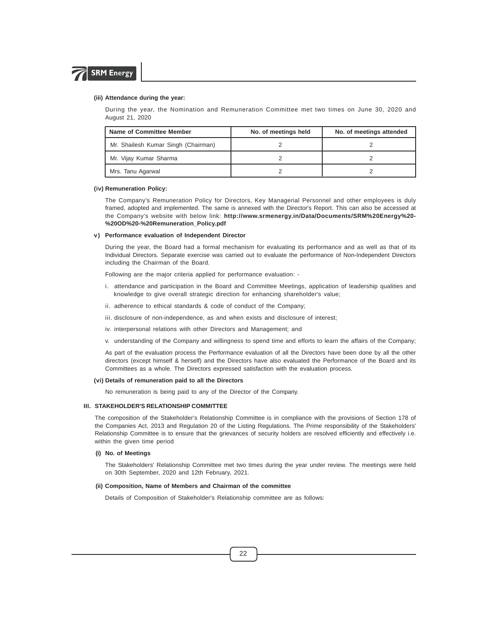## **SRM Energy**

#### **(iii) Attendance during the year:**

During the year, the Nomination and Remuneration Committee met two times on June 30, 2020 and August 21, 2020

| <b>Name of Committee Member</b>     | No. of meetings held | No. of meetings attended |  |
|-------------------------------------|----------------------|--------------------------|--|
| Mr. Shailesh Kumar Singh (Chairman) |                      |                          |  |
| Mr. Vijay Kumar Sharma              |                      |                          |  |
| Mrs. Tanu Agarwal                   |                      |                          |  |

#### **(iv) Remuneration Policy:**

The Company's Remuneration Policy for Directors, Key Managerial Personnel and other employees is duly framed, adopted and implemented. The same is annexed with the Director's Report. This can also be accessed at the Company's website with below link: **http://www.srmenergy.in/Data/Documents/SRM%20Energy%20- %20OD%20-%20Remuneration\_Policy.pdf**

#### **v) Performance evaluation of Independent Director**

During the year, the Board had a formal mechanism for evaluating its performance and as well as that of its Individual Directors. Separate exercise was carried out to evaluate the performance of Non-Independent Directors including the Chairman of the Board.

Following are the major criteria applied for performance evaluation: -

- i. attendance and participation in the Board and Committee Meetings, application of leadership qualities and knowledge to give overall strategic direction for enhancing shareholder's value;
- ii. adherence to ethical standards & code of conduct of the Company;
- iii. disclosure of non-independence, as and when exists and disclosure of interest;
- iv. interpersonal relations with other Directors and Management; and
- v. understanding of the Company and willingness to spend time and efforts to learn the affairs of the Company;

As part of the evaluation process the Performance evaluation of all the Directors have been done by all the other directors (except himself & herself) and the Directors have also evaluated the Performance of the Board and its Committees as a whole. The Directors expressed satisfaction with the evaluation process.

#### **(vi) Details of remuneration paid to all the Directors**

No remuneration is being paid to any of the Director of the Company.

#### **III. STAKEHOLDER'S RELATIONSHIP COMMITTEE**

The composition of the Stakeholder's Relationship Committee is in compliance with the provisions of Section 178 of the Companies Act, 2013 and Regulation 20 of the Listing Regulations. The Prime responsibility of the Stakeholders' Relationship Committee is to ensure that the grievances of security holders are resolved efficiently and effectively i.e. within the given time period

#### **(i) No. of Meetings**

The Stakeholders' Relationship Committee met two times during the year under review. The meetings were held on 30th September, 2020 and 12th February, 2021.

#### **(ii) Composition, Name of Members and Chairman of the committee**

Details of Composition of Stakeholder's Relationship committee are as follows: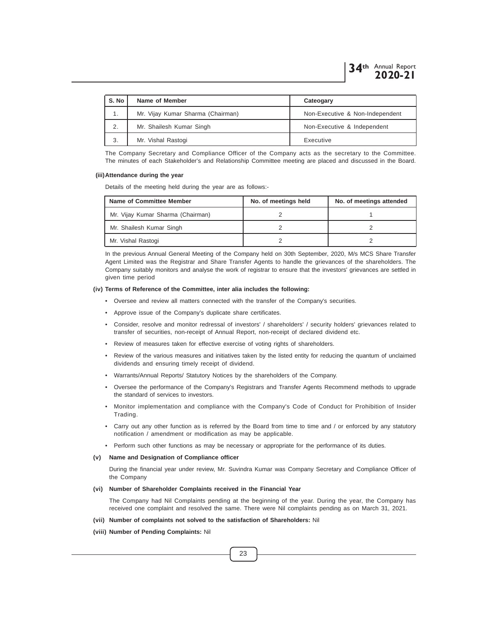| S. No | Name of Member                    | Cateogary                       |  |  |
|-------|-----------------------------------|---------------------------------|--|--|
| 1.    | Mr. Vijay Kumar Sharma (Chairman) | Non-Executive & Non-Independent |  |  |
| 2.    | Mr. Shailesh Kumar Singh          | Non-Executive & Independent     |  |  |
| 3.    | Mr. Vishal Rastogi                | Executive                       |  |  |

The Company Secretary and Compliance Officer of the Company acts as the secretary to the Committee. The minutes of each Stakeholder's and Relationship Committee meeting are placed and discussed in the Board.

#### **(iii)Attendance during the year**

Details of the meeting held during the year are as follows:-

| Name of Committee Member          | No. of meetings held | No. of meetings attended |  |
|-----------------------------------|----------------------|--------------------------|--|
| Mr. Vijay Kumar Sharma (Chairman) |                      |                          |  |
| Mr. Shailesh Kumar Singh          |                      |                          |  |
| Mr. Vishal Rastogi                |                      |                          |  |

In the previous Annual General Meeting of the Company held on 30th September, 2020, M/s MCS Share Transfer Agent Limited was the Registrar and Share Transfer Agents to handle the grievances of the shareholders. The Company suitably monitors and analyse the work of registrar to ensure that the investors' grievances are settled in given time period

#### **(iv) Terms of Reference of the Committee, inter alia includes the following:**

- Oversee and review all matters connected with the transfer of the Company's securities.
- Approve issue of the Company's duplicate share certificates.
- Consider, resolve and monitor redressal of investors' / shareholders' / security holders' grievances related to transfer of securities, non-receipt of Annual Report, non-receipt of declared dividend etc.
- Review of measures taken for effective exercise of voting rights of shareholders.
- Review of the various measures and initiatives taken by the listed entity for reducing the quantum of unclaimed dividends and ensuring timely receipt of dividend.
- Warrants/Annual Reports/ Statutory Notices by the shareholders of the Company.
- Oversee the performance of the Company's Registrars and Transfer Agents Recommend methods to upgrade the standard of services to investors.
- Monitor implementation and compliance with the Company's Code of Conduct for Prohibition of Insider Trading.
- Carry out any other function as is referred by the Board from time to time and / or enforced by any statutory notification / amendment or modification as may be applicable.
- Perform such other functions as may be necessary or appropriate for the performance of its duties.

#### **(v) Name and Designation of Compliance officer**

During the financial year under review, Mr. Suvindra Kumar was Company Secretary and Compliance Officer of the Company

#### **(vi) Number of Shareholder Complaints received in the Financial Year**

The Company had Nil Complaints pending at the beginning of the year. During the year, the Company has received one complaint and resolved the same. There were Nil complaints pending as on March 31, 2021.

- **(vii) Number of complaints not solved to the satisfaction of Shareholders:** Nil
- **(viii) Number of Pending Complaints:** Nil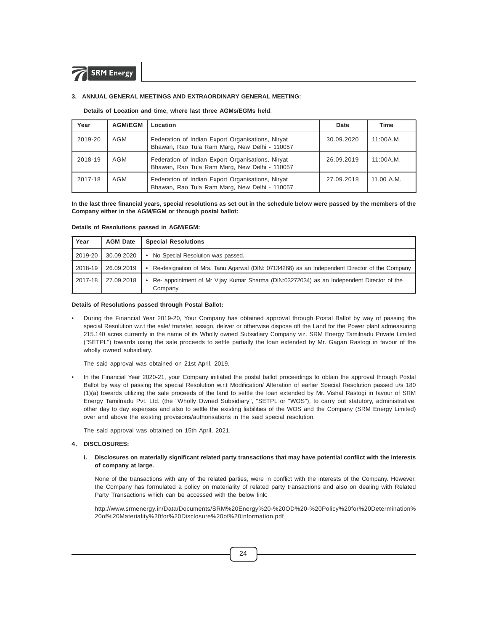

#### **3. ANNUAL GENERAL MEETINGS AND EXTRAORDINARY GENERAL MEETING:**

#### **Details of Location and time, where last three AGMs/EGMs held**:

| Year    | <b>AGM/EGM</b> | Location                                                                                           | Date       | Time       |
|---------|----------------|----------------------------------------------------------------------------------------------------|------------|------------|
| 2019-20 | AGM            | Federation of Indian Export Organisations, Niryat<br>Bhawan, Rao Tula Ram Marg, New Delhi - 110057 | 30.09.2020 | 11:00A.M.  |
| 2018-19 | AGM            | Federation of Indian Export Organisations, Niryat<br>Bhawan, Rao Tula Ram Marg, New Delhi - 110057 | 26.09.2019 | 11:00A.M.  |
| 2017-18 | AGM            | Federation of Indian Export Organisations, Niryat<br>Bhawan, Rao Tula Ram Marg, New Delhi - 110057 | 27.09.2018 | 11.00 A.M. |

**In the last three financial years, special resolutions as set out in the schedule below were passed by the members of the Company either in the AGM/EGM or through postal ballot:**

#### **Details of Resolutions passed in AGM/EGM:**

| Year    | <b>AGM Date</b> | <b>Special Resolutions</b>                                                                              |
|---------|-----------------|---------------------------------------------------------------------------------------------------------|
| 2019-20 | 30.09.2020      | No Special Resolution was passed.<br>$\bullet$                                                          |
| 2018-19 | 26.09.2019      | • Re-designation of Mrs. Tanu Agarwal (DIN: 07134266) as an Independent Director of the Company         |
| 2017-18 | 27.09.2018      | • Re- appointment of Mr Vijay Kumar Sharma (DIN:03272034) as an Independent Director of the<br>Company. |

#### **Details of Resolutions passed through Postal Ballot:**

• During the Financial Year 2019-20, Your Company has obtained approval through Postal Ballot by way of passing the special Resolution w.r.t the sale/ transfer, assign, deliver or otherwise dispose off the Land for the Power plant admeasuring 215.140 acres currently in the name of its Wholly owned Subsidiary Company viz. SRM Energy Tamilnadu Private Limited ("SETPL") towards using the sale proceeds to settle partially the loan extended by Mr. Gagan Rastogi in favour of the wholly owned subsidiary.

The said approval was obtained on 21st April, 2019.

• In the Financial Year 2020-21, your Company initiated the postal ballot proceedings to obtain the approval through Postal Ballot by way of passing the special Resolution w.r.t Modification/ Alteration of earlier Special Resolution passed u/s 180 (1)(a) towards utilizing the sale proceeds of the land to settle the loan extended by Mr. Vishal Rastogi in favour of SRM Energy Tamilnadu Pvt. Ltd. (the "Wholly Owned Subsidiary", "SETPL or "WOS"), to carry out statutory, administrative, other day to day expenses and also to settle the existing liabilities of the WOS and the Company (SRM Energy Limited) over and above the existing provisions/authorisations in the said special resolution.

The said approval was obtained on 15th April, 2021.

#### **4. DISCLOSURES:**

**i. Disclosures on materially significant related party transactions that may have potential conflict with the interests of company at large.**

None of the transactions with any of the related parties, were in conflict with the interests of the Company. However, the Company has formulated a policy on materiality of related party transactions and also on dealing with Related Party Transactions which can be accessed with the below link:

http://www.srmenergy.in/Data/Documents/SRM%20Energy%20-%20OD%20-%20Policy%20for%20Determination% 20of%20Materiality%20for%20Disclosure%20of%20Information.pdf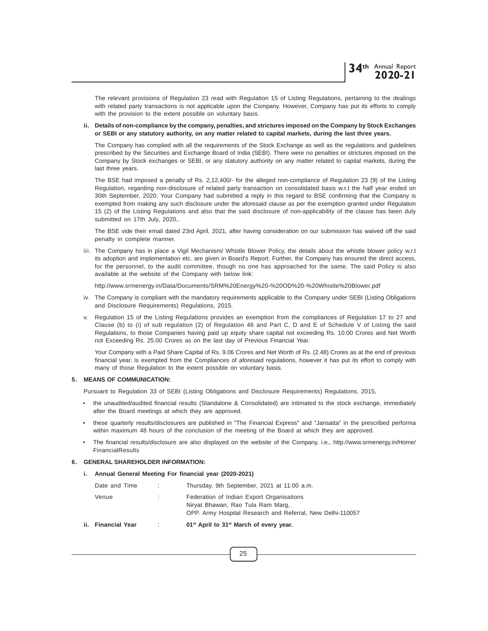The relevant provisions of Regulation 23 read with Regulation 15 of Listing Regulations, pertaining to the dealings with related party transactions is not applicable upon the Company. However, Company has put its efforts to comply with the provision to the extent possible on voluntary basis.

#### **ii. Details of non-compliance by the company, penalties, and strictures imposed on the Company by Stock Exchanges or SEBI or any statutory authority, on any matter related to capital markets, during the last three years.**

The Company has complied with all the requirements of the Stock Exchange as well as the regulations and guidelines prescribed by the Securities and Exchange Board of India (SEBI). There were no penalties or strictures imposed on the Company by Stock exchanges or SEBI, or any statutory authority on any matter related to capital markets, during the last three years.

The BSE had imposed a penalty of Rs. 2,12,400/- for the alleged non-compliance of Regulation 23 (9) of the Listing Regulation, regarding non-disclosure of related party transaction on consolidated basis w.r.t the half year ended on 30th September, 2020. Your Company had submitted a reply in this regard to BSE confirming that the Company is exempted from making any such disclosure under the aforesaid clause as per the exemption granted under Regulation 15 (2) of the Listing Regulations and also that the said disclosure of non-applicability of the clause has been duly submitted on 17th July, 2020,.

The BSE vide their email dated 23rd April, 2021, after having consideration on our submission has waived off the said penalty in complete manner.

iii. The Company has in place a Vigil Mechanism/ Whistle Blower Policy, the details about the whistle blower policy w.r.t its adoption and implementation etc. are given in Board's Report. Further, the Company has ensured the direct access, for the personnel, to the audit committee, though no one has approached for the same. The said Policy is also available at the website of the Company with below link:

http://www.srmenergy.in/Data/Documents/SRM%20Energy%20-%20OD%20-%20Whistle%20Blower.pdf

- iv. The Company is compliant with the mandatory requirements applicable to the Company under SEBI (Listing Obligations and Disclosure Requirements) Regulations, 2015.
- v. Regulation 15 of the Listing Regulations provides an exemption from the compliances of Regulation 17 to 27 and Clause (b) to (i) of sub regulation (2) of Regulation 46 and Part C, D and E of Schedule V of Listing the said Regulations, to those Companies having paid up equity share capital not exceeding Rs. 10.00 Crores and Net Worth not Exceeding Rs. 25.00 Crores as on the last day of Previous Financial Year.

Your Company with a Paid Share Capital of Rs. 9.06 Crores and Net Worth of Rs. (2.48) Crores as at the end of previous financial year, is exempted from the Compliances of aforesaid regulations, however it has put its effort to comply with many of those Regulation to the extent possible on voluntary basis.

#### **5. MEANS OF COMMUNICATION:**

Pursuant to Regulation 33 of SEBI (Listing Obligations and Disclosure Requirements) Regulations, 2015,

- the unaudited/audited financial results (Standalone & Consolidated) are intimated to the stock exchange, immediately after the Board meetings at which they are approved.
- these quarterly results/disclosures are published in "The Financial Express" and "Jansatta" in the prescribed performa within maximum 48 hours of the conclusion of the meeting of the Board at which they are approved.
- The financial results/disclosure are also displayed on the website of the Company, i.e., http://www.srmenergy.in/Home/ FinancialResults

#### **6. GENERAL SHAREHOLDER INFORMATION:**

**i. Annual General Meeting For financial year (2020-2021)**

| ii. Financial Year | ٠ | 01 <sup>st</sup> April to 31 <sup>st</sup> March of every year.                                                                              |
|--------------------|---|----------------------------------------------------------------------------------------------------------------------------------------------|
| Venue              |   | Federation of Indian Export Organisations<br>Niryat Bhawan, Rao Tula Ram Marg,<br>OPP. Army Hospital Research and Referral, New Delhi-110057 |
| Date and Time      | ÷ | Thursday, 9th September, 2021 at 11:00 a.m.                                                                                                  |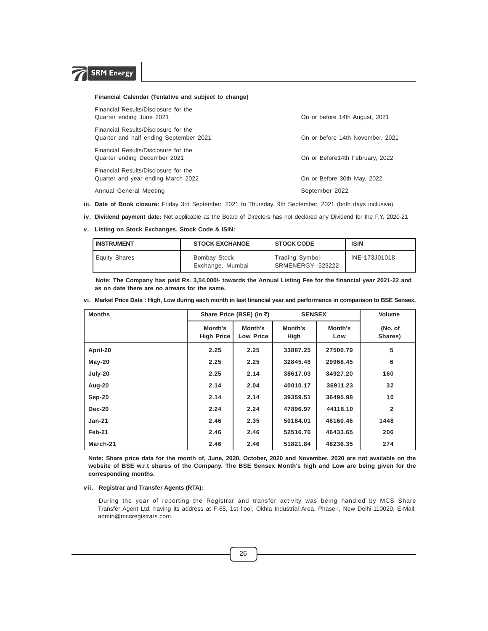

#### **Financial Calendar (Tentative and subject to change)**

| Financial Results/Disclosure for the<br>Quarter ending June 2021               | On or before 14th August, 2021   |
|--------------------------------------------------------------------------------|----------------------------------|
| Financial Results/Disclosure for the<br>Quarter and half ending September 2021 | On or before 14th November, 2021 |
| Financial Results/Disclosure for the<br>Quarter ending December 2021           | On or Before14th February, 2022  |
| Financial Results/Disclosure for the<br>Quarter and year ending March 2022     | On or Before 30th May, 2022      |
| Annual General Meeting                                                         | September 2022                   |

**iii. Date of Book closure:** Friday 3rd September, 2021 to Thursday, 9th September, 2021 (both days inclusive).

**iv. Dividend payment date:** Not applicable as the Board of Directors has not declared any Dividend for the F.Y. 2020-21

**v. Listing on Stock Exchanges, Stock Code & ISIN:**

| <b>INSTRUMENT</b>    | <b>STOCK EXCHANGE</b>                   | <b>STOCK CODE</b>                    | <b>ISIN</b>   |  |
|----------------------|-----------------------------------------|--------------------------------------|---------------|--|
| <b>Equity Shares</b> | <b>Bombay Stock</b><br>Exchange, Mumbai | Trading Symbol-<br>SRMENERGY- 523222 | INE-173J01018 |  |

**Note: The Company has paid Rs. 3,54,000/- towards the Annual Listing Fee for the financial year 2021-22 and as on date there are no arrears for the same.**

#### **vi. Market Price Data : High, Low during each month in last financial year and performance in comparison to BSE Sensex.**

| <b>Months</b> | Share Price (BSE) (in ₹)     |                             | <b>SENSEX</b>   |                | <b>Volume</b>      |
|---------------|------------------------------|-----------------------------|-----------------|----------------|--------------------|
|               | Month's<br><b>High Price</b> | Month's<br><b>Low Price</b> | Month's<br>High | Month's<br>Low | (No. of<br>Shares) |
| April-20      | 2.25                         | 2.25                        | 33887.25        | 27500.79       | 5                  |
| $May-20$      | 2.25                         | 2.25                        | 32845.48        | 29968.45       | 6                  |
| July-20       | 2.25                         | 2.14                        | 38617.03        | 34927.20       | 160                |
| Aug-20        | 2.14                         | 2.04                        | 40010.17        | 36911.23       | 32                 |
| $Sep-20$      | 2.14                         | 2.14                        | 39359.51        | 36495.98       | 10                 |
| Dec-20        | 2.24                         | 2.24                        | 47896.97        | 44118.10       | $\overline{2}$     |
| $Jan-21$      | 2.46                         | 2.35                        | 50184.01        | 46160.46       | 1448               |
| Feb-21        | 2.46                         | 2.46                        | 52516.76        | 46433.65       | 206                |
| March-21      | 2.46                         | 2.46                        | 51821.84        | 48236.35       | 274                |

**Note: Share price data for the month of, June, 2020, October, 2020 and November, 2020 are not available on the website of BSE w.r.t shares of the Company. The BSE Sensex Month's high and Low are being given for the corresponding months.**

#### **vii. Registrar and Transfer Agents (RTA):**

During the year of reporting the Registrar and transfer activity was being handled by MCS Share Transfer Agent Ltd. having its address at F-65, 1st floor, Okhla Industrial Area, Phase-I, New Delhi-110020, E-Mail: admin@mcsregistrars.com.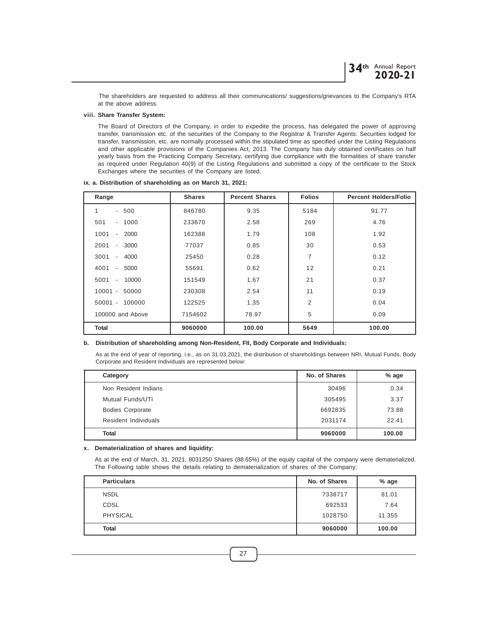The shareholders are requested to address all their communications/ suggestions/grievances to the Company's RTA at the above address.

#### **viii. Share Transfer System:**

The Board of Directors of the Company, in order to expedite the process, has delegated the power of approving transfer, transmission etc. of the securities of the Company to the Registrar & Transfer Agents. Securities lodged for transfer, transmission, etc. are normally processed within the stipulated time as specified under the Listing Regulations and other applicable provisions of the Companies Act, 2013. The Company has duly obtained certificates on half yearly basis from the Practicing Company Secretary, certifying due compliance with the formalities of share transfer as required under Regulation 40(9) of the Listing Regulations and submitted a copy of the certificate to the Stock Exchanges where the securities of the Company are listed.

|  |  |  | ix. a. Distribution of shareholding as on March 31, 2021: |  |  |  |  |  |  |
|--|--|--|-----------------------------------------------------------|--|--|--|--|--|--|
|--|--|--|-----------------------------------------------------------|--|--|--|--|--|--|

| Range                                     | <b>Shares</b> | <b>Percent Shares</b> | <b>Folios</b>  | <b>Percent Holders/Folio</b> |
|-------------------------------------------|---------------|-----------------------|----------------|------------------------------|
| $-500$<br>1                               | 846780        | 9.35                  | 5184           | 91.77                        |
| 501<br>$-1000$                            | 233670        | 2.58                  | 269            | 4.76                         |
| 1001<br>2000<br>$\overline{\phantom{a}}$  | 162388        | 1.79                  | 108            | 1.92                         |
| 2001<br>3000<br>$\overline{\phantom{a}}$  | 77037         | 0.85                  | 30             | 0.53                         |
| 3001<br>4000<br>$\sim$                    | 25450         | 0.28                  | 7              | 0.12                         |
| 4001<br>5000<br>$\overline{\phantom{a}}$  | 55691         | 0.62                  | 12             | 0.21                         |
| 5001<br>10000<br>$\overline{\phantom{a}}$ | 151549        | 1.67                  | 21             | 0.37                         |
| $10001 -$<br>50000                        | 230308        | 2.54                  | 11             | 0.19                         |
| 50001 - 100000                            | 122525        | 1.35                  | $\overline{2}$ | 0.04                         |
| 100000 and Above                          | 7154602       | 78.97                 | 5              | 0.09                         |
| Total                                     | 9060000       | 100.00                | 5649           | 100.00                       |

#### **b. Distribution of shareholding among Non-Resident, FII, Body Corporate and Individuals:**

As at the end of year of reporting, i.e., as on 31.03.2021, the distribution of shareholdings between NRI, Mutual Funds, Body Corporate and Resident Individuals are represented below:

| Category                | No. of Shares | % age  |
|-------------------------|---------------|--------|
| Non Resident Indians    | 30496         | 0.34   |
| Mutual Funds/UTI        | 305495        | 3.37   |
| <b>Bodies Corporate</b> | 6692835       | 73.88  |
| Resident Individuals    | 2031174       | 22.41  |
| Total                   | 9060000       | 100.00 |

#### **x. Dematerialization of shares and liquidity:**

As at the end of March, 31, 2021, 8031250 Shares (88.65%) of the equity capital of the company were dematerialized. The Following table shows the details relating to dematerialization of shares of the Company:

| <b>Particulars</b> | No. of Shares | % age  |
|--------------------|---------------|--------|
| <b>NSDL</b>        | 7338717       | 81.01  |
| <b>CDSL</b>        | 692533        | 7.64   |
| PHYSICAL           | 1028750       | 11.355 |
| Total              | 9060000       | 100.00 |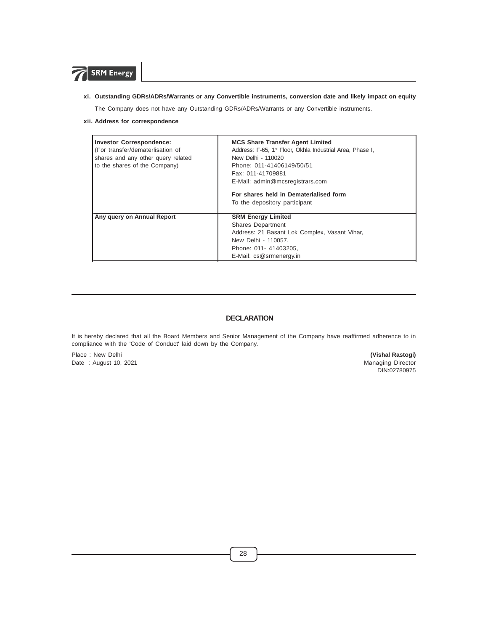

#### **xi. Outstanding GDRs/ADRs/Warrants or any Convertible instruments, conversion date and likely impact on equity**

The Company does not have any Outstanding GDRs/ADRs/Warrants or any Convertible instruments.

#### **xii. Address for correspondence**

| <b>Investor Correspondence:</b><br>(For transfer/dematerlisation of<br>shares and any other query related<br>to the shares of the Company) | <b>MCS Share Transfer Agent Limited</b><br>Address: F-65, 1 <sup>st</sup> Floor, Okhla Industrial Area, Phase I,<br>New Delhi - 110020<br>Phone: 011-41406149/50/51<br>Fax: 011-41709881<br>E-Mail: admin@mcsregistrars.com<br>For shares held in Dematerialised form<br>To the depository participant |
|--------------------------------------------------------------------------------------------------------------------------------------------|--------------------------------------------------------------------------------------------------------------------------------------------------------------------------------------------------------------------------------------------------------------------------------------------------------|
| Any query on Annual Report                                                                                                                 | <b>SRM Energy Limited</b><br><b>Shares Department</b><br>Address: 21 Basant Lok Complex, Vasant Vihar,<br>New Delhi - 110057.<br>Phone: 011-41403205.<br>E-Mail: cs@srmenergy.in                                                                                                                       |

#### **DECLARATION**

It is hereby declared that all the Board Members and Senior Management of the Company have reaffirmed adherence to in compliance with the 'Code of Conduct' laid down by the Company.

Place : New Delhi **(Vishal Rastogi)** Date : August 10, 2021 Managing Director

DIN:02780975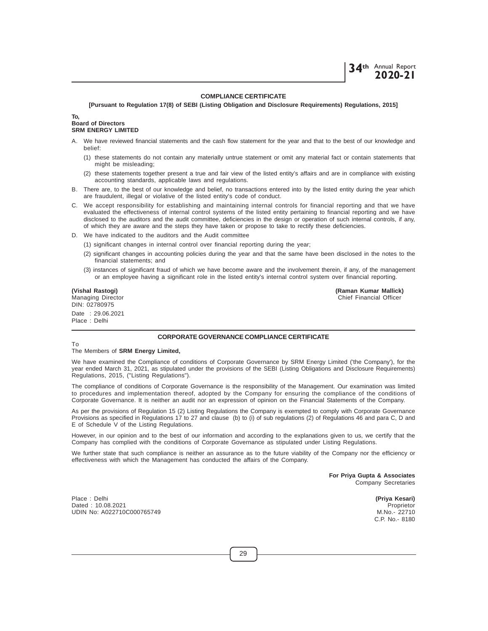#### **COMPLIANCE CERTIFICATE**

**[Pursuant to Regulation 17(8) of SEBI (Listing Obligation and Disclosure Requirements) Regulations, 2015]**

#### **To, Board of Directors SRM ENERGY LIMITED**

- A. We have reviewed financial statements and the cash flow statement for the year and that to the best of our knowledge and belief:
	- (1) these statements do not contain any materially untrue statement or omit any material fact or contain statements that might be misleading;
	- (2) these statements together present a true and fair view of the listed entity's affairs and are in compliance with existing accounting standards, applicable laws and regulations.
- B. There are, to the best of our knowledge and belief, no transactions entered into by the listed entity during the year which are fraudulent, illegal or violative of the listed entity's code of conduct.
- C. We accept responsibility for establishing and maintaining internal controls for financial reporting and that we have evaluated the effectiveness of internal control systems of the listed entity pertaining to financial reporting and we have disclosed to the auditors and the audit committee, deficiencies in the design or operation of such internal controls, if any, of which they are aware and the steps they have taken or propose to take to rectify these deficiencies.
- D. We have indicated to the auditors and the Audit committee
	- (1) significant changes in internal control over financial reporting during the year;
	- (2) significant changes in accounting policies during the year and that the same have been disclosed in the notes to the financial statements; and
	- $(3)$  instances of significant fraud of which we have become aware and the involvement therein, if any, of the management or an employee having a significant role in the listed entity's internal control system over financial reporting.

DIN: 02780975 Date : 29.06.2021 Place : Delhi

**(Vishal Rastogi) (Raman Kumar Mallick)** Managing Director Chief Financial Officer

#### **CORPORATE GOVERNANCE COMPLIANCE CERTIFICATE**

To

#### The Members of **SRM Energy Limited,**

We have examined the Compliance of conditions of Corporate Governance by SRM Energy Limited ('the Company'), for the year ended March 31, 2021, as stipulated under the provisions of the SEBI (Listing Obligations and Disclosure Requirements) Regulations, 2015, ("Listing Regulations").

The compliance of conditions of Corporate Governance is the responsibility of the Management. Our examination was limited to procedures and implementation thereof, adopted by the Company for ensuring the compliance of the conditions of Corporate Governance. It is neither an audit nor an expression of opinion on the Financial Statements of the Company.

As per the provisions of Regulation 15 (2) Listing Regulations the Company is exempted to comply with Corporate Governance Provisions as specified in Regulations 17 to 27 and clause (b) to (i) of sub regulations (2) of Regulations 46 and para C, D and E of Schedule V of the Listing Regulations.

However, in our opinion and to the best of our information and according to the explanations given to us, we certify that the Company has complied with the conditions of Corporate Governance as stipulated under Listing Regulations.

We further state that such compliance is neither an assurance as to the future viability of the Company nor the efficiency or effectiveness with which the Management has conducted the affairs of the Company.

> **For Priya Gupta & Associates** Company Secretaries

Place : Delhi **(Priya Kesari)** Dated : 10.08.2021 Proprietor UDIN No: A022710C000765749 M.No.- 22710

C.P. No.- 8180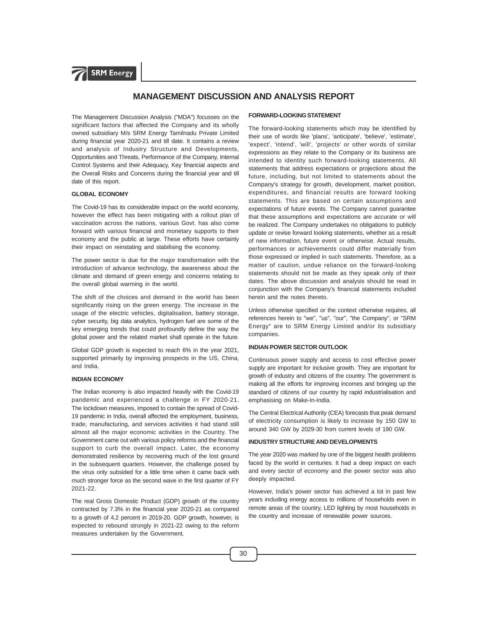

### **MANAGEMENT DISCUSSION AND ANALYSIS REPORT**

The Management Discussion Analysis ("MDA") focusses on the significant factors that affected the Company and its wholly owned subsidiary M/s SRM Energy Tamilnadu Private Limited during financial year 2020-21 and till date. It contains a review and analysis of Industry Structure and Developments, Opportunities and Threats, Performance of the Company, Internal Control Systems and their Adequacy, Key financial aspects and the Overall Risks and Concerns during the financial year and till date of this report.

#### **GLOBAL ECONOMY**

The Covid-19 has its considerable impact on the world economy, however the effect has been mitigating with a rollout plan of vaccination across the nations, various Govt. has also come forward with various financial and monetary supports to their economy and the public at large. These efforts have certainly their impact on reinstating and stabilising the economy.

The power sector is due for the major transformation with the introduction of advance technology, the awareness about the climate and demand of green energy and concerns relating to the overall global warming in the world.

The shift of the choices and demand in the world has been significantly rising on the green energy. The increase in the usage of the electric vehicles, digitalisation, battery storage, cyber security, big data analytics, hydrogen fuel are some of the key emerging trends that could profoundly define the way the global power and the related market shall operate in the future.

Global GDP growth is expected to reach 6% in the year 2021, supported primarily by improving prospects in the US, China, and India.

#### **INDIAN ECONOMY**

The Indian economy is also impacted heavily with the Covid-19 pandemic and experienced a challenge in FY 2020-21. The lockdown measures, imposed to contain the spread of Covid-19 pandemic in India, overall affected the employment, business, trade, manufacturing, and services activities it had stand still almost all the major economic activities in the Country. The Government came out with various policy reforms and the financial support to curb the overall impact. Later, the economy demonstrated resilience by recovering much of the lost ground in the subsequent quarters. However, the challenge posed by the virus only subsided for a little time when it came back with much stronger force as the second wave in the first quarter of FY 2021-22.

The real Gross Domestic Product (GDP) growth of the country contracted by 7.3% in the financial year 2020-21 as compared to a growth of 4.2 percent in 2019-20. GDP growth, however, is expected to rebound strongly in 2021-22 owing to the reform measures undertaken by the Government.

#### **FORWARD-LOOKING STATEMENT**

The forward-looking statements which may be identified by their use of words like 'plans', 'anticipate', 'believe', 'estimate', 'expect', 'intend', 'will', 'projects' or other words of similar expressions as they relate to the Company or its business are intended to identity such forward-looking statements. All statements that address expectations or projections about the future, including, but not limited to statements about the Company's strategy for growth, development, market position, expenditures, and financial results are forward looking statements. This are based on certain assumptions and expectations of future events. The Company cannot guarantee that these assumptions and expectations are accurate or will be realized. The Company undertakes no obligations to publicly update or revise forward looking statements, whether as a result of new information, future event or otherwise. Actual results, performances or achievements could differ materially from those expressed or implied in such statements. Therefore, as a matter of caution, undue reliance on the forward-looking statements should not be made as they speak only of their dates. The above discussion and analysis should be read in conjunction with the Company's financial statements included herein and the notes thereto.

Unless otherwise specified or the context otherwise requires, all references herein to "we", "us", "our", "the Company", or "SRM Energy" are to SRM Energy Limited and/or its subsidiary companies.

#### **INDIAN POWER SECTOR OUTLOOK**

Continuous power supply and access to cost effective power supply are important for inclusive growth. They are important for growth of industry and citizens of the country. The government is making all the efforts for improving incomes and bringing up the standard of citizens of our country by rapid industrialisation and emphasising on Make-In-India.

The Central Electrical Authority (CEA) forecasts that peak demand of electricity consumption is likely to increase by 150 GW to around 340 GW by 2029-30 from current levels of 190 GW.

#### **INDUSTRY STRUCTURE AND DEVELOPMENTS**

The year 2020 was marked by one of the biggest health problems faced by the world in centuries. It had a deep impact on each and every sector of economy and the power sector was also deeply impacted.

However, India's power sector has achieved a lot in past few years including energy access to millions of households even in remote areas of the country, LED lighting by most households in the country and increase of renewable power sources.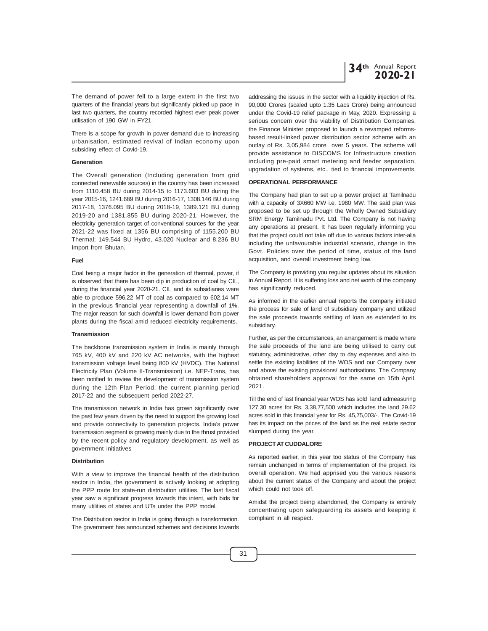The demand of power fell to a large extent in the first two quarters of the financial years but significantly picked up pace in last two quarters, the country recorded highest ever peak power utilisation of 190 GW in FY21.

There is a scope for growth in power demand due to increasing urbanisation, estimated revival of Indian economy upon subsiding effect of Covid-19.

#### **Generation**

The Overall generation (Including generation from grid connected renewable sources) in the country has been increased from 1110.458 BU during 2014-15 to 1173.603 BU during the year 2015-16, 1241.689 BU during 2016-17, 1308.146 BU during 2017-18, 1376.095 BU during 2018-19, 1389.121 BU during 2019-20 and 1381.855 BU during 2020-21. However, the electricity generation target of conventional sources for the year 2021-22 was fixed at 1356 BU comprising of 1155.200 BU Thermal; 149.544 BU Hydro, 43.020 Nuclear and 8.236 BU Import from Bhutan.

#### **Fuel**

Coal being a major factor in the generation of thermal, power, it is observed that there has been dip in production of coal by CIL, during the financial year 2020-21. CIL and its subsidiaries were able to produce 596.22 MT of coal as compared to 602.14 MT in the previous financial year representing a downfall of 1%. The major reason for such downfall is lower demand from power plants during the fiscal amid reduced electricity requirements.

#### **Transmission**

The backbone transmission system in India is mainly through 765 kV, 400 kV and 220 kV AC networks, with the highest transmission voltage level being 800 kV (HVDC). The National Electricity Plan (Volume II-Transmission) i.e. NEP-Trans, has been notified to review the development of transmission system during the 12th Plan Period, the current planning period 2017-22 and the subsequent period 2022-27.

The transmission network in India has grown significantly over the past few years driven by the need to support the growing load and provide connectivity to generation projects. India's power transmission segment is growing mainly due to the thrust provided by the recent policy and regulatory development, as well as government initiatives

#### **Distribution**

With a view to improve the financial health of the distribution sector in India, the government is actively looking at adopting the PPP route for state-run distribution utilities. The last fiscal year saw a significant progress towards this intent, with bids for many utilities of states and UTs under the PPP model.

The Distribution sector in India is going through a transformation. The government has announced schemes and decisions towards

# Annual Report **2020-21 34th**

addressing the issues in the sector with a liquidity injection of Rs. 90,000 Crores (scaled upto 1.35 Lacs Crore) being announced under the Covid-19 relief package in May, 2020. Expressing a serious concern over the viability of Distribution Companies, the Finance Minister proposed to launch a revamped reformsbased result-linked power distribution sector scheme with an outlay of Rs. 3,05,984 crore over 5 years. The scheme will provide assistance to DISCOMS for Infrastructure creation including pre-paid smart metering and feeder separation, upgradation of systems, etc., tied to financial improvements.

#### **OPERATIONAL PERFORMANCE**

The Company had plan to set up a power project at Tamilnadu with a capacity of 3X660 MW i.e. 1980 MW. The said plan was proposed to be set up through the Wholly Owned Subsidiary SRM Energy Tamilnadu Pvt. Ltd. The Company is not having any operations at present. It has been regularly informing you that the project could not take off due to various factors inter-alia including the unfavourable industrial scenario, change in the Govt. Policies over the period of time, status of the land acquisition, and overall investment being low.

The Company is providing you regular updates about its situation in Annual Report. It is suffering loss and net worth of the company has significantly reduced.

As informed in the earlier annual reports the company initiated the process for sale of land of subsidiary company and utilized the sale proceeds towards settling of loan as extended to its subsidiary.

Further, as per the circumstances, an arrangement is made where the sale proceeds of the land are being utilised to carry out statutory, administrative, other day to day expenses and also to settle the existing liabilities of the WOS and our Company over and above the existing provisions/ authorisations. The Company obtained shareholders approval for the same on 15th April, 2021.

Till the end of last financial year WOS has sold land admeasuring 127.30 acres for Rs. 3,38,77,500 which includes the land 29.62 acres sold in this financial year for Rs. 45,75,003/-. The Covid-19 has its impact on the prices of the land as the real estate sector slumped during the year.

#### **PROJECT AT CUDDALORE**

As reported earlier, in this year too status of the Company has remain unchanged in terms of implementation of the project, its overall operation. We had apprised you the various reasons about the current status of the Company and about the project which could not took off.

Amidst the project being abandoned, the Company is entirely concentrating upon safeguarding its assets and keeping it compliant in all respect.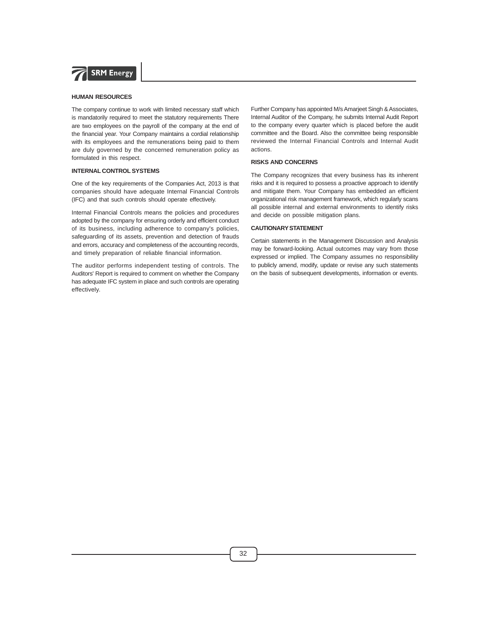

#### **HUMAN RESOURCES**

The company continue to work with limited necessary staff which is mandatorily required to meet the statutory requirements There are two employees on the payroll of the company at the end of the financial year. Your Company maintains a cordial relationship with its employees and the remunerations being paid to them are duly governed by the concerned remuneration policy as formulated in this respect.

#### **INTERNAL CONTROL SYSTEMS**

One of the key requirements of the Companies Act, 2013 is that companies should have adequate Internal Financial Controls (IFC) and that such controls should operate effectively.

Internal Financial Controls means the policies and procedures adopted by the company for ensuring orderly and efficient conduct of its business, including adherence to company's policies, safeguarding of its assets, prevention and detection of frauds and errors, accuracy and completeness of the accounting records, and timely preparation of reliable financial information.

The auditor performs independent testing of controls. The Auditors' Report is required to comment on whether the Company has adequate IFC system in place and such controls are operating effectively.

Further Company has appointed M/s Amarjeet Singh & Associates, Internal Auditor of the Company, he submits Internal Audit Report to the company every quarter which is placed before the audit committee and the Board. Also the committee being responsible reviewed the Internal Financial Controls and Internal Audit actions.

#### **RISKS AND CONCERNS**

The Company recognizes that every business has its inherent risks and it is required to possess a proactive approach to identify and mitigate them. Your Company has embedded an efficient organizational risk management framework, which regularly scans all possible internal and external environments to identify risks and decide on possible mitigation plans.

#### **CAUTIONARY STATEMENT**

Certain statements in the Management Discussion and Analysis may be forward-looking. Actual outcomes may vary from those expressed or implied. The Company assumes no responsibility to publicly amend, modify, update or revise any such statements on the basis of subsequent developments, information or events.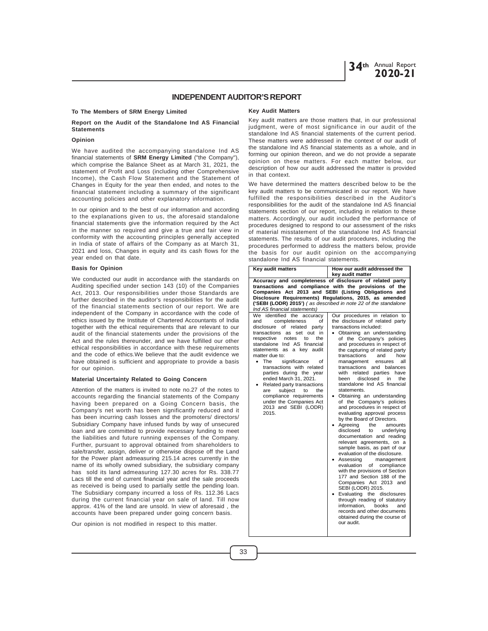#### **INDEPENDENT AUDITOR'S REPORT**

#### **To The Members of SRM Energy Limited**

**Report on the Audit of the Standalone Ind AS Financial Statements**

#### **Opinion**

We have audited the accompanying standalone Ind AS financial statements of **SRM Energy Limited** ("the Company"), which comprise the Balance Sheet as at March 31, 2021, the statement of Profit and Loss (including other Comprehensive Income), the Cash Flow Statement and the Statement of Changes in Equity for the year then ended, and notes to the financial statement including a summary of the significant accounting policies and other explanatory information.

In our opinion and to the best of our information and according to the explanations given to us, the aforesaid standalone financial statements give the information required by the Act in the manner so required and give a true and fair view in conformity with the accounting principles generally accepted in India of state of affairs of the Company as at March 31, 2021 and loss, Changes in equity and its cash flows for the year ended on that date.

#### **Basis for Opinion**

We conducted our audit in accordance with the standards on Auditing specified under section 143 (10) of the Companies Act, 2013. Our responsibilities under those Standards are further described in the auditor's responsibilities for the audit of the financial statements section of our report. We are independent of the Company in accordance with the code of ethics issued by the Institute of Chartered Accountants of India together with the ethical requirements that are relevant to our audit of the financial statements under the provisions of the Act and the rules thereunder, and we have fulfilled our other ethical responsibilities in accordance with these requirements and the code of ethics.We believe that the audit evidence we have obtained is sufficient and appropriate to provide a basis for our opinion.

#### **Material Uncertainty Related to Going Concern**

Attention of the matters is invited to note no.27 of the notes to accounts regarding the financial statements of the Company having been prepared on a Going Concern basis, the Company's net worth has been significantly reduced and it has been incurring cash losses and the promoters/ directors/ Subsidiary Company have infused funds by way of unsecured loan and are committed to provide necessary funding to meet the liabilities and future running expenses of the Company. Further, pursuant to approval obtained from shareholders to sale/transfer, assign, deliver or otherwise dispose off the Land for the Power plant admeasuring 215.14 acres currently in the name of its wholly owned subsidiary, the subsidiary company has sold its land admeasuring 127.30 acres for Rs. 338.77 Lacs till the end of current financial year and the sale proceeds as received is being used to partially settle the pending loan. The Subsidiary company incurred a loss of Rs. 112.36 Lacs during the current financial year on sale of land. Till now approx. 41% of the land are unsold. In view of aforesaid , the accounts have been prepared under going concern basis.

Our opinion is not modified in respect to this matter.

#### **Key Audit Matters**

Key audit matters are those matters that, in our professional judgment, were of most significance in our audit of the standalone Ind AS financial statements of the current period. These matters were addressed in the context of our audit of the standalone Ind AS financial statements as a whole, and in forming our opinion thereon, and we do not provide a separate opinion on these matters. For each matter below, our description of how our audit addressed the matter is provided in that context.

We have determined the matters described below to be the key audit matters to be communicated in our report. We have fulfilled the responsibilities described in the Auditor's responsibilities for the audit of the standalone Ind AS financial statements section of our report, including in relation to these matters. Accordingly, our audit included the performance of procedures designed to respond to our assessment of the risks of material misstatement of the standalone Ind AS financial statements. The results of our audit procedures, including the procedures performed to address the matters below, provide the basis for our audit opinion on the accompanying standalone Ind AS financial statements.

| Key audit matters                                                                                                                                                                                                                                                                                                                                                                                                                                                                                                                                     | How our audit addressed the<br>key audit matter                                                                                                                                                                                                                                                                                                                                                                                                                                                                                                                                                                                                                                                                                                                                                                                                                                                                                                                                                          |  |  |  |
|-------------------------------------------------------------------------------------------------------------------------------------------------------------------------------------------------------------------------------------------------------------------------------------------------------------------------------------------------------------------------------------------------------------------------------------------------------------------------------------------------------------------------------------------------------|----------------------------------------------------------------------------------------------------------------------------------------------------------------------------------------------------------------------------------------------------------------------------------------------------------------------------------------------------------------------------------------------------------------------------------------------------------------------------------------------------------------------------------------------------------------------------------------------------------------------------------------------------------------------------------------------------------------------------------------------------------------------------------------------------------------------------------------------------------------------------------------------------------------------------------------------------------------------------------------------------------|--|--|--|
| Ind AS financial statements)<br>We identified the accuracy<br>completeness<br>оf<br>and<br>disclosure of related<br>party<br>transactions as set out in<br>to<br>the<br>respective<br>notes<br>standalone Ind AS financial<br>statements as a key audit<br>matter due to:<br>significance<br>$\bullet$ The<br>of<br>transactions with related<br>parties during the year<br>ended March 31, 2021.<br>Related party transactions<br>subiect<br>the<br>are<br>to<br>compliance requirements<br>under the Companies Act<br>2013 and SEBI (LODR)<br>2015. | Accuracy and completeness of disclosure of related party<br>transactions and compliance with the provisions of the<br>Companies Act 2013 and SEBI (Listing Obligations and<br>Disclosure Requirements) Requlations, 2015, as amended<br>('SEBI (LODR) 2015') (as described in note 22 of the standalone<br>Our procedures in relation to<br>the disclosure of related party<br>transactions included:<br>Obtaining an understanding<br>$\bullet$<br>of the Company's policies<br>and procedures in respect of<br>the capturing of related party<br>transactions<br>and<br>how<br>all<br>management<br>ensures<br>transactions and balances<br>with related parties have<br>disclosed in<br>the<br>been<br>standalone Ind AS financial<br>statements.<br>Obtaining an understanding<br>of the Company's policies<br>and procedures in respect of<br>evaluating approval process<br>by the Board of Directors.<br>Agreeing<br>the<br>amounts<br>disclosed<br>underlying<br>to<br>documentation and reading |  |  |  |
|                                                                                                                                                                                                                                                                                                                                                                                                                                                                                                                                                       | relevant agreements, on a<br>sample basis, as part of our<br>evaluation of the disclosure.<br>Assessing<br>management<br>evaluation of compliance<br>with the provisions of Section<br>177 and Section 188 of the<br>Companies Act 2013 and                                                                                                                                                                                                                                                                                                                                                                                                                                                                                                                                                                                                                                                                                                                                                              |  |  |  |
|                                                                                                                                                                                                                                                                                                                                                                                                                                                                                                                                                       | SEBI (LODR) 2015.<br>Evaluating the disclosures<br>through reading of statutory<br>information.<br>books<br>and<br>records and other documents<br>obtained during the course of<br>our audit.                                                                                                                                                                                                                                                                                                                                                                                                                                                                                                                                                                                                                                                                                                                                                                                                            |  |  |  |

33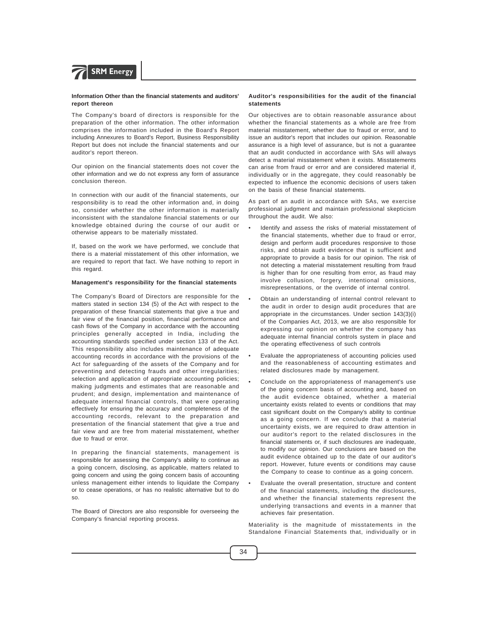### **Information Other than the financial statements and auditors' report thereon**

The Company's board of directors is responsible for the preparation of the other information. The other information comprises the information included in the Board's Report including Annexures to Board's Report, Business Responsibility Report but does not include the financial statements and our auditor's report thereon.

Our opinion on the financial statements does not cover the other information and we do not express any form of assurance conclusion thereon.

In connection with our audit of the financial statements, our responsibility is to read the other information and, in doing so, consider whether the other information is materially inconsistent with the standalone financial statements or our knowledge obtained during the course of our audit or otherwise appears to be materially misstated.

If, based on the work we have performed, we conclude that there is a material misstatement of this other information, we are required to report that fact. We have nothing to report in this regard.

#### **Management's responsibility for the financial statements**

The Company's Board of Directors are responsible for the matters stated in section 134 (5) of the Act with respect to the preparation of these financial statements that give a true and fair view of the financial position, financial performance and cash flows of the Company in accordance with the accounting principles generally accepted in India, including the accounting standards specified under section 133 of the Act. This responsibility also includes maintenance of adequate accounting records in accordance with the provisions of the Act for safeguarding of the assets of the Company and for preventing and detecting frauds and other irregularities; selection and application of appropriate accounting policies; making judgments and estimates that are reasonable and prudent; and design, implementation and maintenance of adequate internal financial controls, that were operating effectively for ensuring the accuracy and completeness of the accounting records, relevant to the preparation and presentation of the financial statement that give a true and fair view and are free from material misstatement, whether due to fraud or error.

In preparing the financial statements, management is responsible for assessing the Company's ability to continue as a going concern, disclosing, as applicable, matters related to going concern and using the going concern basis of accounting unless management either intends to liquidate the Company or to cease operations, or has no realistic alternative but to do so.

The Board of Directors are also responsible for overseeing the Company's financial reporting process.

### **Auditor's responsibilities for the audit of the financial statements**

Our objectives are to obtain reasonable assurance about whether the financial statements as a whole are free from material misstatement, whether due to fraud or error, and to issue an auditor's report that includes our opinion. Reasonable assurance is a high level of assurance, but is not a guarantee that an audit conducted in accordance with SAs will always detect a material misstatement when it exists. Misstatements can arise from fraud or error and are considered material if, individually or in the aggregate, they could reasonably be expected to influence the economic decisions of users taken on the basis of these financial statements.

As part of an audit in accordance with SAs, we exercise professional judgment and maintain professional skepticism throughout the audit. We also:

- Identify and assess the risks of material misstatement of the financial statements, whether due to fraud or error, design and perform audit procedures responsive to those risks, and obtain audit evidence that is sufficient and appropriate to provide a basis for our opinion. The risk of not detecting a material misstatement resulting from fraud is higher than for one resulting from error, as fraud may involve collusion, forgery, intentional omissions, misrepresentations, or the override of internal control.
- Obtain an understanding of internal control relevant to the audit in order to design audit procedures that are appropriate in the circumstances. Under section 143(3)(i) of the Companies Act, 2013, we are also responsible for expressing our opinion on whether the company has adequate internal financial controls system in place and the operating effectiveness of such controls
- Evaluate the appropriateness of accounting policies used and the reasonableness of accounting estimates and related disclosures made by management.
- Conclude on the appropriateness of management's use of the going concern basis of accounting and, based on the audit evidence obtained, whether a material uncertainty exists related to events or conditions that may cast significant doubt on the Company's ability to continue as a going concern. If we conclude that a material uncertainty exists, we are required to draw attention in our auditor's report to the related disclosures in the financial statements or, if such disclosures are inadequate, to modify our opinion. Our conclusions are based on the audit evidence obtained up to the date of our auditor's report. However, future events or conditions may cause the Company to cease to continue as a going concern.
- Evaluate the overall presentation, structure and content of the financial statements, including the disclosures, and whether the financial statements represent the underlying transactions and events in a manner that achieves fair presentation.

Materiality is the magnitude of misstatements in the Standalone Financial Statements that, individually or in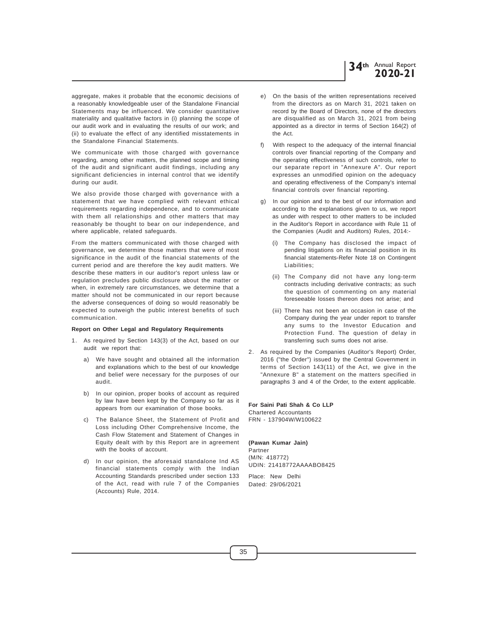

aggregate, makes it probable that the economic decisions of a reasonably knowledgeable user of the Standalone Financial Statements may be influenced. We consider quantitative materiality and qualitative factors in (i) planning the scope of our audit work and in evaluating the results of our work; and (ii) to evaluate the effect of any identified misstatements in the Standalone Financial Statements.

We communicate with those charged with governance regarding, among other matters, the planned scope and timing of the audit and significant audit findings, including any significant deficiencies in internal control that we identify during our audit.

We also provide those charged with governance with a statement that we have complied with relevant ethical requirements regarding independence, and to communicate with them all relationships and other matters that may reasonably be thought to bear on our independence, and where applicable, related safeguards.

From the matters communicated with those charged with governance, we determine those matters that were of most significance in the audit of the financial statements of the current period and are therefore the key audit matters. We describe these matters in our auditor's report unless law or regulation precludes public disclosure about the matter or when, in extremely rare circumstances, we determine that a matter should not be communicated in our report because the adverse consequences of doing so would reasonably be expected to outweigh the public interest benefits of such communication.

#### **Report on Other Legal and Regulatory Requirements**

- 1. As required by Section 143(3) of the Act, based on our audit we report that:
	- a) We have sought and obtained all the information and explanations which to the best of our knowledge and belief were necessary for the purposes of our audit.
	- b) In our opinion, proper books of account as required by law have been kept by the Company so far as it appears from our examination of those books.
	- c) The Balance Sheet, the Statement of Profit and Loss including Other Comprehensive Income, the Cash Flow Statement and Statement of Changes in Equity dealt with by this Report are in agreement with the books of account.
	- d) In our opinion, the aforesaid standalone Ind AS financial statements comply with the Indian Accounting Standards prescribed under section 133 of the Act, read with rule 7 of the Companies (Accounts) Rule, 2014.
- e) On the basis of the written representations received from the directors as on March 31, 2021 taken on record by the Board of Directors, none of the directors are disqualified as on March 31, 2021 from being appointed as a director in terms of Section 164(2) of the Act.
- f) With respect to the adequacy of the internal financial controls over financial reporting of the Company and the operating effectiveness of such controls, refer to our separate report in "Annexure A". Our report expresses an unmodified opinion on the adequacy and operating effectiveness of the Company's internal financial controls over financial reporting.
- g) In our opinion and to the best of our information and according to the explanations given to us, we report as under with respect to other matters to be included in the Auditor's Report in accordance with Rule 11 of the Companies (Audit and Auditors) Rules, 2014:-
	- (i) The Company has disclosed the impact of pending litigations on its financial position in its financial statements-Refer Note 18 on Contingent Liabilities;
	- (ii) The Company did not have any long-term contracts including derivative contracts; as such the question of commenting on any material foreseeable losses thereon does not arise; and
	- (iii) There has not been an occasion in case of the Company during the year under report to transfer any sums to the Investor Education and Protection Fund. The question of delay in transferring such sums does not arise.
- 2. As required by the Companies (Auditor's Report) Order, 2016 ("the Order") issued by the Central Government in terms of Section 143(11) of the Act, we give in the "Annexure B" a statement on the matters specified in paragraphs 3 and 4 of the Order, to the extent applicable.

**For Saini Pati Shah & Co LLP** Chartered Accountants FRN - 137904W/W100622

#### **(Pawan Kumar Jain)**

Partner (M/N: 418772) UDIN: 21418772AAAABO8425

Place: New Delhi Dated: 29/06/2021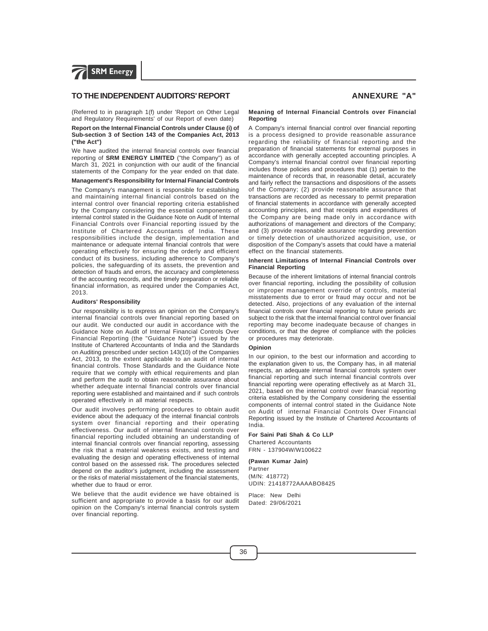# **TO THE INDEPENDENT AUDITORS' REPORT ANNEXURE "A"**

(Referred to in paragraph 1(f) under 'Report on Other Legal and Regulatory Requirements' of our Report of even date)

#### **Report on the Internal Financial Controls under Clause (i) of Sub-section 3 of Section 143 of the Companies Act, 2013 ("the Act")**

We have audited the internal financial controls over financial reporting of **SRM ENERGY LIMITED** ("the Company") as of March 31, 2021 in conjunction with our audit of the financial statements of the Company for the year ended on that date.

### **Management's Responsibility for Internal Financial Controls**

The Company's management is responsible for establishing and maintaining internal financial controls based on the internal control over financial reporting criteria established by the Company considering the essential components of internal control stated in the Guidance Note on Audit of Internal Financial Controls over Financial reporting issued by the Institute of Chartered Accountants of India. These responsibilities include the design, implementation and maintenance or adequate internal financial controls that were operating effectively for ensuring the orderly and efficient conduct of its business, including adherence to Company's policies, the safeguarding of its assets, the prevention and detection of frauds and errors, the accuracy and completeness of the accounting records, and the timely preparation or reliable financial information, as required under the Companies Act, 2013.

#### **Auditors' Responsibility**

Our responsibility is to express an opinion on the Company's internal financial controls over financial reporting based on our audit. We conducted our audit in accordance with the Guidance Note on Audit of Internal Financial Controls Over Financial Reporting (the "Guidance Note") issued by the Institute of Chartered Accountants of India and the Standards on Auditing prescribed under section 143(10) of the Companies Act, 2013, to the extent applicable to an audit of internal financial controls. Those Standards and the Guidance Note require that we comply with ethical requirements and plan and perform the audit to obtain reasonable assurance about whether adequate internal financial controls over financial reporting were established and maintained and if such controls operated effectively in all material respects.

Our audit involves performing procedures to obtain audit evidence about the adequacy of the internal financial controls system over financial reporting and their operating effectiveness. Our audit of internal financial controls over financial reporting included obtaining an understanding of internal financial controls over financial reporting, assessing the risk that a material weakness exists, and testing and evaluating the design and operating effectiveness of internal control based on the assessed risk. The procedures selected depend on the auditor's judgment, including the assessment or the risks of material misstatement of the financial statements, whether due to fraud or error.

We believe that the audit evidence we have obtained is sufficient and appropriate to provide a basis for our audit opinion on the Company's internal financial controls system over financial reporting.

### **Meaning of Internal Financial Controls over Financial Reporting**

A Company's internal financial control over financial reporting is a process designed to provide reasonable assurance regarding the reliability of financial reporting and the preparation of financial statements for external purposes in accordance with generally accepted accounting principles. A Company's internal financial control over financial reporting includes those policies and procedures that (1) pertain to the maintenance of records that, in reasonable detail, accurately and fairly reflect the transactions and dispositions of the assets of the Company; (2) provide reasonable assurance that transactions are recorded as necessary to permit preparation of financial statements in accordance with generally accepted accounting principles, and that receipts and expenditures of the Company are being made only in accordance with authorizations of management and directors of the Company; and (3) provide reasonable assurance regarding prevention or timely detection of unauthorized acquisition, use, or disposition of the Company's assets that could have a material effect on the financial statements.

#### **Inherent Limitations of Internal Financial Controls over Financial Reporting**

Because of the inherent limitations of internal financial controls over financial reporting, including the possibility of collusion or improper management override of controls, material misstatements due to error or fraud may occur and not be detected. Also, projections of any evaluation of the internal financial controls over financial reporting to future periods arc subject to the risk that the internal financial control over financial reporting may become inadequate because of changes in conditions, or that the degree of compliance with the policies or procedures may deteriorate.

#### **Opinion**

In our opinion, to the best our information and according to the explanation given to us, the Company has, in all material respects, an adequate internal financial controls system over financial reporting and such internal financial controls over financial reporting were operating effectively as at March 31, 2021, based on the internal control over financial reporting criteria established by the Company considering the essential components of internal control stated in the Guidance Note on Audit of internal Financial Controls Over Financial Reporting issued by the Institute of Chartered Accountants of India.

# **For Saini Pati Shah & Co LLP** Chartered Accountants

FRN - 137904W/W100622

#### **(Pawan Kumar Jain)** Partner (M/N: 418772) UDIN: 21418772AAAABO8425

Place: New Delhi Dated: 29/06/2021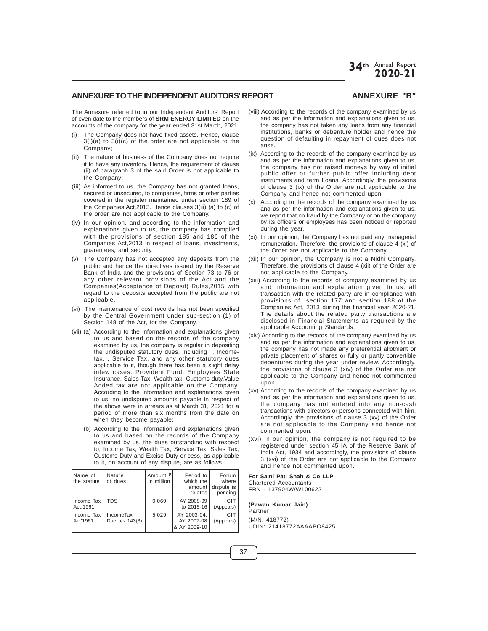# **ANNEXURE TO THE INDEPENDENT AUDITORS' REPORT ANNEXURE "B"**

The Annexure referred to in our Independent Auditors' Report of even date to the members of **SRM ENERGY LIMITED** on the accounts of the company for the year ended 31st March, 2021.

- The Company does not have fixed assets. Hence, clause  $3(i)(a)$  to  $3(i)(c)$  of the order are not applicable to the Company;
- (ii) The nature of business of the Company does not require it to have any inventory. Hence, the requirement of clause (ii) of paragraph 3 of the said Order is not applicable to the Company;
- (iii) As informed to us, the Company has not granted loans, secured or unsecured, to companies, firms or other parties covered in the register maintained under section 189 of the Companies Act,2013. Hence clauses 3(iii) (a) to (c) of the order are not applicable to the Company.
- (iv) In our opinion, and according to the information and explanations given to us, the company has compiled with the provisions of section 185 and 186 of the Companies Act,2013 in respect of loans, investments, guarantees, and security.
- (v) The Company has not accepted any deposits from the public and hence the directives issued by the Reserve Bank of India and the provisions of Section 73 to 76 or any other relevant provisions of the Act and the Companies(Acceptance of Deposit) Rules,2015 with regard to the deposits accepted from the public are not applicable.
- (vi) The maintenance of cost records has not been specified by the Central Government under sub-section (1) of Section 148 of the Act, for the Company.
- (vii) (a) According to the information and explanations given to us and based on the records of the company examined by us, the company is regular in depositing the undisputed statutory dues, including , Incometax, , Service Tax, and any other statutory dues applicable to it, though there has been a slight delay infew cases. Provident Fund, Employees State Insurance, Sales Tax, Wealth tax, Customs duty,Value Added tax are not applicable on the Company. According to the information and explanations given to us, no undisputed amounts payable in respect of the above were in arrears as at March 31, 2021 for a period of more than six months from the date on when they become payable;
	- (b) According to the information and explanations given to us and based on the records of the Company examined by us, the dues outstanding with respect to, Income Tax, Wealth Tax, Service Tax, Sales Tax, Customs Duty and Excise Duty or cess, as applicable to it, on account of any dispute, are as follows

| Name of<br>the statute  | Nature<br>of dues                  | Amount ₹<br>in million | Period to I<br>which the<br>amount I<br>relates | Forum<br>where<br>dispute is<br>pending |
|-------------------------|------------------------------------|------------------------|-------------------------------------------------|-----------------------------------------|
| Income Tax<br>Act, 1961 | TDS                                | 0.069                  | AY 2008-09<br>to 2015-16                        | CIT<br>(Appeals)                        |
| Income Tax<br>Act'1961  | <b>IncomeTax</b><br>Due u/s 143(3) | 5.029                  | AY 2003-04,<br>AY 2007-08<br>& AY 2009-10       | CIT<br>(Appeals)                        |

- (viii) According to the records of the company examined by us and as per the information and explanations given to us, the company has not taken any loans from any financial institutions, banks or debenture holder and hence the question of defaulting in repayment of dues does not arise.
- (ix) According to the records of the company examined by us and as per the information and explanations given to us, the company has not raised moneys by way of initial public offer or further public offer including debt instruments and term Loans. Accordingly, the provisions of clause 3 (ix) of the Order are not applicable to the Company and hence not commented upon.
- (x) According to the records of the company examined by us and as per the information and explanations given to us, we report that no fraud by the Company or on the company by its officers or employees has been noticed or reported during the year.
- (xi) In our opinion, the Company has not paid any managerial remuneration. Therefore, the provisions of clause 4 (xi) of the Order are not applicable to the Company.
- (xii) In our opinion, the Company is not a Nidhi Company. Therefore, the provisions of clause 4 (xii) of the Order are not applicable to the Company.
- (xiii) According to the records of company examined by us and information and explanation given to us, all transaction with the related party are in compliance with provisions of section 177 and section 188 of the Companies Act, 2013 during the financial year 2020-21. The details about the related party transactions are disclosed in Financial Statements as required by the applicable Accounting Standards.
- (xiv) According to the records of the company examined by us and as per the information and explanations given to us, the company has not made any preferential allotment or private placement of shares or fully or partly convertible debentures during the year under review. Accordingly, the provisions of clause 3 (xiv) of the Order are not applicable to the Company and hence not commented upon.
- (xv) According to the records of the company examined by us and as per the information and explanations given to us, the company has not entered into any non-cash transactions with directors or persons connected with him. Accordingly, the provisions of clause 3 (xv) of the Order are not applicable to the Company and hence not commented upon.
- (xvi) In our opinion, the company is not required to be registered under section 45 IA of the Reserve Bank of India Act, 1934 and accordingly, the provisions of clause 3 (xvi) of the Order are not applicable to the Company and hence not commented upon.

**For Saini Pati Shah & Co LLP** Chartered Accountants FRN - 137904W/W100622

**(Pawan Kumar Jain)** Partner (M/N: 418772) UDIN: 21418772AAAABO8425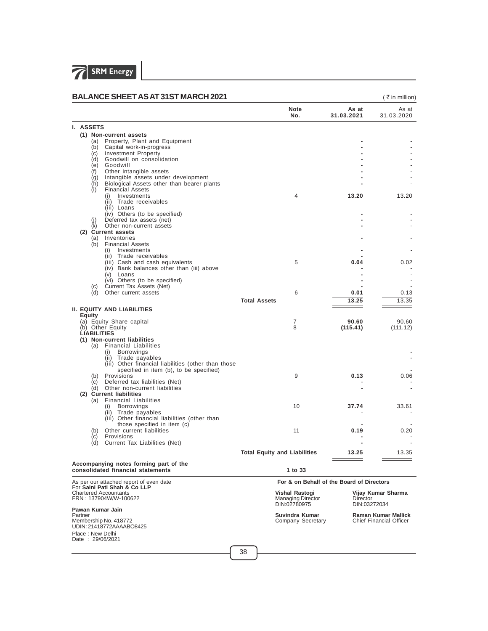| <b>BALANCE SHEET AS AT 31ST MARCH 2021</b>                                                      |                                                            |                                                              | (₹in million)                      |
|-------------------------------------------------------------------------------------------------|------------------------------------------------------------|--------------------------------------------------------------|------------------------------------|
|                                                                                                 | <b>Note</b><br>No.                                         | As at<br>31.03.2021                                          | As at<br>31.03.2020                |
| I. ASSETS                                                                                       |                                                            |                                                              |                                    |
| (1) Non-current assets<br>(a) Property, Plant and Equipment                                     |                                                            |                                                              |                                    |
| (b) Capital work-in-progress                                                                    |                                                            |                                                              |                                    |
| <b>Investment Property</b><br>(c)                                                               |                                                            |                                                              |                                    |
| Goodwill on consolidation<br>(d)<br>(e) Goodwill                                                |                                                            |                                                              |                                    |
| Other Intangible assets<br>(f)                                                                  |                                                            |                                                              |                                    |
| Intangible assets under development<br>(g)<br>Biological Assets other than bearer plants<br>(h) |                                                            |                                                              |                                    |
| <b>Financial Assets</b><br>(i)                                                                  |                                                            |                                                              |                                    |
| (i) Investments                                                                                 | 4                                                          | 13.20                                                        | 13.20                              |
| (ii) Trade receivables<br>(iii) Loans                                                           |                                                            |                                                              |                                    |
| (iv) Others (to be specified)                                                                   |                                                            |                                                              |                                    |
| Deferred tax assets (net)<br>(i)                                                                |                                                            |                                                              |                                    |
| Other non-current assets<br>(k)<br>(2) Current assets                                           |                                                            |                                                              |                                    |
| (a) Inventories                                                                                 |                                                            |                                                              |                                    |
| <b>Financial Assets</b><br>(b)                                                                  |                                                            |                                                              |                                    |
| (i) Investments<br>(ii) Trade receivables                                                       |                                                            |                                                              |                                    |
| (iii) Cash and cash equivalents                                                                 | 5                                                          | 0.04                                                         | 0.02                               |
| (iv) Bank balances other than (iii) above                                                       |                                                            |                                                              |                                    |
| $(v)$ Loans<br>(vi) Others (to be specified)                                                    |                                                            |                                                              |                                    |
| Current Tax Assets (Net)<br>(C)                                                                 |                                                            |                                                              |                                    |
| (d) Other current assets                                                                        | 6                                                          | 0.01                                                         | 0.13                               |
|                                                                                                 | <b>Total Assets</b>                                        | 13.25                                                        | 13.35                              |
| <b>II. EQUITY AND LIABILITIES</b>                                                               |                                                            |                                                              |                                    |
| Equity<br>(a) Equity Share capital                                                              | 7                                                          | 90.60                                                        | 90.60                              |
| (b) Other Equity                                                                                | 8                                                          | (115.41)                                                     | (111.12)                           |
| <b>LIABILITIES</b><br>(1) Non-current liabilities                                               |                                                            |                                                              |                                    |
| (a) Financial Liabilities                                                                       |                                                            |                                                              |                                    |
| <b>Borrowings</b><br>(i)                                                                        |                                                            |                                                              |                                    |
| (ii) Trade payables<br>(iii) Other financial liabilities (other than those                      |                                                            |                                                              |                                    |
| specified in item (b), to be specified)                                                         |                                                            |                                                              |                                    |
| Provisions<br>(b)                                                                               | 9                                                          | 0.13                                                         | 0.06                               |
| (c) Deferred tax liabilities (Net)<br>(d) Other non-current liabilities                         |                                                            |                                                              |                                    |
| (2) Current liabilities                                                                         |                                                            |                                                              |                                    |
| (a) Financial Liabilities                                                                       |                                                            |                                                              |                                    |
| (i) Borrowings<br>(ii) Trade payables                                                           | 10                                                         | 37.74                                                        | 33.61                              |
| (iii) Other financial liabilities (other than                                                   |                                                            |                                                              |                                    |
| those specified in item (c)                                                                     |                                                            |                                                              |                                    |
| Other current liabilities<br>(b)<br>Provisions<br>(c)                                           | 11                                                         | 0.19                                                         | 0.20                               |
| Current Tax Liabilities (Net)<br>(d)                                                            |                                                            |                                                              |                                    |
|                                                                                                 | <b>Total Equity and Liabilities</b>                        | 13.25                                                        | 13.35                              |
| Accompanying notes forming part of the<br>consolidated financial statements                     | 1 to 33                                                    |                                                              |                                    |
| As per our attached report of even date                                                         |                                                            | For & on Behalf of the Board of Directors                    |                                    |
| For Saini Pati Shah & Co LLP                                                                    |                                                            |                                                              |                                    |
| <b>Chartered Accountants</b><br>FRN: 137904W/W-100622                                           | Vishal Rastogi<br><b>Managing Director</b><br>DIN:02780975 | Director                                                     | Vijay Kumar Sharma<br>DIN:03272034 |
| Pawan Kumar Jain<br>Partner<br>Membership No. 418772<br>UDIN: 21418772AAAABO8425                | Suvindra Kumar<br>Company Secretary                        | <b>Raman Kumar Mallick</b><br><b>Chief Financial Officer</b> |                                    |
| Place: New Delhi<br>Date: 29/06/2021                                                            |                                                            |                                                              |                                    |
|                                                                                                 |                                                            |                                                              |                                    |
|                                                                                                 | 38                                                         |                                                              |                                    |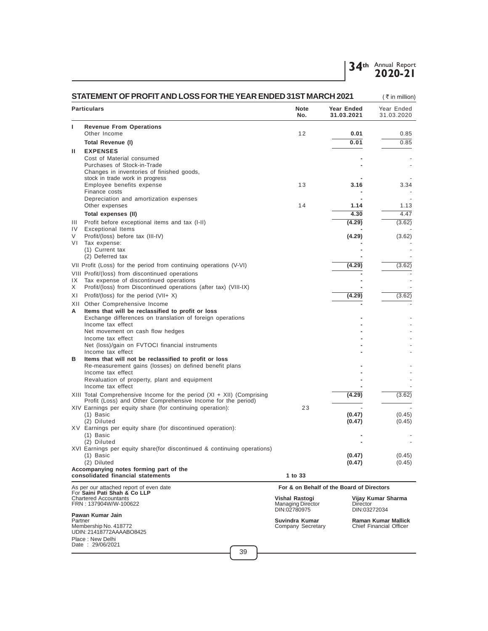| STATEMENT OF PROFIT AND LOSS FOR THE YEAR ENDED 31ST MARCH 2021 |                                                                          |                                           |                          |                                |
|-----------------------------------------------------------------|--------------------------------------------------------------------------|-------------------------------------------|--------------------------|--------------------------------|
|                                                                 | <b>Particulars</b>                                                       | Note<br>No.                               | Year Ended<br>31.03.2021 | Year Ended<br>31.03.2020       |
| L                                                               | <b>Revenue From Operations</b>                                           |                                           |                          |                                |
|                                                                 | Other Income                                                             | 12                                        | 0.01                     | 0.85                           |
|                                                                 | <b>Total Revenue (I)</b>                                                 |                                           | 0.01                     | 0.85                           |
| Ш.                                                              | <b>EXPENSES</b>                                                          |                                           |                          |                                |
|                                                                 | Cost of Material consumed                                                |                                           |                          |                                |
|                                                                 | Purchases of Stock-in-Trade<br>Changes in inventories of finished goods, |                                           |                          |                                |
|                                                                 | stock in trade work in progress                                          |                                           |                          |                                |
|                                                                 | Employee benefits expense                                                | 13                                        | 3.16                     | 3.34                           |
|                                                                 | Finance costs                                                            |                                           |                          |                                |
|                                                                 | Depreciation and amortization expenses                                   |                                           |                          |                                |
|                                                                 | Other expenses                                                           | 14                                        | 1.14                     | 1.13                           |
|                                                                 | Total expenses (II)                                                      |                                           | 4.30                     | 4.47                           |
| Ш                                                               | Profit before exceptional items and tax (I-II)                           |                                           | (4.29)                   | (3.62)                         |
| IV<br>V                                                         | <b>Exceptional Items</b><br>Profit/(loss) before tax (III-IV)            |                                           | (4.29)                   | (3.62)                         |
|                                                                 | VI Tax expense:                                                          |                                           |                          |                                |
|                                                                 | (1) Current tax                                                          |                                           |                          |                                |
|                                                                 | (2) Deferred tax                                                         |                                           |                          |                                |
|                                                                 | VII Profit (Loss) for the period from continuing operations (V-VI)       |                                           | (4.29)                   | (3.62)                         |
|                                                                 | VIII Profit/(loss) from discontinued operations                          |                                           |                          |                                |
| IX                                                              | Tax expense of discontinued operations                                   |                                           |                          |                                |
| X                                                               | Profit/(loss) from Discontinued operations (after tax) (VIII-IX)         |                                           |                          |                                |
| XL                                                              | Profit/(loss) for the period (VII+ $X$ )                                 |                                           | (4.29)                   | (3.62)                         |
|                                                                 | XII Other Comprehensive Income                                           |                                           |                          |                                |
| A                                                               | Items that will be reclassified to profit or loss                        |                                           |                          |                                |
|                                                                 | Exchange differences on translation of foreign operations                |                                           |                          |                                |
|                                                                 | Income tax effect<br>Net movement on cash flow hedges                    |                                           |                          |                                |
|                                                                 | Income tax effect                                                        |                                           |                          |                                |
|                                                                 | Net (loss)/gain on FVTOCI financial instruments                          |                                           |                          |                                |
|                                                                 | Income tax effect                                                        |                                           |                          |                                |
| в                                                               | Items that will not be reclassified to profit or loss                    |                                           |                          |                                |
|                                                                 | Re-measurement gains (losses) on defined benefit plans                   |                                           |                          |                                |
|                                                                 | Income tax effect                                                        |                                           |                          |                                |
|                                                                 | Revaluation of property, plant and equipment<br>Income tax effect        |                                           |                          |                                |
|                                                                 | XIII Total Comprehensive Income for the period $(XI + XII)$ (Comprising  |                                           | (4.29)                   | (3.62)                         |
|                                                                 | Profit (Loss) and Other Comprehensive Income for the period)             |                                           |                          |                                |
|                                                                 | XIV Earnings per equity share (for continuing operation):                | 23                                        |                          |                                |
|                                                                 | (1) Basic                                                                |                                           | (0.47)                   | (0.45)                         |
|                                                                 | (2) Diluted                                                              |                                           | (0.47)                   | (0.45)                         |
|                                                                 | XV Earnings per equity share (for discontinued operation):               |                                           |                          |                                |
|                                                                 | $(1)$ Basic<br>(2) Diluted                                               |                                           |                          |                                |
|                                                                 | XVI Earnings per equity share (for discontinued & continuing operations) |                                           |                          |                                |
|                                                                 | $(1)$ Basic                                                              |                                           | (0.47)                   | (0.45)                         |
|                                                                 | (2) Diluted                                                              |                                           | (0.47)                   | (0.45)                         |
|                                                                 | Accompanying notes forming part of the                                   |                                           |                          |                                |
|                                                                 | consolidated financial statements                                        | 1 to 33                                   |                          |                                |
|                                                                 | As per our attached report of even date                                  | For & on Behalf of the Board of Directors |                          |                                |
|                                                                 | For Saini Pati Shah & Co LLP<br><b>Chartered Accountants</b>             | Vishal Rastogi                            |                          | Vijay Kumar Sharma             |
|                                                                 | FRN: 137904W/W-100622                                                    | <b>Managing Director</b>                  | Director                 |                                |
|                                                                 |                                                                          | DIN:02780975                              |                          | DIN:03272034                   |
| Partner                                                         | Pawan Kumar Jain                                                         | Suvindra Kumar                            |                          | Raman Kumar Mallick            |
|                                                                 | Membership No. 418772                                                    | Company Secretary                         |                          | <b>Chief Financial Officer</b> |
|                                                                 | UDIN: 21418772AAAABO8425<br>Place: New Delhi                             |                                           |                          |                                |
|                                                                 | Date: 29/06/2021                                                         |                                           |                          |                                |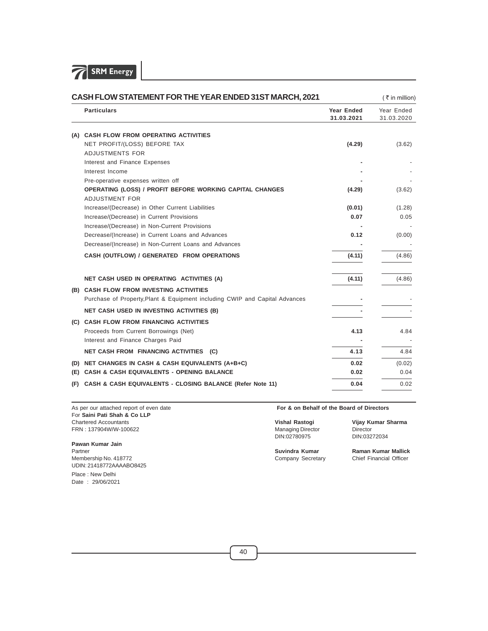|     | CASH FLOW STATEMENT FOR THE YEAR ENDED 31ST MARCH, 2021                           |                          | $($ ₹ in million)        |
|-----|-----------------------------------------------------------------------------------|--------------------------|--------------------------|
|     | <b>Particulars</b>                                                                | Year Ended<br>31.03.2021 | Year Ended<br>31.03.2020 |
|     | (A) CASH FLOW FROM OPERATING ACTIVITIES                                           |                          |                          |
|     | NET PROFIT/(LOSS) BEFORE TAX                                                      | (4.29)                   | (3.62)                   |
|     | <b>ADJUSTMENTS FOR</b>                                                            |                          |                          |
|     | Interest and Finance Expenses                                                     |                          |                          |
|     | Interest Income                                                                   |                          |                          |
|     | Pre-operative expenses written off                                                |                          |                          |
|     | OPERATING (LOSS) / PROFIT BEFORE WORKING CAPITAL CHANGES<br><b>ADJUSTMENT FOR</b> | (4.29)                   | (3.62)                   |
|     | Increase/(Decrease) in Other Current Liabilities                                  | (0.01)                   | (1.28)                   |
|     | Increase/(Decrease) in Current Provisions                                         | 0.07                     | 0.05                     |
|     | Increase/(Decrease) in Non-Current Provisions                                     |                          |                          |
|     | Decrease/(Increase) in Current Loans and Advances                                 | 0.12                     | (0.00)                   |
|     | Decrease/(Increase) in Non-Current Loans and Advances                             |                          |                          |
|     | CASH (OUTFLOW) / GENERATED FROM OPERATIONS                                        | (4.11)                   | (4.86)                   |
|     | NET CASH USED IN OPERATING ACTIVITIES (A)                                         | (4.11)                   | (4.86)                   |
|     | (B) CASH FLOW FROM INVESTING ACTIVITIES                                           |                          |                          |
|     | Purchase of Property, Plant & Equipment including CWIP and Capital Advances       |                          |                          |
|     | NET CASH USED IN INVESTING ACTIVITIES (B)                                         |                          |                          |
|     | (C) CASH FLOW FROM FINANCING ACTIVITIES                                           |                          |                          |
|     | Proceeds from Current Borrowings (Net)                                            | 4.13                     | 4.84                     |
|     | Interest and Finance Charges Paid                                                 |                          |                          |
|     | NET CASH FROM FINANCING ACTIVITIES (C)                                            | 4.13                     | 4.84                     |
|     | (D) NET CHANGES IN CASH & CASH EQUIVALENTS (A+B+C)                                | 0.02                     | (0.02)                   |
|     | (E) CASH & CASH EQUIVALENTS - OPENING BALANCE                                     | 0.02                     | 0.04                     |
| (F) | <b>CASH &amp; CASH EQUIVALENTS - CLOSING BALANCE (Refer Note 11)</b>              | 0.04                     | 0.02                     |

For **Saini Pati Shah & Co LLP** Chartered Accountants **Vishal Rastogi Vijay Kumar Sharma** FRN : 137904W/W-100622 Managing Director Director

As per our attached report of even date **For & on Behalf of the Board of Directors**

DIN:03272034

**Pawan Kumar Jain** Partner **Suvindra Kumar Raman Kumar Mallick** Membership No. 418772 Company Secretary Chief Financial Officer UDIN: 21418772AAAABO8425 Place : New Delhi Date : 29/06/2021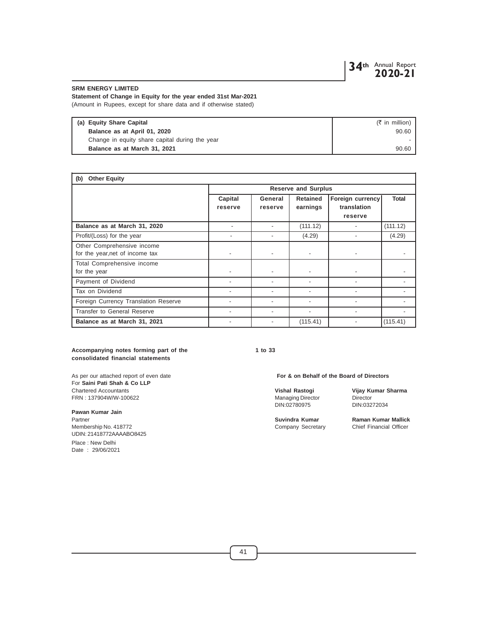# **SRM ENERGY LIMITED Statement of Change in Equity for the year ended 31st Mar-2021** (Amount in Rupees, except for share data and if otherwise stated)

| (a) Equity Share Capital                       | $(5$ in million) |
|------------------------------------------------|------------------|
| Balance as at April 01, 2020                   | 90.60            |
| Change in equity share capital during the year |                  |
| Balance as at March 31, 2021                   | 90.60            |

| <b>Other Equity</b><br>(b)                                    |                          |                            |                             |                                            |                          |  |
|---------------------------------------------------------------|--------------------------|----------------------------|-----------------------------|--------------------------------------------|--------------------------|--|
|                                                               |                          | <b>Reserve and Surplus</b> |                             |                                            |                          |  |
|                                                               | Capital<br>reserve       | General<br>reserve         | <b>Retained</b><br>earnings | Foreign currency<br>translation<br>reserve | Total                    |  |
| Balance as at March 31, 2020                                  |                          |                            | (111.12)                    |                                            | (111.12)                 |  |
| Profit/(Loss) for the year                                    |                          |                            | (4.29)                      |                                            | (4.29)                   |  |
| Other Comprehensive income<br>for the year, net of income tax | ٠                        |                            |                             |                                            |                          |  |
| Total Comprehensive income<br>for the year                    |                          |                            |                             |                                            |                          |  |
| Payment of Dividend                                           | ۰                        |                            |                             |                                            |                          |  |
| Tax on Dividend                                               | $\overline{\phantom{0}}$ |                            |                             |                                            |                          |  |
| Foreign Currency Translation Reserve                          | $\overline{a}$           |                            |                             |                                            |                          |  |
| <b>Transfer to General Reserve</b>                            | ٠                        |                            |                             |                                            | $\overline{\phantom{0}}$ |  |
| Balance as at March 31, 2021                                  |                          |                            | (115.41)                    |                                            | (115.41)                 |  |

### Accompanying notes forming part of the 1 to 33 **consolidated financial statements**

As per our attached report of even date **For & on Behalf of the Board of Directors** For **Saini Pati Shah & Co LLP** Chartered Accountants **Vishal Rastogi Vijay Kumar Sharma** FRN : 137904W/W-100622 Managing Director Director

# **Pawan Kumar Jain**

Membership No. 418772 Company Secretary Chief Financial Officer UDIN: 21418772AAAABO8425 Place : New Delhi Date : 29/06/2021

DIN:03272034

Partner **Suvindra Kumar Raman Kumar Mallick**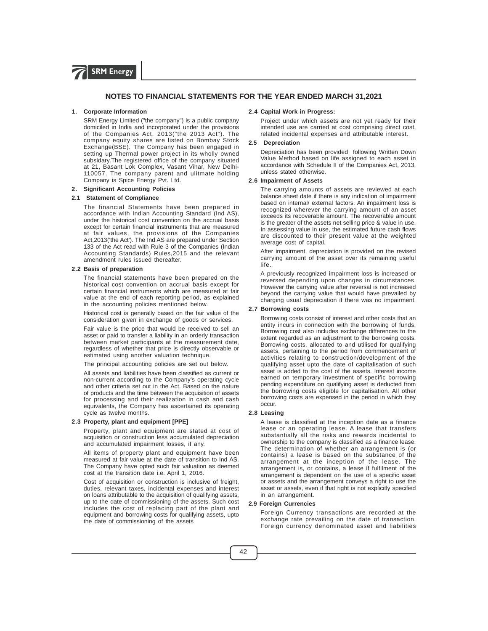

### **NOTES TO FINANCIAL STATEMENTS FOR THE YEAR ENDED MARCH 31,2021**

#### **1. Corporate Information**

SRM Energy Limited ("the company") is a public company domiciled in India and incorporated under the provisions of the Companies Act, 2013("the 2013 Act"). The company equity shares are listed on Bombay Stock Exchange(BSE). The Company has been engaged in setting up Thermal power project in its wholly owned subsidary.The registered office of the company situated at 21, Basant Lok Complex, Vasant Vihar, New Delhi-110057. The company parent and ulitmate holding Company is Spice Energy Pvt. Ltd.

#### **2. Significant Accounting Policies**

#### **2.1 Statement of Compliance**

The financial Statements have been prepared in accordance with Indian Accounting Standard (Ind AS), under the historical cost convention on the accrual basis except for certain financial instruments that are measured at fair values, the provisions of the Companies Act,2013('the Act'). The Ind AS are prepared under Section 133 of the Act read with Rule 3 of the Companies (Indian Accounting Standards) Rules,2015 and the relevant amendment rules issued thereafter.

#### **2.2 Basis of preparation**

The financial statements have been prepared on the historical cost convention on accrual basis except for certain financial instruments which are measured at fair value at the end of each reporting period, as explained in the accounting policies mentioned below.

Historical cost is generally based on the fair value of the consideration given in exchange of goods or services.

Fair value is the price that would be received to sell an asset or paid to transfer a liability in an orderly transaction between market participants at the measurement date, regardless of whether that price is directly observable or estimated using another valuation technique.

The principal accounting policies are set out below.

All assets and liabilities have been classified as current or non-current according to the Company's operating cycle and other criteria set out in the Act. Based on the nature of products and the time between the acquisition of assets for processing and their realization in cash and cash equivalents, the Company has ascertained its operating cycle as twelve months.

#### **2.3 Property, plant and equipment [PPE]**

Property, plant and equipment are stated at cost of acquisition or construction less accumulated depreciation and accumulated impairment losses, if any.

All items of property plant and equipment have been measured at fair value at the date of transition to Ind AS. The Company have opted such fair valuation as deemed cost at the transition date i.e. April 1, 2016.

Cost of acquisition or construction is inclusive of freight, duties, relevant taxes, incidental expenses and interest on loans attributable to the acquisition of qualifying assets, up to the date of commissioning of the assets. Such cost includes the cost of replacing part of the plant and equipment and borrowing costs for qualifying assets, upto the date of commissioning of the assets

#### **2.4 Capital Work in Progress:**

Project under which assets are not yet ready for their intended use are carried at cost comprising direct cost, related incidental expenses and attributable interest.

#### **2.5 Depreciation**

Depreciation has been provided following Written Down Value Method based on life assigned to each asset in accordance with Schedule II of the Companies Act, 2013, unless stated otherwise.

#### **2.6 Impairment of Assets**

The carrying amounts of assets are reviewed at each balance sheet date if there is any indication of impairment based on internal/ external factors. An impairment loss is recognized wherever the carrying amount of an asset exceeds its recoverable amount. The recoverable amount is the greater of the assets net selling price & value in use. In assessing value in use, the estimated future cash flows are discounted to their present value at the weighted average cost of capital.

After impairment, depreciation is provided on the revised carrying amount of the asset over its remaining useful life.

A previously recognized impairment loss is increased or reversed depending upon changes in circumstances. However the carrying value after reversal is not increased beyond the carrying value that would have prevailed by charging usual depreciation if there was no impairment.

#### **2.7 Borrowing costs**

Borrowing costs consist of interest and other costs that an entity incurs in connection with the borrowing of funds. Borrowing cost also includes exchange differences to the extent regarded as an adjustment to the borrowing costs. Borrowing costs, allocated to and utilised for qualifying assets, pertaining to the period from commencement of activities relating to construction/development of the qualifying asset upto the date of capitalisation of such asset is added to the cost of the assets. Interest income earned on temporary investment of specific borrowing pending expenditure on qualifying asset is deducted from the borrowing costs eligible for capitalisation. All other borrowing costs are expensed in the period in which they occur.

#### **2.8 Leasing**

A lease is classified at the inception date as a finance lease or an operating lease. A lease that transfers substantially all the risks and rewards incidental to ownership to the company is classified as a finance lease. The determination of whether an arrangement is (or contains) a lease is based on the substance of the arrangement at the inception of the lease. The arrangement is, or contains, a lease if fulfilment of the arrangement is dependent on the use of a specific asset or assets and the arrangement conveys a right to use the asset or assets, even if that right is not explicitly specified in an arrangement.

#### **2.9 Foreign Currencies**

Foreign Currency transactions are recorded at the exchange rate prevailing on the date of transaction. Foreign currency denominated asset and liabilities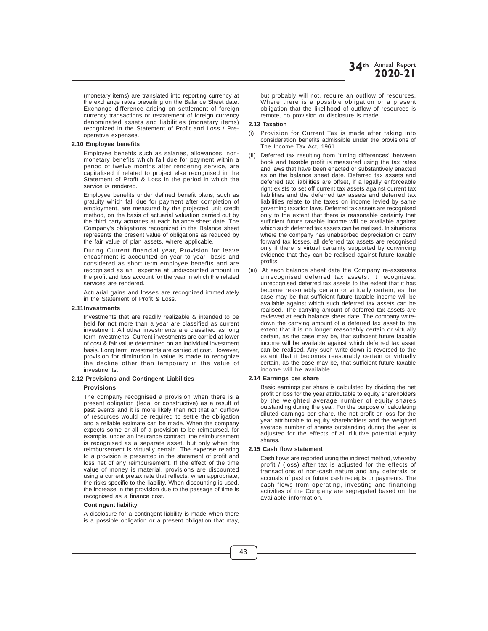(monetary items) are translated into reporting currency at the exchange rates prevailing on the Balance Sheet date. Exchange difference arising on settlement of foreign currency transactions or restatement of foreign currency denominated assets and liabilities (monetary items) recognized in the Statement of Profit and Loss / Preoperative expenses.

#### **2.10 Employee benefits**

Employee benefits such as salaries, allowances, nonmonetary benefits which fall due for payment within a period of twelve months after rendering service, are capitalised if related to project else recognised in the Statement of Profit & Loss in the period in which the service is rendered.

Employee benefits under defined benefit plans, such as gratuity which fall due for payment after completion of employment, are measured by the projected unit credit method, on the basis of actuarial valuation carried out by the third party actuaries at each balance sheet date. The Company's obligations recognized in the Balance sheet represents the present value of obligations as reduced by the fair value of plan assets, where applicable.

During Current financial year, Provision for leave encashment is accounted on year to year basis and considered as short term employee benefits and are recognised as an expense at undiscounted amount in the profit and loss account for the year in which the related services are rendered.

Actuarial gains and losses are recognized immediately in the Statement of Profit & Loss.

#### **2.11Investments**

Investments that are readily realizable & intended to be held for not more than a year are classified as current investment. All other investments are classified as long term investments. Current investments are carried at lower of cost & fair value determined on an individual investment basis. Long term investments are carried at cost. However, provision for diminution in value is made to recognize the decline other than temporary in the value of investments.

### **2.12 Provisions and Contingent Liabilities Provisions**

The company recognised a provision when there is a present obligation (legal or constructive) as a result of past events and it is more likely than not that an outflow of resources would be required to settle the obligation and a reliable estimate can be made. When the company expects some or all of a provision to be reimbursed, for example, under an insurance contract, the reimbursement is recognised as a separate asset, but only when the reimbursement is virtually certain. The expense relating to a provision is presented in the statement of profit and loss net of any reimbursement. If the effect of the time value of money is material, provisions are discounted using a current pretax rate that reflects, when appropriate, the risks specific to the liability. When discounting is used, the increase in the provision due to the passage of time is recognised as a finance cost.

#### **Contingent liability**

A disclosure for a contingent liability is made when there is a possible obligation or a present obligation that may,

but probably will not, require an outflow of resources. Where there is a possible obligation or a present obligation that the likelihood of outflow of resources is remote, no provision or disclosure is made.

### **2.13 Taxation**

- (i) Provision for Current Tax is made after taking into consideration benefits admissible under the provisions of The Income Tax Act, 1961.
- (ii) Deferred tax resulting from "timing differences" between book and taxable profit is measured using the tax rates and laws that have been enacted or substantively enacted as on the balance sheet date. Deferred tax assets and deferred tax liabilities are offset, if a legally enforceable right exists to set off current tax assets against current tax liabilities and the deferred tax assets and deferred tax liabilities relate to the taxes on income levied by same governing taxation laws. Deferred tax assets are recognised only to the extent that there is reasonable certainty that sufficient future taxable income will be available against which such deferred tax assets can be realised. In situations where the company has unabsorbed depreciation or carry forward tax losses, all deferred tax assets are recognised only if there is virtual certainty supported by convincing evidence that they can be realised against future taxable profits.
- (iii) At each balance sheet date the Company re-assesses unrecognised deferred tax assets. It recognizes, unrecognised deferred tax assets to the extent that it has become reasonably certain or virtually certain, as the case may be that sufficient future taxable income will be available against which such deferred tax assets can be realised. The carrying amount of deferred tax assets are reviewed at each balance sheet date. The company writedown the carrying amount of a deferred tax asset to the extent that it is no longer reasonably certain or virtually certain, as the case may be, that sufficient future taxable income will be available against which deferred tax asset can be realised. Any such write-down is reversed to the extent that it becomes reasonably certain or virtually certain, as the case may be, that sufficient future taxable income will be available.

#### **2.14 Earnings per share**

Basic earnings per share is calculated by dividing the net profit or loss for the year attributable to equity shareholders by the weighted average number of equity shares outstanding during the year. For the purpose of calculating diluted earnings per share, the net profit or loss for the year attributable to equity shareholders and the weighted average number of shares outstanding during the year is adjusted for the effects of all dilutive potential equity shares.

#### **2.15 Cash flow statement**

Cash flows are reported using the indirect method, whereby profit / (loss) after tax is adjusted for the effects of transactions of non-cash nature and any deferrals or accruals of past or future cash receipts or payments. The cash flows from operating, investing and financing activities of the Company are segregated based on the available information.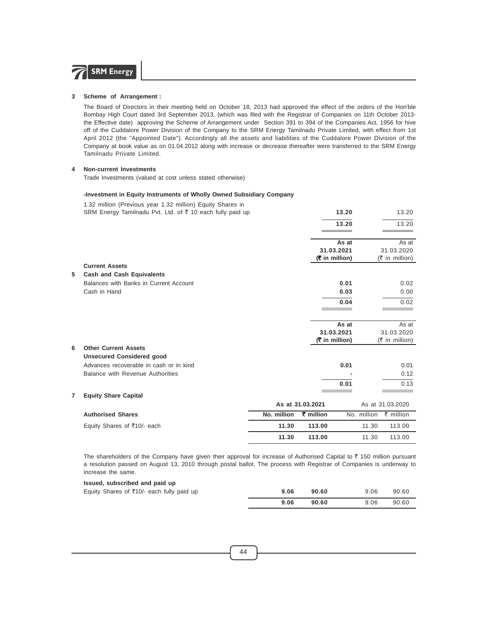#### **3 Scheme of Arrangement :**

The Board of Directors in their meeting held on October 18, 2013 had approved the effect of the orders of the Hon'ble Bombay High Court dated 3rd September 2013, (which was filed with the Registrar of Companies on 11th October 2013 the Effective date) approving the Scheme of Arrangement under Section 391 to 394 of the Companies Act, 1956 for hive off of the Cuddalore Power Division of the Company to the SRM Energy Tamilnadu Private Limited, with effect from 1st April 2012 (the "Appointed Date"). Accordingly all the assets and liabilities of the Cuddalore Power Division of the Company at book value as on 01.04.2012 along with increase or decrease thereafter were transferred to the SRM Energy Tamilnadu Private Limited.

#### **4 Non-current Investments**

Trade Investments (valued at cost unless stated otherwise)

#### **-Investment in Equity Instruments of Wholly Owned Subsidiary Company**

1.32 million (Previous year 1.32 million) Equity Shares in SRM Energy Tamilnadu Pvt. Ltd. of  $\overline{\zeta}$  10 each fully paid up **13.20** 13.20 13.20 **13.20** 13.20

|   |                                         |             |                                  | As at             |             | As at                            |
|---|-----------------------------------------|-------------|----------------------------------|-------------------|-------------|----------------------------------|
|   |                                         |             |                                  | 31.03.2021        |             | 31.03.2020                       |
|   |                                         |             |                                  | $($ ₹ in million) |             | $(5$ in million)                 |
|   | <b>Current Assets</b>                   |             |                                  |                   |             |                                  |
| 5 | <b>Cash and Cash Equivalents</b>        |             |                                  |                   |             |                                  |
|   | Balances with Banks in Current Account  |             |                                  | 0.01              |             | 0.02                             |
|   | Cash in Hand                            |             |                                  | 0.03              |             | 0.00                             |
|   |                                         |             |                                  | 0.04              |             | 0.02                             |
|   |                                         |             |                                  |                   |             |                                  |
|   |                                         |             |                                  |                   |             |                                  |
|   |                                         |             |                                  | As at             |             | As at                            |
|   |                                         |             |                                  | 31.03.2021        |             | 31.03.2020                       |
|   |                                         |             |                                  | (₹ in million)    |             | $(5 \in \mathbb{R})$ in million) |
| 6 | <b>Other Current Assets</b>             |             |                                  |                   |             |                                  |
|   | <b>Unsecured Considered good</b>        |             |                                  |                   |             |                                  |
|   | Advances recoverable in cash or in kind |             |                                  | 0.01              |             | 0.01                             |
|   | Balance with Revenue Authorities        |             |                                  |                   |             | 0.12                             |
|   |                                         |             |                                  | 0.01              |             | 0.13                             |
|   |                                         |             |                                  |                   |             |                                  |
| 7 | <b>Equity Share Capital</b>             |             |                                  |                   |             |                                  |
|   |                                         |             | As at 31.03.2021                 |                   |             | As at 31.03.2020                 |
|   | <b>Authorised Shares</b>                | No. million | $\bar{\bar{\mathbf{z}}}$ million |                   | No. million | ₹ million                        |
|   | Equity Shares of ₹10/- each             | 11.30       | 113.00                           |                   | 11.30       | 113.00                           |
|   |                                         | 11.30       | 113.00                           |                   | 11.30       | 113.00                           |

The shareholders of the Company have given their approval for increase of Authorised Capital to  $\bar{z}$  150 million pursuant a resolution passed on August 13, 2010 through postal ballot. The process with Registrar of Companies is underway to increase the same.

| Issued, subscribed and paid up                        |      |       |      |       |
|-------------------------------------------------------|------|-------|------|-------|
| Equity Shares of $\bar{\tau}$ 10/- each fully paid up | 9.06 | 90.60 | 9.06 | 90.60 |
|                                                       | 9.06 | 90.60 | 9.06 | 90.60 |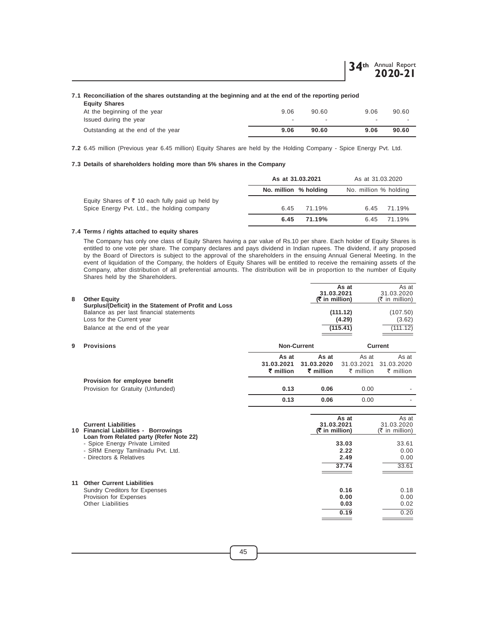#### **7.1 Reconciliation of the shares outstanding at the beginning and at the end of the reporting period Equity Shares**

| Lyuny Unarts<br>At the beginning of the year | 9.06                     | 90.60 | 9.06                     | 90.60                    |
|----------------------------------------------|--------------------------|-------|--------------------------|--------------------------|
| Issued during the year                       | $\overline{\phantom{a}}$ | -     | $\overline{\phantom{0}}$ | $\overline{\phantom{a}}$ |
| Outstanding at the end of the year           | 9.06                     | 90.60 | 9.06                     | 90.60                    |

**7.2** 6.45 million (Previous year 6.45 million) Equity Shares are held by the Holding Company - Spice Energy Pvt. Ltd.

#### **7.3 Details of shareholders holding more than 5% shares in the Company**

|                                                  | As at 31.03.2021      |        | As at 31.03.2020      |        |  |
|--------------------------------------------------|-----------------------|--------|-----------------------|--------|--|
|                                                  | No. million % holding |        | No. million % holding |        |  |
| Equity Shares of ₹ 10 each fully paid up held by |                       |        |                       |        |  |
| Spice Energy Pvt. Ltd., the holding company      | 6.45                  | 71.19% | 6.45                  | 71.19% |  |
|                                                  | 6.45                  | 71.19% | 6.45                  | 71.19% |  |

# **7.4 Terms / rights attached to equity shares**

The Company has only one class of Equity Shares having a par value of Rs.10 per share. Each holder of Equity Shares is entitled to one vote per share. The company declares and pays dividend in Indian rupees. The dividend, if any proposed by the Board of Directors is subject to the approval of the shareholders in the ensuing Annual General Meeting. In the event of liquidation of the Company, the holders of Equity Shares will be entitled to receive the remaining assets of the Company, after distribution of all preferential amounts. The distribution will be in proportion to the number of Equity Shares held by the Shareholders.

| 8  | <b>Other Equity</b>                                                                                                                                                                                             |                                             | 31.03.2021<br>(₹ in million)     | As at                            | As at<br>31.03.2020<br>(₹ in million)                          |
|----|-----------------------------------------------------------------------------------------------------------------------------------------------------------------------------------------------------------------|---------------------------------------------|----------------------------------|----------------------------------|----------------------------------------------------------------|
|    | Surplus/(Deficit) in the Statement of Profit and Loss<br>Balance as per last financial statements<br>Loss for the Current year<br>Balance at the end of the year                                                |                                             |                                  | (111.12)<br>(4.29)<br>(115.41)   | (107.50)<br>(3.62)<br>(111.12)                                 |
| 9  | <b>Provisions</b>                                                                                                                                                                                               | <b>Non-Current</b>                          |                                  |                                  | <b>Current</b>                                                 |
|    |                                                                                                                                                                                                                 | As at<br>31.03.2021<br>$\bar{\tau}$ million | As at<br>31.03.2020<br>₹ million | As at<br>31.03.2021<br>₹ million | As at<br>31.03.2020<br>$\bar{\tau}$ million                    |
|    | Provision for employee benefit<br>Provision for Gratuity (Unfunded)                                                                                                                                             | 0.13                                        | 0.06                             | 0.00                             |                                                                |
|    |                                                                                                                                                                                                                 | 0.13                                        | 0.06                             | 0.00                             |                                                                |
|    | <b>Current Liabilities</b><br>10 Financial Liabilities - Borrowings<br>Loan from Related party (Refer Note 22)<br>- Spice Energy Private Limited<br>- SRM Energy Tamilnadu Pvt. Ltd.<br>- Directors & Relatives |                                             | 31.03.2021<br>(₹ in million)     | As at<br>33.03<br>2.22<br>2.49   | As at<br>31.03.2020<br>(₹ in million)<br>33.61<br>0.00<br>0.00 |
|    |                                                                                                                                                                                                                 |                                             |                                  | 37.74                            | 33.61                                                          |
| 11 | <b>Other Current Liabilities</b><br>Sundry Creditors for Expenses<br>Provision for Expenses<br><b>Other Liabilities</b>                                                                                         |                                             |                                  | 0.16<br>0.00<br>0.03<br>0.19     | 0.18<br>0.00<br>0.02<br>0.20                                   |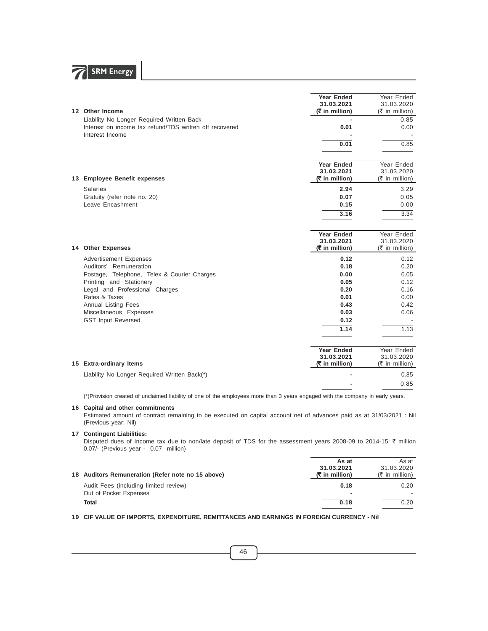|                                                         | <b>Year Ended</b> | Year Ended       |
|---------------------------------------------------------|-------------------|------------------|
|                                                         | 31.03.2021        | 31.03.2020       |
| 12 Other Income                                         | $($ ₹ in million) | $(5$ in million) |
| Liability No Longer Required Written Back               |                   | 0.85             |
| Interest on income tax refund/TDS written off recovered | 0.01              | 0.00             |
| Interest Income                                         |                   |                  |
|                                                         | 0.01              | 0.85             |
|                                                         |                   |                  |
|                                                         |                   |                  |
|                                                         | <b>Year Ended</b> | Year Ended       |
|                                                         | 31.03.2021        | 31.03.2020       |
| 13 Employee Benefit expenses                            | (₹ in million)    | (₹ in million)   |
|                                                         |                   |                  |
| <b>Salaries</b>                                         | 2.94              | 3.29             |
| Gratuity (refer note no. 20)                            | 0.07              | 0.05             |
| Leave Encashment                                        | 0.15              | 0.00             |
|                                                         | 3.16              | 3.34             |
|                                                         |                   |                  |
|                                                         |                   |                  |
|                                                         | Year Ended        | Year Ended       |
|                                                         | 31.03.2021        | 31.03.2020       |
| 14 Other Expenses                                       | (₹ in million)    | (₹ in million)   |
| <b>Advertisement Expenses</b>                           | 0.12              | 0.12             |
| Auditors' Remuneration                                  | 0.18              | 0.20             |
| Postage, Telephone, Telex & Courier Charges             | 0.00              | 0.05             |
| Printing and Stationery                                 | 0.05              | 0.12             |
| Legal and Professional Charges                          | 0.20              | 0.16             |
| Rates & Taxes                                           | 0.01              | 0.00             |
| <b>Annual Listing Fees</b>                              | 0.43              | 0.42             |
| Miscellaneous Expenses                                  | 0.03              | 0.06             |
| <b>GST Input Reversed</b>                               | 0.12              |                  |
|                                                         |                   |                  |
|                                                         | 1.14              | 1.13             |
|                                                         |                   |                  |
|                                                         | <b>Year Ended</b> | Year Ended       |
|                                                         | 31.03.2021        | 31.03.2020       |
| 15 Extra-ordinary Items                                 | (₹ in million)    | (₹ in million)   |
|                                                         |                   |                  |
| Liability No Longer Required Written Back(*)            |                   | 0.85             |
|                                                         |                   | 0.85             |
|                                                         |                   |                  |

(\*)Provision created of unclaimed liability of one of the employees more than 3 years engaged with the company in early years.

# **16 Capital and other commitments**

Estimated amount of contract remaining to be executed on capital account net of advances paid as at 31/03/2021 : Nil (Previous year: Nil)

# **17 Contingent Liabilities:**

Disputed dues of Income tax due to non/late deposit of TDS for the assessment years 2008-09 to 2014-15: ₹ million 0.07/- (Previous year - 0.07 million)

| 18 Auditors Remuneration (Refer note no 15 above) | As at<br>31.03.2021<br>(₹ in million) | As at<br>31.03.2020<br>$(5$ in million) |
|---------------------------------------------------|---------------------------------------|-----------------------------------------|
| Audit Fees (including limited review)             | 0.18                                  | 0.20                                    |
| Out of Pocket Expenses                            | $\overline{\phantom{a}}$              |                                         |
| Total                                             | 0.18                                  | 0.20                                    |

**19 CIF VALUE OF IMPORTS, EXPENDITURE, REMITTANCES AND EARNINGS IN FOREIGN CURRENCY - Nil**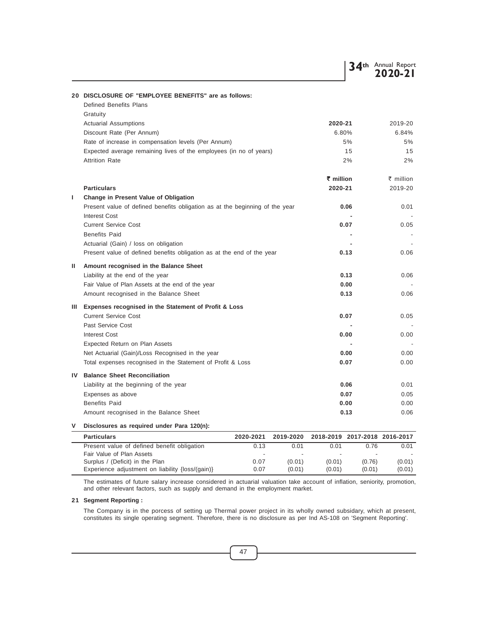|     | 20 DISCLOSURE OF "EMPLOYEE BENEFITS" are as follows:                         |           |           |                                 |                               |           |
|-----|------------------------------------------------------------------------------|-----------|-----------|---------------------------------|-------------------------------|-----------|
|     | <b>Defined Benefits Plans</b>                                                |           |           |                                 |                               |           |
|     | Gratuity                                                                     |           |           |                                 |                               |           |
|     | <b>Actuarial Assumptions</b>                                                 |           |           | 2020-21                         |                               | 2019-20   |
|     | Discount Rate (Per Annum)                                                    |           |           | 6.80%                           |                               | 6.84%     |
|     | Rate of increase in compensation levels (Per Annum)                          |           |           |                                 | 5%                            | 5%        |
|     | Expected average remaining lives of the employees (in no of years)           |           |           |                                 | 15                            | 15        |
|     | <b>Attrition Rate</b>                                                        |           |           |                                 | 2%                            | 2%        |
|     |                                                                              |           |           | $\overline{\mathbf{z}}$ million |                               | ₹ million |
|     | <b>Particulars</b>                                                           |           |           | 2020-21                         |                               | 2019-20   |
| т   | Change in Present Value of Obligation                                        |           |           |                                 |                               |           |
|     | Present value of defined benefits obligation as at the beginning of the year |           |           |                                 | 0.06                          | 0.01      |
|     | <b>Interest Cost</b>                                                         |           |           |                                 |                               |           |
|     | <b>Current Service Cost</b>                                                  |           |           |                                 | 0.07                          | 0.05      |
|     | <b>Benefits Paid</b>                                                         |           |           |                                 |                               |           |
|     | Actuarial (Gain) / loss on obligation                                        |           |           |                                 |                               |           |
|     | Present value of defined benefits obligation as at the end of the year       |           |           |                                 | 0.13                          | 0.06      |
| Ш   | Amount recognised in the Balance Sheet                                       |           |           |                                 |                               |           |
|     | Liability at the end of the year                                             |           |           |                                 | 0.13                          | 0.06      |
|     | Fair Value of Plan Assets at the end of the year                             |           |           |                                 | 0.00                          |           |
|     | Amount recognised in the Balance Sheet                                       |           |           |                                 | 0.13                          | 0.06      |
| Ш   | Expenses recognised in the Statement of Profit & Loss                        |           |           |                                 |                               |           |
|     | <b>Current Service Cost</b>                                                  |           |           |                                 | 0.07                          | 0.05      |
|     | Past Service Cost                                                            |           |           |                                 |                               |           |
|     | <b>Interest Cost</b>                                                         |           |           |                                 | 0.00                          | 0.00      |
|     | Expected Return on Plan Assets                                               |           |           |                                 |                               |           |
|     | Net Actuarial (Gain)/Loss Recognised in the year                             |           |           |                                 | 0.00                          | 0.00      |
|     | Total expenses recognised in the Statement of Profit & Loss                  |           |           |                                 | 0.07                          | 0.00      |
| IV. | <b>Balance Sheet Reconciliation</b>                                          |           |           |                                 |                               |           |
|     | Liability at the beginning of the year                                       |           |           |                                 | 0.06                          | 0.01      |
|     | Expenses as above                                                            |           |           |                                 | 0.07                          | 0.05      |
|     | <b>Benefits Paid</b>                                                         |           |           |                                 | 0.00                          | 0.00      |
|     | Amount recognised in the Balance Sheet                                       |           |           |                                 | 0.13                          | 0.06      |
| v   | Disclosures as required under Para 120(n):                                   |           |           |                                 |                               |           |
|     | <b>Particulars</b>                                                           | 2020-2021 | 2019-2020 |                                 | 2018-2019 2017-2018 2016-2017 |           |
|     | Present value of defined benefit obligation<br>Fair Value of Plan Assets     | 0.13      | 0.01      | 0.01                            | 0.76                          | 0.01      |
|     | Surplus / (Deficit) in the Plan                                              | 0.07      | (0.01)    | (0.01)                          | (0.76)                        | (0.01)    |
|     | Experience adjustment on liability {loss/(gain)}                             | 0.07      | (0.01)    | (0.01)                          | (0.01)                        | (0.01)    |

The estimates of future salary increase considered in actuarial valuation take account of inflation, seniority, promotion, and other relevant factors, such as supply and demand in the employment market.

### **21 Segment Reporting :**

The Company is in the porcess of setting up Thermal power project in its wholly owned subsidary, which at present, constitutes its single operating segment. Therefore, there is no disclosure as per Ind AS-108 on 'Segment Reporting'.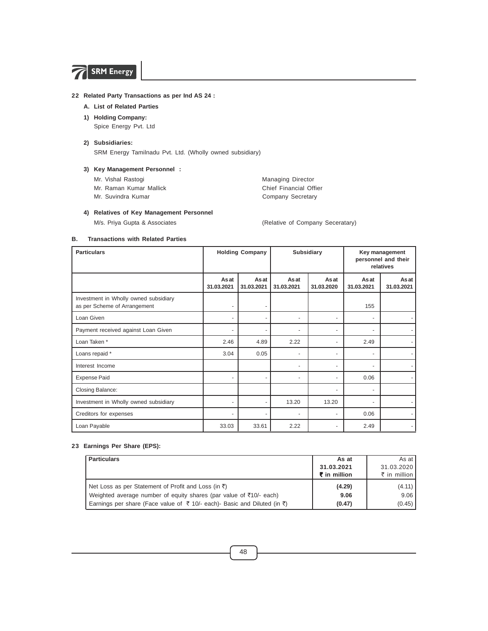# **22 Related Party Transactions as per Ind AS 24 :**

- **A. List of Related Parties**
- **1) Holding Company:** Spice Energy Pvt. Ltd
- **2) Subsidiaries:**

SRM Energy Tamilnadu Pvt. Ltd. (Wholly owned subsidiary)

# **3) Key Management Personnel :**

- Mr. Vishal Rastogi **Managing Director** Managing Director
- Mr. Raman Kumar Mallick Chief Financial Offier
- Mr. Suvindra Kumar Company Secretary

# **4) Relatives of Key Management Personnel**

M/s. Priya Gupta & Associates (Relative of Company Seceratary)

# **B. Transactions with Related Parties**

| <b>Particulars</b>                                                    | <b>Holding Company</b> |                     | <b>Subsidiary</b>   |                            | Key management<br>personnel and their<br>relatives |                            |
|-----------------------------------------------------------------------|------------------------|---------------------|---------------------|----------------------------|----------------------------------------------------|----------------------------|
|                                                                       | As at<br>31.03.2021    | As at<br>31.03.2021 | As at<br>31.03.2021 | <b>As at</b><br>31.03.2020 | As at<br>31.03.2021                                | <b>As at</b><br>31.03.2021 |
| Investment in Wholly owned subsidiary<br>as per Scheme of Arrangement |                        | ٠                   |                     |                            | 155                                                |                            |
| Loan Given                                                            |                        |                     | -                   |                            |                                                    |                            |
| Payment received against Loan Given                                   |                        | ۰                   |                     |                            |                                                    |                            |
| Loan Taken *                                                          | 2.46                   | 4.89                | 2.22                |                            | 2.49                                               |                            |
| Loans repaid *                                                        | 3.04                   | 0.05                |                     |                            |                                                    |                            |
| Interest Income                                                       |                        |                     | ٠                   |                            |                                                    |                            |
| <b>Expense Paid</b>                                                   |                        |                     | ٠                   |                            | 0.06                                               |                            |
| Closing Balance:                                                      |                        |                     |                     |                            |                                                    |                            |
| Investment in Wholly owned subsidiary                                 |                        |                     | 13.20               | 13.20                      |                                                    |                            |
| Creditors for expenses                                                |                        |                     |                     |                            | 0.06                                               |                            |
| Loan Payable                                                          | 33.03                  | 33.61               | 2.22                | ٠                          | 2.49                                               |                            |

# **23 Earnings Per Share (EPS):**

| <b>Particulars</b>                                                                              | As at        | As at I                 |
|-------------------------------------------------------------------------------------------------|--------------|-------------------------|
|                                                                                                 | 31.03.2021   | 31.03.2020              |
|                                                                                                 | ₹ in million | $\bar{\tau}$ in million |
| Net Loss as per Statement of Profit and Loss (in ₹)                                             | (4.29)       | (4.11)                  |
| Weighted average number of equity shares (par value of $\bar{\tau}$ 10/- each)                  | 9.06         | 9.06                    |
| Earnings per share (Face value of $\bar{\tau}$ 10/- each)- Basic and Diluted (in $\bar{\tau}$ ) | (0.47)       | (0.45)                  |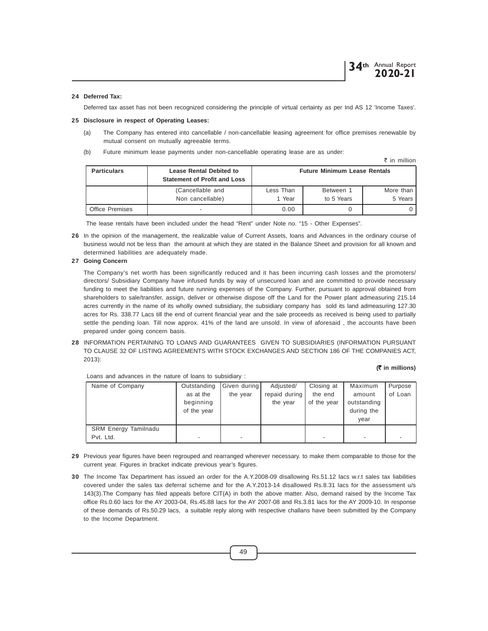#### **24 Deferred Tax:**

Deferred tax asset has not been recognized considering the principle of virtual certainty as per Ind AS 12 'Income Taxes'.

### **25 Disclosure in respect of Operating Leases:**

Loans and advances in the nature of loans to subsidiary :

- (a) The Company has entered into cancellable / non-cancellable leasing agreement for office premises renewable by mutual consent on mutually agreeable terms.
- (b) Future minimum lease payments under non-cancellable operating lease are as under:

 $\bar{\tau}$  in million

| <b>Particulars</b>     | <b>Lease Rental Debited to</b><br><b>Statement of Profit and Loss</b> | <b>Future Minimum Lease Rentals</b> |                         |                      |
|------------------------|-----------------------------------------------------------------------|-------------------------------------|-------------------------|----------------------|
|                        | (Cancellable and<br>Non cancellable)                                  | Less Than<br>Year                   | Between 1<br>to 5 Years | More than<br>5 Years |
| <b>Office Premises</b> |                                                                       | 0.00                                |                         |                      |

The lease rentals have been included under the head "Rent" under Note no. "15 - Other Expenses".

**26** In the opinion of the management, the realizable value of Current Assets, loans and Advances in the ordinary course of business would not be less than the amount at which they are stated in the Balance Sheet and provision for all known and determined liabilities are adequately made.

#### **27 Going Concern**

The Company's net worth has been significantly reduced and it has been incurring cash losses and the promoters/ directors/ Subsidiary Company have infused funds by way of unsecured loan and are committed to provide necessary funding to meet the liabilities and future running expenses of the Company. Further, pursuant to approval obtained from shareholders to sale/transfer, assign, deliver or otherwise dispose off the Land for the Power plant admeasuring 215.14 acres currently in the name of its wholly owned subsidiary, the subsidiary company has sold its land admeasuring 127.30 acres for Rs. 338.77 Lacs till the end of current financial year and the sale proceeds as received is being used to partially settle the pending loan. Till now approx. 41% of the land are unsold. In view of aforesaid , the accounts have been prepared under going concern basis.

**28** INFORMATION PERTAINING TO LOANS AND GUARANTEES GIVEN TO SUBSIDIARIES (INFORMATION PURSUANT TO CLAUSE 32 OF LISTING AGREEMENTS WITH STOCK EXCHANGES AND SECTION 186 OF THE COMPANIES ACT, 2013):

### **(**` **in millions)**

| Name of Company             | Outstanding | Given during | Adjusted/     | Closing at  | Maximum     | Purpose |
|-----------------------------|-------------|--------------|---------------|-------------|-------------|---------|
|                             | as at the   | the year     | repaid during | the end     | amount      | of Loan |
|                             | beginning   |              | the year      | of the year | outstanding |         |
|                             | of the year |              |               |             | during the  |         |
|                             |             |              |               |             | vear        |         |
| <b>SRM Energy Tamilnadu</b> |             |              |               |             |             |         |
| Pvt. Ltd.                   |             | -            |               |             |             |         |

- **29** Previous year figures have been regrouped and rearranged wherever necessary. to make them comparable to those for the current year. Figures in bracket indicate previous year's figures.
- **30** The Income Tax Department has issued an order for the A.Y.2008-09 disallowing Rs.51.12 lacs w.r.t sales tax liabilities covered under the sales tax deferral scheme and for the A.Y.2013-14 disallowed Rs.8.31 lacs for the assessment u/s 143(3).The Company has filed appeals before CIT(A) in both the above matter. Also, demand raised by the Income Tax office Rs.0.60 lacs for the AY 2003-04, Rs.45.88 lacs for the AY 2007-08 and Rs.3.81 lacs for the AY 2009-10. In response of these demands of Rs.50.29 lacs, a suitable reply along with respective challans have been submitted by the Company to the Income Department.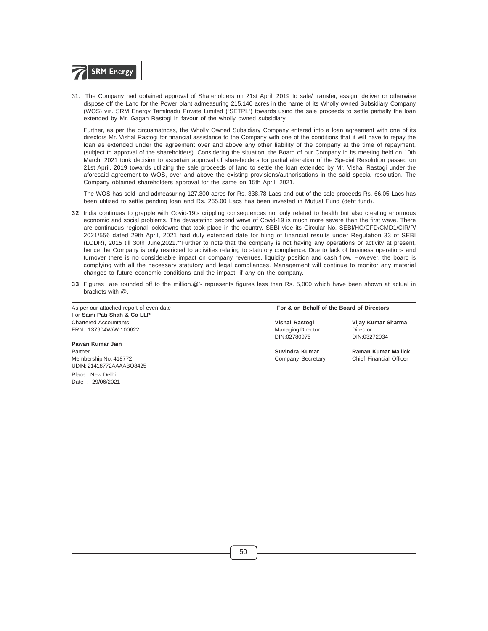31. The Company had obtained approval of Shareholders on 21st April, 2019 to sale/ transfer, assign, deliver or otherwise dispose off the Land for the Power plant admeasuring 215.140 acres in the name of its Wholly owned Subsidiary Company (WOS) viz. SRM Energy Tamilnadu Private Limited ("SETPL") towards using the sale proceeds to settle partially the loan extended by Mr. Gagan Rastogi in favour of the wholly owned subsidiary.

Further, as per the circusmatnces, the Wholly Owned Subsidiary Company entered into a loan agreement with one of its directors Mr. Vishal Rastogi for financial assistance to the Company with one of the conditions that it will have to repay the loan as extended under the agreement over and above any other liability of the company at the time of repayment, (subject to approval of the shareholders). Considering the situation, the Board of our Company in its meeting held on 10th March, 2021 took decision to ascertain approval of shareholders for partial alteration of the Special Resolution passed on 21st April, 2019 towards utilizing the sale proceeds of land to settle the loan extended by Mr. Vishal Rastogi under the aforesaid agreement to WOS, over and above the existing provisions/authorisations in the said special resolution. The Company obtained shareholders approval for the same on 15th April, 2021.

The WOS has sold land admeasuring 127.300 acres for Rs. 338.78 Lacs and out of the sale proceeds Rs. 66.05 Lacs has been utilized to settle pending loan and Rs. 265.00 Lacs has been invested in Mutual Fund (debt fund).

- **32** India continues to grapple with Covid-19's crippling consequences not only related to health but also creating enormous economic and social problems. The devastating second wave of Covid-19 is much more severe than the first wave. There are continuous regional lockdowns that took place in the country. SEBI vide its Circular No. SEBI/HO/CFD/CMD1/CIR/P/ 2021/556 dated 29th April, 2021 had duly extended date for filing of financial results under Regulation 33 of SEBI (LODR), 2015 till 30th June,2021.""Further to note that the company is not having any operations or activity at present, hence the Company is only restricted to activities relating to statutory compliance. Due to lack of business operations and turnover there is no considerable impact on company revenues, liquidity position and cash flow. However, the board is complying with all the necessary statutory and legal compliances. Management will continue to monitor any material changes to future economic conditions and the impact, if any on the company.
- **33** Figures are rounded off to the million.@'- represents figures less than Rs. 5,000 which have been shown at actual in brackets with @.

For **Saini Pati Shah & Co LLP** Chartered Accountants **Vishal Rastogi Vijay Kumar Sharma** FRN : 137904W/W-100622 Managing Director Director

**Pawan Kumar Jain** Partner **Suvindra Kumar Raman Kumar Mallick** Membership No. 418772 Company Secretary Chief Financial Officer UDIN: 21418772AAAABO8425 Place : New Delhi

Date : 29/06/2021

As per our attached report of even date **For & on Behalf of the Board of Directors**

DIN:02780975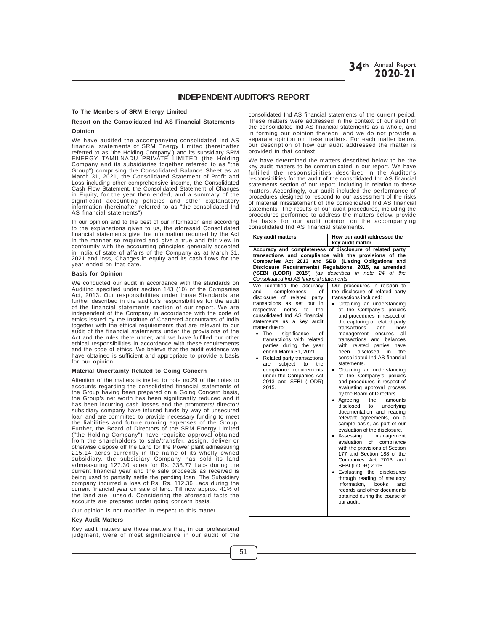# **INDEPENDENT AUDITOR'S REPORT**

#### **To The Members of SRM Energy Limited**

# **Report on the Consolidated Ind AS Financial Statements Opinion**

We have audited the accompanying consolidated Ind AS financial statements of SRM Energy Limited (hereinafter referred to as "the Holding Company") and its subsidiary SRM ENERGY TAMILNADU PRIVATE LIMITED (the Holding Company and its subsidiaries together referred to as "the Group") comprising the Consolidated Balance Sheet as at March 31, 2021, the Consolidated Statement of Profit and Loss including other comprehensive income, the Consolidated Cash Flow Statement, the Consolidated Statement of Changes in Equity, for the year then ended, and a summary of the significant accounting policies and other explanatory information (hereinafter referred to as "the consolidated Ind AS financial statements").

In our opinion and to the best of our information and according to the explanations given to us, the aforesaid Consolidated financial statements give the information required by the Act in the manner so required and give a true and fair view in conformity with the accounting principles generally accepted in India of state of affairs of the Company as at March 31, 2021 and loss, Changes in equity and its cash flows for the year ended on that date.

#### **Basis for Opinion**

We conducted our audit in accordance with the standards on Auditing specified under section 143 (10) of the Companies Act, 2013. Our responsibilities under those Standards are further described in the auditor's responsibilities for the audit of the financial statements section of our report. We are independent of the Company in accordance with the code of ethics issued by the Institute of Chartered Accountants of India together with the ethical requirements that are relevant to our audit of the financial statements under the provisions of the Act and the rules there under, and we have fulfilled our other ethical responsibilities in accordance with these requirements and the code of ethics. We believe that the audit evidence we have obtained is sufficient and appropriate to provide a basis for our opinion.

#### **Material Uncertainty Related to Going Concern**

Attention of the matters is invited to note no.29 of the notes to accounts regarding the consolidated financial statements of the Group having been prepared on a Going Concern basis, the Group's net worth has been significantly reduced and it has been incurring cash losses and the promoters/ director/ subsidiary company have infused funds by way of unsecured loan and are committed to provide necessary funding to meet the liabilities and future running expenses of the Group. Further, the Board of Directors of the SRM Energy Limited ("the Holding Company") have requisite approval obtained from the shareholders to sale/transfer, assign, deliver or otherwise dispose off the Land for the Power plant admeasuring 215.14 acres currently in the name of its wholly owned subsidiary, the subsidiary Company has sold its land admeasuring 127.30 acres for Rs. 338.77 Lacs during the current financial year and the sale proceeds as received is being used to partially settle the pending loan. The Subsidiary company incurred a loss of Rs. Rs. 112.36 Lacs during the current financial year on sale of land. Till now approx. 41% of the land are unsold. Considering the aforesaid facts the accounts are prepared under going concern basis.

Our opinion is not modified in respect to this matter.

#### **Key Audit Matters**

Key audit matters are those matters that, in our professional judgment, were of most significance in our audit of the

consolidated Ind AS financial statements of the current period. These matters were addressed in the context of our audit of the consolidated Ind AS financial statements as a whole, and in forming our opinion thereon, and we do not provide a separate opinion on these matters. For each matter below, our description of how our audit addressed the matter is provided in that context.

We have determined the matters described below to be the key audit matters to be communicated in our report. We have fulfilled the responsibilities described in the Auditor's responsibilities for the audit of the consolidated Ind AS financial statements section of our report, including in relation to these matters. Accordingly, our audit included the performance of procedures designed to respond to our assessment of the risks of material misstatement of the consolidated Ind AS financial statements. The results of our audit procedures, including the procedures performed to address the matters below, provide the basis for our audit opinion on the accompanying consolidated Ind AS financial statements.

| Key audit matters                                                                                                                                                                                                                                                                                                                                                                                                                                                                                                                       | How our audit addressed the<br>key audit matter                                                                                                                                                                                                                                                                                                                                                                                                                                                                                                                                                                                                                                                                                                                                                                                                                                                                                                                                                                                                                                                                                                          |  |  |  |  |
|-----------------------------------------------------------------------------------------------------------------------------------------------------------------------------------------------------------------------------------------------------------------------------------------------------------------------------------------------------------------------------------------------------------------------------------------------------------------------------------------------------------------------------------------|----------------------------------------------------------------------------------------------------------------------------------------------------------------------------------------------------------------------------------------------------------------------------------------------------------------------------------------------------------------------------------------------------------------------------------------------------------------------------------------------------------------------------------------------------------------------------------------------------------------------------------------------------------------------------------------------------------------------------------------------------------------------------------------------------------------------------------------------------------------------------------------------------------------------------------------------------------------------------------------------------------------------------------------------------------------------------------------------------------------------------------------------------------|--|--|--|--|
| Accuracy and completeness of disclosure of related party<br>transactions and compliance with the provisions of the<br>Companies Act 2013 and SEBI (Listing Obligations and<br>Disclosure Requirements) Regulations, 2015, as amended<br>('SEBI (LODR) 2015') (as described in note 24 of the<br>Consolidated Ind AS financial statements                                                                                                                                                                                                |                                                                                                                                                                                                                                                                                                                                                                                                                                                                                                                                                                                                                                                                                                                                                                                                                                                                                                                                                                                                                                                                                                                                                          |  |  |  |  |
| We identified the accuracy<br>and<br>completeness<br>of<br>disclosure of<br>related party<br>transactions<br>set out in<br>as<br>respective<br>notes<br>to<br>the<br>consolidated Ind AS financial<br>statements as a key audit<br>matter due to:<br><b>The</b><br>significance<br>$\bullet$<br>οf<br>transactions with related<br>parties during the year<br>ended March 31, 2021.<br>Related party transactions<br>subiect<br>to<br>the<br>are<br>compliance requirements<br>under the Companies Act<br>2013 and SEBI (LODR)<br>2015. | Our procedures in relation to<br>the disclosure of related party<br>transactions included:<br>Obtaining an understanding<br>$\bullet$<br>of the Company's policies<br>and procedures in respect of<br>the capturing of related party<br>transactions<br>and<br>how<br>management<br>ensures<br>all<br>transactions<br>and balances<br>with<br>related parties have<br>disclosed<br>in<br>the<br>been<br>consolidated Ind AS financial<br>statements.<br>Obtaining an understanding<br>of the Company's policies<br>and procedures in respect of<br>evaluating approval process<br>by the Board of Directors.<br>Aareeina<br>the<br>amounts<br>disclosed<br>underlying<br>to<br>documentation and reading<br>relevant agreements, on a<br>sample basis, as part of our<br>evaluation of the disclosure.<br>Assessina<br>management<br>evaluation of compliance<br>with the provisions of Section<br>177 and Section 188 of the<br>Companies Act 2013 and<br>SEBI (LODR) 2015.<br>Evaluating the disclosures<br>through reading of statutory<br>information.<br>books<br>and<br>records and other documents<br>obtained during the course of<br>our audit. |  |  |  |  |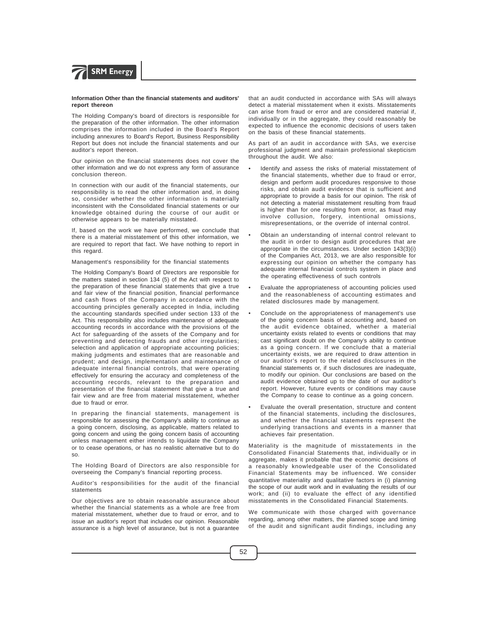

#### **Information Other than the financial statements and auditors' report thereon**

The Holding Company's board of directors is responsible for the preparation of the other information. The other information comprises the information included in the Board's Report including annexures to Board's Report, Business Responsibility Report but does not include the financial statements and our auditor's report thereon.

Our opinion on the financial statements does not cover the other information and we do not express any form of assurance conclusion thereon.

In connection with our audit of the financial statements, our responsibility is to read the other information and, in doing so, consider whether the other information is materially inconsistent with the Consolidated financial statements or our knowledge obtained during the course of our audit or otherwise appears to be materially misstated.

If, based on the work we have performed, we conclude that there is a material misstatement of this other information, we are required to report that fact. We have nothing to report in this regard.

Management's responsibility for the financial statements

The Holding Company's Board of Directors are responsible for the matters stated in section 134 (5) of the Act with respect to the preparation of these financial statements that give a true and fair view of the financial position, financial performance and cash flows of the Company in accordance with the accounting principles generally accepted in India, including the accounting standards specified under section 133 of the Act. This responsibility also includes maintenance of adequate accounting records in accordance with the provisions of the Act for safeguarding of the assets of the Company and for preventing and detecting frauds and other irregularities; selection and application of appropriate accounting policies; making judgments and estimates that are reasonable and prudent; and design, implementation and maintenance of adequate internal financial controls, that were operating effectively for ensuring the accuracy and completeness of the accounting records, relevant to the preparation and presentation of the financial statement that give a true and fair view and are free from material misstatement, whether due to fraud or error.

In preparing the financial statements, management is responsible for assessing the Company's ability to continue as a going concern, disclosing, as applicable, matters related to going concern and using the going concern basis of accounting unless management either intends to liquidate the Company or to cease operations, or has no realistic alternative but to do so.

The Holding Board of Directors are also responsible for overseeing the Company's financial reporting process.

Auditor's responsibilities for the audit of the financial statements

Our objectives are to obtain reasonable assurance about whether the financial statements as a whole are free from material misstatement, whether due to fraud or error, and to issue an auditor's report that includes our opinion. Reasonable assurance is a high level of assurance, but is not a guarantee

that an audit conducted in accordance with SAs will always detect a material misstatement when it exists. Misstatements can arise from fraud or error and are considered material if, individually or in the aggregate, they could reasonably be expected to influence the economic decisions of users taken on the basis of these financial statements.

As part of an audit in accordance with SAs, we exercise professional judgment and maintain professional skepticism throughout the audit. We also:

- Identify and assess the risks of material misstatement of the financial statements, whether due to fraud or error, design and perform audit procedures responsive to those risks, and obtain audit evidence that is sufficient and appropriate to provide a basis for our opinion. The risk of not detecting a material misstatement resulting from fraud is higher than for one resulting from error, as fraud may involve collusion, forgery, intentional omissions, misrepresentations, or the override of internal control.
- Obtain an understanding of internal control relevant to the audit in order to design audit procedures that are appropriate in the circumstances. Under section 143(3)(i) of the Companies Act, 2013, we are also responsible for expressing our opinion on whether the company has adequate internal financial controls system in place and the operating effectiveness of such controls
- Evaluate the appropriateness of accounting policies used and the reasonableness of accounting estimates and related disclosures made by management.
- Conclude on the appropriateness of management's use of the going concern basis of accounting and, based on the audit evidence obtained, whether a material uncertainty exists related to events or conditions that may cast significant doubt on the Company's ability to continue as a going concern. If we conclude that a material uncertainty exists, we are required to draw attention in our auditor's report to the related disclosures in the financial statements or, if such disclosures are inadequate, to modify our opinion. Our conclusions are based on the audit evidence obtained up to the date of our auditor's report. However, future events or conditions may cause the Company to cease to continue as a going concern.
- Evaluate the overall presentation, structure and content of the financial statements, including the disclosures, and whether the financial statements represent the underlying transactions and events in a manner that achieves fair presentation.

Materiality is the magnitude of misstatements in the Consolidated Financial Statements that, individually or in aggregate, makes it probable that the economic decisions of a reasonably knowledgeable user of the Consolidated Financial Statements may be influenced. We consider quantitative materiality and qualitative factors in (i) planning the scope of our audit work and in evaluating the results of our work; and (ii) to evaluate the effect of any identified misstatements in the Consolidated Financial Statements.

We communicate with those charged with governance regarding, among other matters, the planned scope and timing of the audit and significant audit findings, including any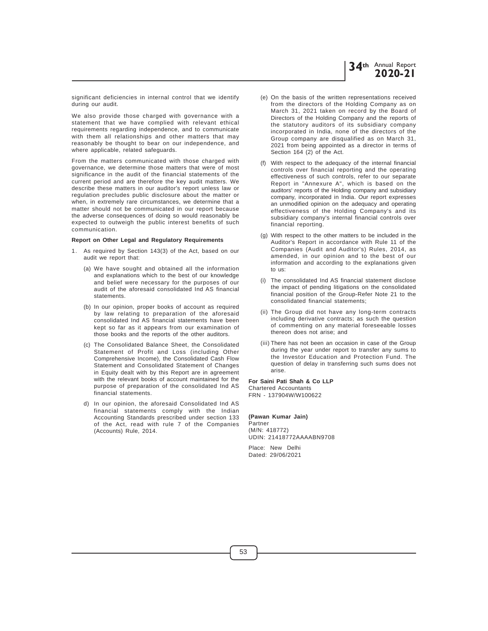

significant deficiencies in internal control that we identify during our audit.

We also provide those charged with governance with a statement that we have complied with relevant ethical requirements regarding independence, and to communicate with them all relationships and other matters that may reasonably be thought to bear on our independence, and where applicable, related safeguards.

From the matters communicated with those charged with governance, we determine those matters that were of most significance in the audit of the financial statements of the current period and are therefore the key audit matters. We describe these matters in our auditor's report unless law or regulation precludes public disclosure about the matter or when, in extremely rare circumstances, we determine that a matter should not be communicated in our report because the adverse consequences of doing so would reasonably be expected to outweigh the public interest benefits of such communication.

#### **Report on Other Legal and Regulatory Requirements**

- 1. As required by Section 143(3) of the Act, based on our audit we report that:
	- (a) We have sought and obtained all the information and explanations which to the best of our knowledge and belief were necessary for the purposes of our audit of the aforesaid consolidated Ind AS financial statements.
	- (b) In our opinion, proper books of account as required by law relating to preparation of the aforesaid consolidated Ind AS financial statements have been kept so far as it appears from our examination of those books and the reports of the other auditors.
	- (c) The Consolidated Balance Sheet, the Consolidated Statement of Profit and Loss (including Other Comprehensive Income), the Consolidated Cash Flow Statement and Consolidated Statement of Changes in Equity dealt with by this Report are in agreement with the relevant books of account maintained for the purpose of preparation of the consolidated Ind AS financial statements.
	- d) In our opinion, the aforesaid Consolidated Ind AS financial statements comply with the Indian Accounting Standards prescribed under section 133 of the Act, read with rule 7 of the Companies (Accounts) Rule, 2014.
- (e) On the basis of the written representations received from the directors of the Holding Company as on March 31, 2021 taken on record by the Board of Directors of the Holding Company and the reports of the statutory auditors of its subsidiary company incorporated in India, none of the directors of the Group company are disqualified as on March 31, 2021 from being appointed as a director in terms of Section 164 (2) of the Act.
- (f) With respect to the adequacy of the internal financial controls over financial reporting and the operating effectiveness of such controls, refer to our separate Report in "Annexure A", which is based on the auditors' reports of the Holding company and subsidiary company, incorporated in India. Our report expresses an unmodified opinion on the adequacy and operating effectiveness of the Holding Company's and its subsidiary company's internal financial controls over financial reporting.
- (g) With respect to the other matters to be included in the Auditor's Report in accordance with Rule 11 of the Companies (Audit and Auditor's) Rules, 2014, as amended, in our opinion and to the best of our information and according to the explanations given to us:
- (i) The consolidated Ind AS financial statement disclose the impact of pending litigations on the consolidated financial position of the Group-Refer Note 21 to the consolidated financial statements;
- (ii) The Group did not have any long-term contracts including derivative contracts; as such the question of commenting on any material foreseeable losses thereon does not arise; and
- (iii) There has not been an occasion in case of the Group during the year under report to transfer any sums to the Investor Education and Protection Fund. The question of delay in transferring such sums does not arise.

# **For Saini Pati Shah & Co LLP**

Chartered Accountants FRN - 137904W/W100622

**(Pawan Kumar Jain)** Partner

(M/N: 418772) UDIN: 21418772AAAABN9708

Place: New Delhi Dated: 29/06/2021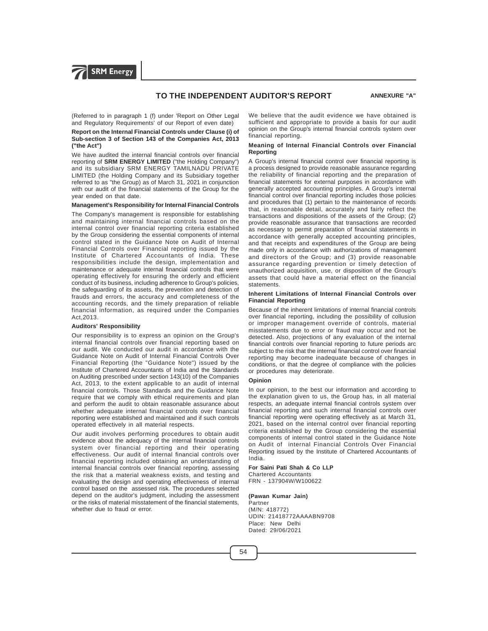

# **TO THE INDEPENDENT AUDITOR'S REPORT ANNEXURE "A"**

(Referred to in paragraph 1 (f) under 'Report on Other Legal and Regulatory Requirements' of our Report of even date)

### **Report on the Internal Financial Controls under Clause (i) of Sub-section 3 of Section 143 of the Companies Act, 2013 ("the Act")**

We have audited the internal financial controls over financial reporting of **SRM ENERGY LIMITED** ("the Holding Company") and its subsidiary SRM ENERGY TAMILNADU PRIVATE LIMITED (the Holding Company and its Subsidiary together referred to as "the Group) as of March 31, 2021 in conjunction with our audit of the financial statements of the Group for the year ended on that date.

#### **Management's Responsibility for Internal Financial Controls**

The Company's management is responsible for establishing and maintaining internal financial controls based on the internal control over financial reporting criteria established by the Group considering the essential components of internal control stated in the Guidance Note on Audit of Internal Financial Controls over Financial reporting issued by the Institute of Chartered Accountants of India. These responsibilities include the design, implementation and maintenance or adequate internal financial controls that were operating effectively for ensuring the orderly and efficient conduct of its business, including adherence to Group's policies, the safeguarding of its assets, the prevention and detection of frauds and errors, the accuracy and completeness of the accounting records, and the timely preparation of reliable financial information, as required under the Companies Act,2013.

#### **Auditors' Responsibility**

Our responsibility is to express an opinion on the Group's internal financial controls over financial reporting based on our audit. We conducted our audit in accordance with the Guidance Note on Audit of Internal Financial Controls Over Financial Reporting (the "Guidance Note") issued by the Institute of Chartered Accountants of India and the Standards on Auditing prescribed under section 143(10) of the Companies Act, 2013, to the extent applicable to an audit of internal financial controls. Those Standards and the Guidance Note require that we comply with ethical requirements and plan and perform the audit to obtain reasonable assurance about whether adequate internal financial controls over financial reporting were established and maintained and if such controls operated effectively in all material respects.

Our audit involves performing procedures to obtain audit evidence about the adequacy of the internal financial controls system over financial reporting and their operating effectiveness. Our audit of internal financial controls over financial reporting included obtaining an understanding of internal financial controls over financial reporting, assessing the risk that a material weakness exists, and testing and evaluating the design and operating effectiveness of internal control based on the assessed risk. The procedures selected depend on the auditor's judgment, including the assessment or the risks of material misstatement of the financial statements, whether due to fraud or error.

We believe that the audit evidence we have obtained is sufficient and appropriate to provide a basis for our audit opinion on the Group's internal financial controls system over financial reporting.

#### **Meaning of Internal Financial Controls over Financial Reporting**

A Group's internal financial control over financial reporting is a process designed to provide reasonable assurance regarding the reliability of financial reporting and the preparation of financial statements for external purposes in accordance with generally accepted accounting principles. A Group's internal financial control over financial reporting includes those policies and procedures that (1) pertain to the maintenance of records that, in reasonable detail, accurately and fairly reflect the transactions and dispositions of the assets of the Group; (2) provide reasonable assurance that transactions are recorded as necessary to permit preparation of financial statements in accordance with generally accepted accounting principles, and that receipts and expenditures of the Group are being made only in accordance with authorizations of management and directors of the Group; and (3) provide reasonable assurance regarding prevention or timely detection of unauthorized acquisition, use, or disposition of the Group's assets that could have a material effect on the financial statements.

#### **Inherent Limitations of Internal Financial Controls over Financial Reporting**

Because of the inherent limitations of internal financial controls over financial reporting, including the possibility of collusion or improper management override of controls, material misstatements due to error or fraud may occur and not be detected. Also, projections of any evaluation of the internal financial controls over financial reporting to future periods arc subject to the risk that the internal financial control over financial reporting may become inadequate because of changes in conditions, or that the degree of compliance with the policies or procedures may deteriorate.

#### **Opinion**

In our opinion, to the best our information and according to the explanation given to us, the Group has, in all material respects, an adequate internal financial controls system over financial reporting and such internal financial controls over financial reporting were operating effectively as at March 31, 2021, based on the internal control over financial reporting criteria established by the Group considering the essential components of internal control stated in the Guidance Note on Audit of internal Financial Controls Over Financial Reporting issued by the Institute of Chartered Accountants of India.

**For Saini Pati Shah & Co LLP** Chartered Accountants FRN - 137904W/W100622

#### **(Pawan Kumar Jain)**

**Partner** (M/N: 418772) UDIN: 21418772AAAABN9708 Place: New Delhi Dated: 29/06/2021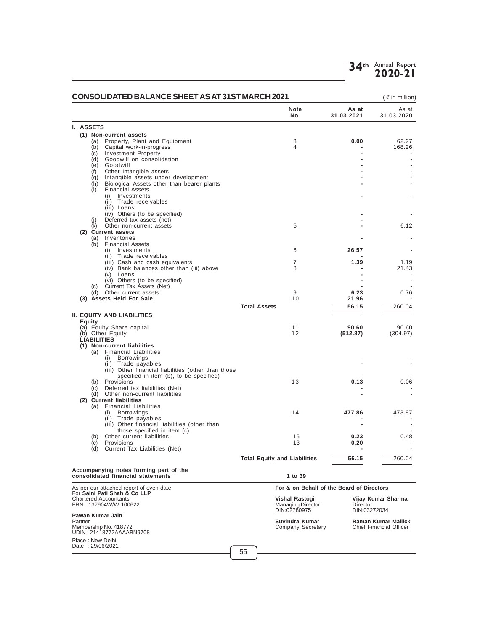| CONSOLIDATED BALANCE SHEET AS AT 31ST MARCH 2021                                                                      |                                                            |                                 | ( ₹ in million)                                       |
|-----------------------------------------------------------------------------------------------------------------------|------------------------------------------------------------|---------------------------------|-------------------------------------------------------|
|                                                                                                                       | <b>Note</b><br>No.                                         | As at<br>31.03.2021             | As at<br>31.03.2020                                   |
| I. ASSETS                                                                                                             |                                                            |                                 |                                                       |
| (1) Non-current assets<br>(a) Property, Plant and Equipment<br>(b)<br>Capital work-in-progress                        | 3<br>4                                                     | 0.00                            | 62.27<br>168.26                                       |
| (c) Investment Property<br>Goodwill on consolidation<br>(d)<br>(e) Goodwill                                           |                                                            |                                 |                                                       |
| Other Intangible assets<br>(f)<br>Intangible assets under development<br>(g)                                          |                                                            |                                 |                                                       |
| Biological Assets other than bearer plants<br>(h)<br><b>Financial Assets</b><br>(i)<br>Investments<br>(i)             |                                                            |                                 |                                                       |
| (ii) Trade receivables<br>(iii) Loans                                                                                 |                                                            |                                 |                                                       |
| (iv) Others (to be specified)<br>Deferred tax assets (net)<br>(i)<br>Other non-current assets                         | 5                                                          |                                 | 6.12                                                  |
| (k)<br>(2) Current assets<br>(a) Inventories                                                                          |                                                            |                                 |                                                       |
| (b) Financial Assets<br>(i) Investments                                                                               | 6                                                          | 26.57                           |                                                       |
| (ii) Trade receivables<br>(iii) Cash and cash equivalents<br>(iv) Bank balances other than (iii) above                | 7<br>8                                                     | 1.39                            | 1.19<br>21.43                                         |
| $(v)$ Loans<br>(vi) Others (to be specified)                                                                          |                                                            |                                 |                                                       |
| Current Tax Assets (Net)<br>(C)<br>(d) Other current assets                                                           | 9                                                          | 6.23                            | 0.76                                                  |
| (3) Assets Held For Sale                                                                                              | 10<br><b>Total Assets</b>                                  | 21.96<br>56.15                  | 260.04                                                |
| <b>II. EQUITY AND LIABILITIES</b><br>Equity                                                                           |                                                            |                                 |                                                       |
| (a) Equity Share capital<br>(b) Other Equity<br><b>LIABILITIES</b>                                                    | 11<br>12                                                   | 90.60<br>(512.87)               | 90.60<br>(304.97)                                     |
| (1) Non-current liabilities<br>(a) Financial Liabilities<br>Borrowings<br>(i)                                         |                                                            |                                 |                                                       |
| (ii) Trade payables<br>(iii) Other financial liabilities (other than those<br>specified in item (b), to be specified) |                                                            |                                 |                                                       |
| (b) Provisions<br>(c) Deferred tax liabilities (Net)<br>(d) Other non-current liabilities<br>(2) Current liabilities  | 13                                                         | 0.13                            | 0.06                                                  |
| (a) Financial Liabilities<br>(i) Borrowings<br>(ii) Trade payables<br>(iii) Other financial liabilities (other than   | 14                                                         | 477.86                          | 473.87                                                |
| those specified in item (c)<br>Other current liabilities<br>(b)<br>Provisions<br>(c)<br>Current Tax Liabilities (Net) | 15<br>13                                                   | 0.23<br>0.20                    | 0.48                                                  |
| (d)                                                                                                                   | <b>Total Equity and Liabilities</b>                        | 56.15                           | 260.04                                                |
| Accompanying notes forming part of the<br>consolidated financial statements                                           | 1 to 39                                                    |                                 |                                                       |
| As per our attached report of even date                                                                               | For & on Behalf of the Board of Directors                  |                                 |                                                       |
| For Saini Pati Shah & Co LLP<br><b>Chartered Accountants</b><br>FRN: 137904W/W-100622                                 | Vishal Rastogi<br><b>Managing Director</b><br>DIN:02780975 | <b>Director</b><br>DIN:03272034 | Vijay Kumar Sharma                                    |
| Pawan Kumar Jain<br>Partner<br>Membership No. 418772<br>UDIN: 21418772AAAABN9708                                      | Suvindra Kumar<br>Company Secretary                        |                                 | Raman Kumar Mallick<br><b>Chief Financial Officer</b> |
| Place: New Delhi<br>Date: 29/06/2021                                                                                  | 55                                                         |                                 |                                                       |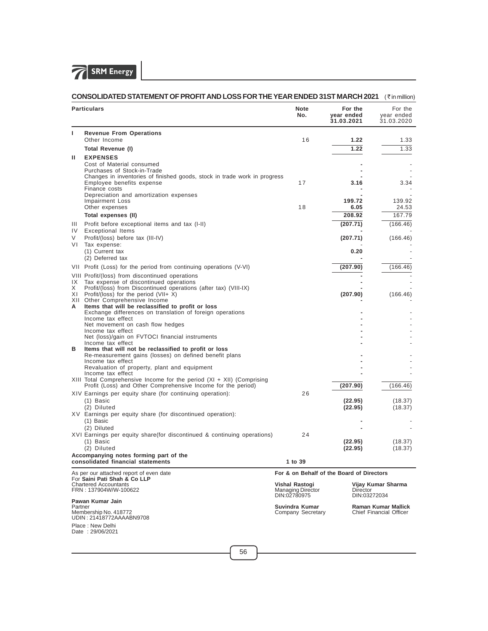Place : New Delhi Date : 29/06/2021

# **CONSOLIDATED STATEMENT OF PROFIT AND LOSS FOR THE YEAR ENDED 31ST MARCH 2021** (  $\bar{\tau}$  in million)

|         | <b>Particulars</b>                                                                                              | Note<br>No.                               | For the<br>year ended<br>31.03.2021 | For the<br>vear ended<br>31.03.2020            |
|---------|-----------------------------------------------------------------------------------------------------------------|-------------------------------------------|-------------------------------------|------------------------------------------------|
| ı.      | <b>Revenue From Operations</b>                                                                                  |                                           |                                     |                                                |
|         | Other Income                                                                                                    | 16                                        | 1.22                                | 1.33                                           |
|         | Total Revenue (I)                                                                                               |                                           | 1.22                                | 1.33                                           |
| Ш       | <b>EXPENSES</b>                                                                                                 |                                           |                                     |                                                |
|         | Cost of Material consumed<br>Purchases of Stock-in-Trade                                                        |                                           |                                     |                                                |
|         | Changes in inventories of finished goods, stock in trade work in progress                                       |                                           |                                     |                                                |
|         | Employee benefits expense                                                                                       | 17                                        | 3.16                                | 3.34                                           |
|         | Finance costs<br>Depreciation and amortization expenses                                                         |                                           |                                     |                                                |
|         | <b>Impairment Loss</b>                                                                                          |                                           | 199.72                              | 139.92                                         |
|         | Other expenses                                                                                                  | 18                                        | 6.05                                | 24.53                                          |
|         | Total expenses (II)                                                                                             |                                           | 208.92                              | 167.79                                         |
| Ш       | Profit before exceptional items and tax (I-II)                                                                  |                                           | (207.71)                            | (166.46)                                       |
| V       | IV Exceptional Items<br>Profit/(loss) before tax (III-IV)                                                       |                                           | (207.71)                            | (166.46)                                       |
|         | VI Tax expense:                                                                                                 |                                           |                                     |                                                |
|         | (1) Current tax                                                                                                 |                                           | 0.20                                |                                                |
|         | (2) Deferred tax                                                                                                |                                           |                                     |                                                |
|         | VII Profit (Loss) for the period from continuing operations (V-VI)                                              |                                           | (207.90)                            | (166.46)                                       |
|         | VIII Profit/(loss) from discontinued operations                                                                 |                                           |                                     |                                                |
| X.      | IX Tax expense of discontinued operations<br>Profit/(loss) from Discontinued operations (after tax) (VIII-IX)   |                                           |                                     |                                                |
|         | $XI$ Profit/(loss) for the period (VII+ X)                                                                      |                                           | (207.90)                            | (166.46)                                       |
| A       | XII Other Comprehensive Income<br>Items that will be reclassified to profit or loss                             |                                           |                                     |                                                |
|         | Exchange differences on translation of foreign operations                                                       |                                           |                                     |                                                |
|         | Income tax effect                                                                                               |                                           |                                     |                                                |
|         | Net movement on cash flow hedges<br>Income tax effect                                                           |                                           |                                     |                                                |
|         | Net (loss)/gain on FVTOCI financial instruments                                                                 |                                           |                                     |                                                |
|         | Income tax effect                                                                                               |                                           |                                     |                                                |
| в       | Items that will not be reclassified to profit or loss<br>Re-measurement gains (losses) on defined benefit plans |                                           |                                     |                                                |
|         | Income tax effect                                                                                               |                                           |                                     |                                                |
|         | Revaluation of property, plant and equipment<br>Income tax effect                                               |                                           |                                     |                                                |
|         | XIII Total Comprehensive Income for the period (XI + XII) (Comprising                                           |                                           |                                     |                                                |
|         | Profit (Loss) and Other Comprehensive Income for the period)                                                    |                                           | (207.90)                            | (166.46)                                       |
|         | XIV Earnings per equity share (for continuing operation):                                                       | 26                                        |                                     |                                                |
|         | $(1)$ Basic<br>(2) Diluted                                                                                      |                                           | (22.95)<br>(22.95)                  | (18.37)<br>(18.37)                             |
|         | XV Earnings per equity share (for discontinued operation):                                                      |                                           |                                     |                                                |
|         | $(1)$ Basic                                                                                                     |                                           |                                     |                                                |
|         | (2) Diluted                                                                                                     |                                           |                                     |                                                |
|         | XVI Earnings per equity share(for discontinued & continuing operations)                                         | 24                                        |                                     |                                                |
|         | $(1)$ Basic<br>(2) Diluted                                                                                      |                                           | (22.95)<br>(22.95)                  | (18.37)<br>(18.37)                             |
|         | Accompanying notes forming part of the                                                                          |                                           |                                     |                                                |
|         | consolidated financial statements                                                                               | 1 to 39                                   |                                     |                                                |
|         | As per our attached report of even date                                                                         | For & on Behalf of the Board of Directors |                                     |                                                |
|         | For Saini Pati Shah & Co LLP<br><b>Chartered Accountants</b>                                                    | <b>Vishal Rastogi</b>                     |                                     | Vijay Kumar Sharma                             |
|         | FRN: 137904W/W-100622                                                                                           | <b>Managing Director</b>                  | <b>Director</b>                     |                                                |
|         | Pawan Kumar Jain                                                                                                | DIN:02780975                              | DIN:03272034                        |                                                |
| Partner |                                                                                                                 | Suvindra Kumar                            |                                     | Raman Kumar Mallick<br>Chief Financial Officer |
|         | Membership No. 418772<br>UDIN: 21418772AAAABN9708                                                               | Company Secretary                         |                                     |                                                |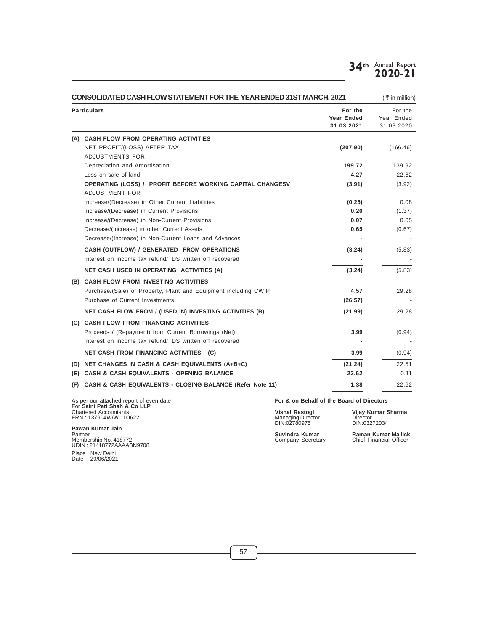|     | CONSOLIDATED CASH FLOW STATEMENT FOR THE YEAR ENDED 31ST MARCH, 2021                      |                                           | $($ ₹ in million)                   |  |
|-----|-------------------------------------------------------------------------------------------|-------------------------------------------|-------------------------------------|--|
|     | <b>Particulars</b>                                                                        | For the<br>Year Ended<br>31.03.2021       | For the<br>Year Ended<br>31.03.2020 |  |
|     | (A) CASH FLOW FROM OPERATING ACTIVITIES                                                   |                                           |                                     |  |
|     | NET PROFIT/(LOSS) AFTER TAX<br><b>ADJUSTMENTS FOR</b>                                     | (207.90)                                  | (166.46)                            |  |
|     | Depreciation and Amortisation                                                             | 199.72                                    | 139.92                              |  |
|     | Loss on sale of land                                                                      | 4.27                                      | 22.62                               |  |
|     | <b>OPERATING (LOSS) / PROFIT BEFORE WORKING CAPITAL CHANGESV</b><br><b>ADJUSTMENT FOR</b> | (3.91)                                    | (3.92)                              |  |
|     | Increase/(Decrease) in Other Current Liabilities                                          | (0.25)                                    | 0.08                                |  |
|     | Increase/(Decrease) in Current Provisions                                                 | 0.20                                      | (1.37)                              |  |
|     | Increase/(Decrease) in Non-Current Provisions                                             | 0.07                                      | 0.05                                |  |
|     | Decrease/(Increase) in other Current Assets                                               | 0.65                                      | (0.67)                              |  |
|     | Decrease/(Increase) in Non-Current Loans and Advances                                     |                                           |                                     |  |
|     | CASH (OUTFLOW) / GENERATED FROM OPERATIONS                                                | (3.24)                                    | (5.83)                              |  |
|     | Interest on income tax refund/TDS written off recovered                                   |                                           |                                     |  |
|     | NET CASH USED IN OPERATING ACTIVITIES (A)                                                 | (3.24)                                    | (5.83)                              |  |
|     | (B) CASH FLOW FROM INVESTING ACTIVITIES                                                   |                                           |                                     |  |
|     | Purchase/(Sale) of Property, Plant and Equipment including CWIP                           | 4.57                                      | 29.28                               |  |
|     | Purchase of Current Investments                                                           | (26.57)                                   |                                     |  |
|     | NET CASH FLOW FROM / (USED IN) INVESTING ACTIVITIES (B)                                   | (21.99)                                   | 29.28                               |  |
|     | (C) CASH FLOW FROM FINANCING ACTIVITIES                                                   |                                           |                                     |  |
|     | Proceeds / (Repayment) from Current Borrowings (Net)                                      | 3.99                                      | (0.94)                              |  |
|     | Interest on income tax refund/TDS written off recovered                                   |                                           |                                     |  |
|     | NET CASH FROM FINANCING ACTIVITIES (C)                                                    | 3.99                                      | (0.94)                              |  |
|     | (D) NET CHANGES IN CASH & CASH EQUIVALENTS (A+B+C)                                        | (21.24)                                   | 22.51                               |  |
|     | (E) CASH & CASH EQUIVALENTS - OPENING BALANCE                                             | 22.62                                     | 0.11                                |  |
| (F) | CASH & CASH EQUIVALENTS - CLOSING BALANCE (Refer Note 11)                                 | 1.38                                      | 22.62                               |  |
|     | As per our attached report of even date                                                   | For & on Behalf of the Board of Directors |                                     |  |

As per our attached report of even date **For & on Behalf of the Board of Directors** For **Saini Pati Shah & Co LLP** Chartered Accountants **Vishal Rastogi Vijay Kumar Sharma** FRN : 137904W/W-100622 Managing Director Director

**Pawan Kumar Jain** Partner **Suvindra Kumar Raman Kumar Mallick** Membership No. 418772 Company Secretary Chief Financial Officer UDIN : 21418772AAAABN9708 Place : New Delhi Date : 29/06/2021

Vishal Rastogi **Vijay Kumar Sharma**<br>Managing Director Director<br>DIN:03272034

57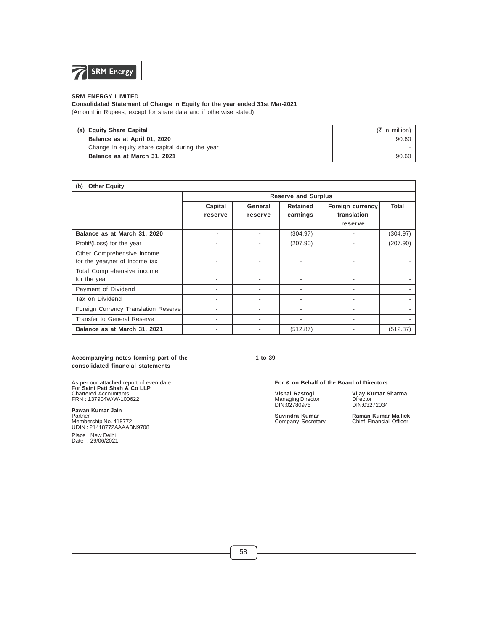

# **SRM ENERGY LIMITED**

**Consolidated Statement of Change in Equity for the year ended 31st Mar-2021** (Amount in Rupees, except for share data and if otherwise stated)

| (a) Equity Share Capital                       | (₹ in million) |
|------------------------------------------------|----------------|
| Balance as at April 01, 2020                   | 90.60          |
| Change in equity share capital during the year |                |
| Balance as at March 31, 2021                   | 90.60          |

| <b>Other Equity</b><br>(b)           |         |                            |                 |                  |              |  |  |  |
|--------------------------------------|---------|----------------------------|-----------------|------------------|--------------|--|--|--|
|                                      |         | <b>Reserve and Surplus</b> |                 |                  |              |  |  |  |
|                                      | Capital | General                    | <b>Retained</b> | Foreign currency | <b>Total</b> |  |  |  |
|                                      | reserve | reserve                    | earnings        | translation      |              |  |  |  |
|                                      |         |                            |                 | reserve          |              |  |  |  |
| Balance as at March 31, 2020         |         |                            | (304.97)        |                  | (304.97)     |  |  |  |
| Profit/(Loss) for the year           |         |                            | (207.90)        |                  | (207.90)     |  |  |  |
| Other Comprehensive income           |         |                            |                 |                  |              |  |  |  |
| for the year, net of income tax      |         |                            |                 |                  |              |  |  |  |
| Total Comprehensive income           |         |                            |                 |                  |              |  |  |  |
| for the year                         |         |                            |                 |                  |              |  |  |  |
| Payment of Dividend                  |         |                            |                 |                  |              |  |  |  |
| Tax on Dividend                      |         |                            |                 |                  |              |  |  |  |
| Foreign Currency Translation Reserve |         |                            |                 |                  |              |  |  |  |
| <b>Transfer to General Reserve</b>   |         |                            |                 |                  |              |  |  |  |
| Balance as at March 31, 2021         |         |                            | (512.87)        |                  | (512.87)     |  |  |  |

# Accompanying notes forming part of the 1 to 39 **consolidated financial statements**

For **Saini Pati Shah & Co LLP**<br>Chartered Accountants<br>FRN : 137904W/W-100622 Managing Director Director

**Pawan Kumar Jain** Partner<br>Membership No. 418772<br>UDIN : 21418772AAAABN9708<br>UDIN : 21418772AAAABN9708 Place : New Delhi Date : 29/06/2021

For & on Behalf of the Board of Directors

Managing Director<br>DIN:02780975 DIN:03272034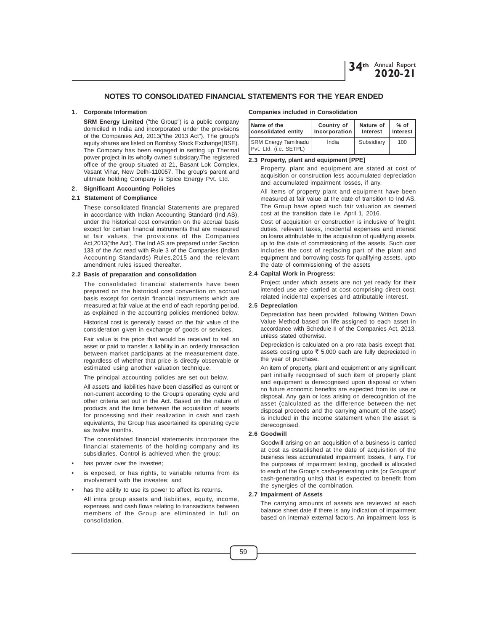

# **NOTES TO CONSOLIDATED FINANCIAL STATEMENTS FOR THE YEAR ENDED**

#### **1. Corporate Information**

**SRM Energy Limited** ("the Group") is a public company domiciled in India and incorporated under the provisions of the Companies Act, 2013("the 2013 Act"). The group's equity shares are listed on Bombay Stock Exchange(BSE). The Company has been engaged in setting up Thermal power project in its wholly owned subsidary.The registered office of the group situated at 21, Basant Lok Complex, Vasant Vihar, New Delhi-110057. The group's parent and ulitmate holding Company is Spice Energy Pvt. Ltd.

#### **2. Significant Accounting Policies**

#### **2.1 Statement of Compliance**

These consolidated financial Statements are prepared in accordance with Indian Accounting Standard (Ind AS), under the historical cost convention on the accrual basis except for certian financial instruments that are measured at fair values, the provisions of the Companies Act,2013('the Act'). The Ind AS are prepared under Section 133 of the Act read with Rule 3 of the Companies (Indian Accounting Standards) Rules,2015 and the relevant amendment rules issued thereafter.

#### **2.2 Basis of preparation and consolidation**

The consolidated financial statements have been prepared on the historical cost convention on accrual basis except for certain financial instruments which are measured at fair value at the end of each reporting period, as explained in the accounting policies mentioned below.

Historical cost is generally based on the fair value of the consideration given in exchange of goods or services.

Fair value is the price that would be received to sell an asset or paid to transfer a liability in an orderly transaction between market participants at the measurement date, regardless of whether that price is directly observable or estimated using another valuation technique.

The principal accounting policies are set out below.

All assets and liabilities have been classified as current or non-current according to the Group's operating cycle and other criteria set out in the Act. Based on the nature of products and the time between the acquisition of assets for processing and their realization in cash and cash equivalents, the Group has ascertained its operating cycle as twelve months.

The consolidated financial statements incorporate the financial statements of the holding company and its subsidiaries. Control is achieved when the group:

- has power over the investee;
- is exposed, or has rights, to variable returns from its involvement with the investee; and
- has the ability to use its power to affect its returns.

All intra group assets and liabilities, equity, income, expenses, and cash flows relating to transactions between members of the Group are eliminated in full on consolidation.

#### **Companies included in Consolidation**

| Name of the                                    | Country of    | Nature of       | % of         |
|------------------------------------------------|---------------|-----------------|--------------|
| consolidated entity                            | Incorporation | <b>Interest</b> | I Interest I |
| SRM Energy Tamilnadu<br>Pvt. Ltd. (i.e. SETPL) | India         | Subsidiary      | 100          |

#### **2.3 Property, plant and equipment [PPE]**

Property, plant and equipment are stated at cost of acquisition or construction less accumulated depreciation and accumulated impairment losses, if any.

All items of property plant and equipment have been measured at fair value at the date of transition to Ind AS. The Group have opted such fair valuation as deemed cost at the transition date i.e. April 1, 2016.

Cost of acquisition or construction is inclusive of freight, duties, relevant taxes, incidental expenses and interest on loans attributable to the acquisition of qualifying assets, up to the date of commissioning of the assets. Such cost includes the cost of replacing part of the plant and equipment and borrowing costs for qualifying assets, upto the date of commissioning of the assets

#### **2.4 Capital Work in Progress:**

Project under which assets are not yet ready for their intended use are carried at cost comprising direct cost, related incidental expenses and attributable interest.

# **2.5 Depreciation**

Depreciation has been provided following Written Down Value Method based on life assigned to each asset in accordance with Schedule II of the Companies Act, 2013, unless stated otherwise.

Depreciation is calculated on a pro rata basis except that, assets costing upto  $\bar{\tau}$  5,000 each are fully depreciated in the year of purchase.

An item of property, plant and equipment or any significant part initially recognised of such item of property plant and equipment is derecognised upon disposal or when no future economic benefits are expected from its use or disposal. Any gain or loss arising on derecognition of the asset (calculated as the difference between the net disposal proceeds and the carrying amount of the asset) is included in the income statement when the asset is derecognised.

# **2.6 Goodwill**

Goodwill arising on an acquisition of a business is carried at cost as established at the date of acquisition of the business less accumulated impairment losses, if any. For the purposes of impairment testing, goodwill is allocated to each of the Group's cash-generating units (or Groups of cash-generating units) that is expected to benefit from the synergies of the combination.

#### **2.7 Impairment of Assets**

The carrying amounts of assets are reviewed at each balance sheet date if there is any indication of impairment based on internal/ external factors. An impairment loss is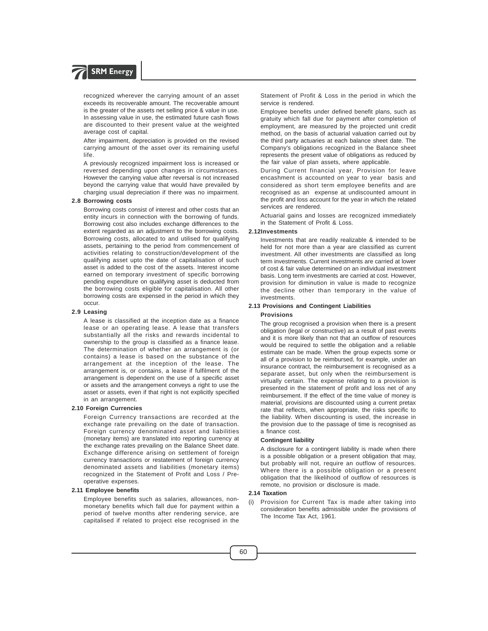recognized wherever the carrying amount of an asset exceeds its recoverable amount. The recoverable amount is the greater of the assets net selling price & value in use. In assessing value in use, the estimated future cash flows are discounted to their present value at the weighted average cost of capital.

After impairment, depreciation is provided on the revised carrying amount of the asset over its remaining useful life.

A previously recognized impairment loss is increased or reversed depending upon changes in circumstances. However the carrying value after reversal is not increased beyond the carrying value that would have prevailed by charging usual depreciation if there was no impairment.

#### **2.8 Borrowing costs**

Borrowing costs consist of interest and other costs that an entity incurs in connection with the borrowing of funds. Borrowing cost also includes exchange differences to the extent regarded as an adjustment to the borrowing costs. Borrowing costs, allocated to and utilised for qualifying assets, pertaining to the period from commencement of activities relating to construction/development of the qualifying asset upto the date of capitalisation of such asset is added to the cost of the assets. Interest income earned on temporary investment of specific borrowing pending expenditure on qualifying asset is deducted from the borrowing costs eligible for capitalisation. All other borrowing costs are expensed in the period in which they occur.

#### **2.9 Leasing**

A lease is classified at the inception date as a finance lease or an operating lease. A lease that transfers substantially all the risks and rewards incidental to ownership to the group is classified as a finance lease. The determination of whether an arrangement is (or contains) a lease is based on the substance of the arrangement at the inception of the lease. The arrangement is, or contains, a lease if fulfilment of the arrangement is dependent on the use of a specific asset or assets and the arrangement conveys a right to use the asset or assets, even if that right is not explicitly specified in an arrangement.

### **2.10 Foreign Currencies**

Foreign Currency transactions are recorded at the exchange rate prevailing on the date of transaction. Foreign currency denominated asset and liabilities (monetary items) are translated into reporting currency at the exchange rates prevailing on the Balance Sheet date. Exchange difference arising on settlement of foreign currency transactions or restatement of foreign currency denominated assets and liabilities (monetary items) recognized in the Statement of Profit and Loss / Preoperative expenses.

#### **2.11 Employee benefits**

Employee benefits such as salaries, allowances, nonmonetary benefits which fall due for payment within a period of twelve months after rendering service, are capitalised if related to project else recognised in the Statement of Profit & Loss in the period in which the service is rendered.

Employee benefits under defined benefit plans, such as gratuity which fall due for payment after completion of employment, are measured by the projected unit credit method, on the basis of actuarial valuation carried out by the third party actuaries at each balance sheet date. The Company's obligations recognized in the Balance sheet represents the present value of obligations as reduced by the fair value of plan assets, where applicable.

During Current financial year, Provision for leave encashment is accounted on year to year basis and considered as short term employee benefits and are recognised as an expense at undiscounted amount in the profit and loss account for the year in which the related services are rendered.

Actuarial gains and losses are recognized immediately in the Statement of Profit & Loss.

### **2.12Investments**

Investments that are readily realizable & intended to be held for not more than a year are classified as current investment. All other investments are classified as long term investments. Current investments are carried at lower of cost & fair value determined on an individual investment basis. Long term investments are carried at cost. However, provision for diminution in value is made to recognize the decline other than temporary in the value of investments.

# **2.13 Provisions and Contingent Liabilities**

#### **Provisions**

The group recognised a provision when there is a present obligation (legal or constructive) as a result of past events and it is more likely than not that an outflow of resources would be required to settle the obligation and a reliable estimate can be made. When the group expects some or all of a provision to be reimbursed, for example, under an insurance contract, the reimbursement is recognised as a separate asset, but only when the reimbursement is virtually certain. The expense relating to a provision is presented in the statement of profit and loss net of any reimbursement. If the effect of the time value of money is material, provisions are discounted using a current pretax rate that reflects, when appropriate, the risks specific to the liability. When discounting is used, the increase in the provision due to the passage of time is recognised as a finance cost.

#### **Contingent liability**

A disclosure for a contingent liability is made when there is a possible obligation or a present obligation that may, but probably will not, require an outflow of resources. Where there is a possible obligation or a present obligation that the likelihood of outflow of resources is remote, no provision or disclosure is made.

#### **2.14 Taxation**

(i) Provision for Current Tax is made after taking into consideration benefits admissible under the provisions of The Income Tax Act, 1961.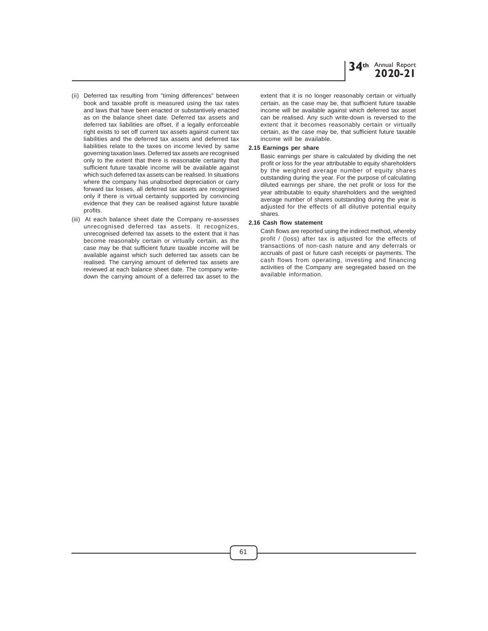- (ii) Deferred tax resulting from "timing differences" between book and taxable profit is measured using the tax rates and laws that have been enacted or substantively enacted as on the balance sheet date. Deferred tax assets and deferred tax liabilities are offset, if a legally enforceable right exists to set off current tax assets against current tax liabilities and the deferred tax assets and deferred tax liabilities relate to the taxes on income levied by same governing taxation laws. Deferred tax assets are recognised only to the extent that there is reasonable certainty that sufficient future taxable income will be available against which such deferred tax assets can be realised. In situations where the company has unabsorbed depreciation or carry forward tax losses, all deferred tax assets are recognised only if there is virtual certainty supported by convincing evidence that they can be realised against future taxable profits.
- (iii) At each balance sheet date the Company re-assesses unrecognised deferred tax assets. It recognizes, unrecognised deferred tax assets to the extent that it has become reasonably certain or virtually certain, as the case may be that sufficient future taxable income will be available against which such deferred tax assets can be realised. The carrying amount of deferred tax assets are reviewed at each balance sheet date. The company writedown the carrying amount of a deferred tax asset to the

extent that it is no longer reasonably certain or virtually certain, as the case may be, that sufficient future taxable income will be available against which deferred tax asset can be realised. Any such write-down is reversed to the extent that it becomes reasonably certain or virtually certain, as the case may be, that sufficient future taxable income will be available.

### **2.15 Earnings per share**

Basic earnings per share is calculated by dividing the net profit or loss for the year attributable to equity shareholders by the weighted average number of equity shares outstanding during the year. For the purpose of calculating diluted earnings per share, the net profit or loss for the year attributable to equity shareholders and the weighted average number of shares outstanding during the year is adjusted for the effects of all dilutive potential equity shares.

#### **2.16 Cash flow statement**

Cash flows are reported using the indirect method, whereby profit / (loss) after tax is adjusted for the effects of transactions of non-cash nature and any deferrals or accruals of past or future cash receipts or payments. The cash flows from operating, investing and financing activities of the Company are segregated based on the available information.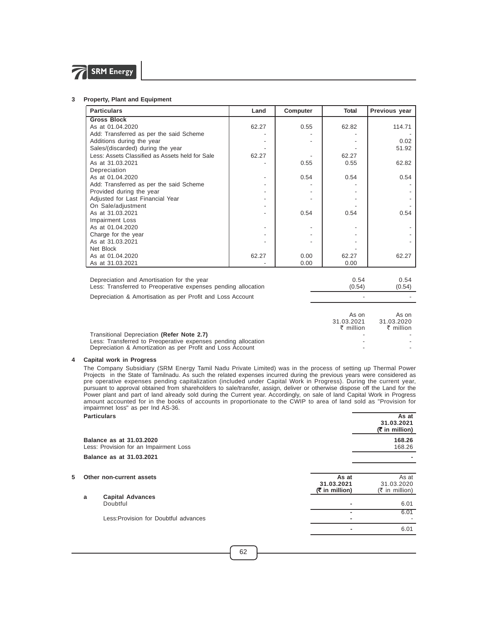# **3 Property, Plant and Equipment**

| <b>Particulars</b>                                            | Land  | Computer | <b>Total</b> | Previous year |
|---------------------------------------------------------------|-------|----------|--------------|---------------|
| <b>Gross Block</b>                                            |       |          |              |               |
| As at 01.04.2020                                              | 62.27 | 0.55     | 62.82        | 114.71        |
| Add: Transferred as per the said Scheme                       |       |          |              |               |
| Additions during the year                                     |       |          |              | 0.02          |
| Sales/(discarded) during the year                             |       |          |              | 51.92         |
| Less: Assets Classified as Assets held for Sale               | 62.27 |          | 62.27        |               |
| As at 31.03.2021                                              |       | 0.55     | 0.55         | 62.82         |
| Depreciation                                                  |       |          |              |               |
| As at 01.04.2020                                              |       | 0.54     | 0.54         | 0.54          |
| Add: Transferred as per the said Scheme                       |       |          |              |               |
| Provided during the year                                      |       |          |              |               |
| Adjusted for Last Financial Year                              |       |          |              |               |
| On Sale/adjustment                                            |       |          |              |               |
| As at 31.03.2021                                              |       | 0.54     | 0.54         | 0.54          |
| <b>Impairment Loss</b>                                        |       |          |              |               |
| As at 01.04.2020                                              |       |          |              |               |
| Charge for the year                                           |       |          |              |               |
| As at 31.03.2021                                              |       |          |              |               |
| Net Block                                                     |       |          |              |               |
| As at 01.04.2020                                              | 62.27 | 0.00     | 62.27        | 62.27         |
| As at 31.03.2021                                              |       | 0.00     | 0.00         |               |
|                                                               |       |          |              |               |
| Depreciation and Amortisation for the year                    |       |          | 0.54         | 0.54          |
| Less: Transferred to Preoperative expenses pending allocation |       |          | (0.54)       | (0.54)        |
| Depreciation & Amortisation as per Profit and Loss Account    |       |          |              |               |

|                                                               | As on                | As on      |
|---------------------------------------------------------------|----------------------|------------|
|                                                               | 31.03.2021           | 31.03.2020 |
|                                                               | $\bar{\tau}$ million | ₹ million  |
| Transitional Depreciation (Refer Note 2.7)                    |                      |            |
| Less: Transferred to Preoperative expenses pending allocation |                      |            |
| Depreciation & Amortization as per Profit and Loss Account    |                      |            |

# **4 Capital work in Progress**

The Company Subsidiary (SRM Energy Tamil Nadu Private Limited) was in the process of setting up Thermal Power Projects in the State of Tamilnadu. As such the related expenses incurred during the previous years were considered as pre operative expenses pending capitalization (included under Capital Work in Progress). During the current year, pursuant to approval obtained from shareholders to sale/transfer, assign, deliver or otherwise dispose off the Land for the Power plant and part of land already sold during the Current year. Accordingly, on sale of land Capital Work in Progress amount accounted for in the books of accounts in proportionate to the CWIP to area of land sold as "Provision for impairmnet loss" as per Ind AS-36.<br>Pertievlere

|   | <b>Particulars</b>                                                 |                                       | As at<br>31.03.2021<br>$($ ₹ in million) |
|---|--------------------------------------------------------------------|---------------------------------------|------------------------------------------|
|   | Balance as at 31.03.2020<br>Less: Provision for an Impairment Loss |                                       | 168.26<br>168.26                         |
|   | Balance as at 31.03.2021                                           |                                       |                                          |
| 5 | Other non-current assets                                           | As at<br>31.03.2021<br>(₹ in million) | As at<br>31.03.2020<br>$(5$ in million)  |
|   | <b>Capital Advances</b><br>a<br>Doubtful                           |                                       | 6.01                                     |
|   | Less: Provision for Doubtful advances                              | ٠                                     | 6.01                                     |
|   |                                                                    |                                       | 6.01                                     |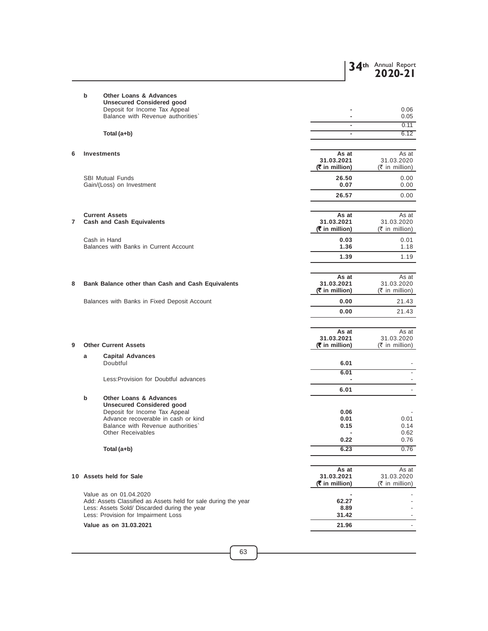|                | $\mathbf b$ | <b>Other Loans &amp; Advances</b><br><b>Unsecured Considered good</b><br>Deposit for Income Tax Appeal<br>Balance with Revenue authorities'                                                                    |                                          | 0.06<br>0.05                                            |
|----------------|-------------|----------------------------------------------------------------------------------------------------------------------------------------------------------------------------------------------------------------|------------------------------------------|---------------------------------------------------------|
|                |             | Total (a+b)                                                                                                                                                                                                    |                                          | 0.11<br>6.12                                            |
|                |             |                                                                                                                                                                                                                |                                          |                                                         |
| 6              |             | <b>Investments</b>                                                                                                                                                                                             | As at<br>31.03.2021<br>$($ ₹ in million) | As at<br>31.03.2020<br>(₹ in million)                   |
|                |             | <b>SBI Mutual Funds</b><br>Gain/(Loss) on Investment                                                                                                                                                           | 26.50<br>0.07                            | 0.00<br>0.00                                            |
|                |             |                                                                                                                                                                                                                | 26.57                                    | 0.00                                                    |
| $\overline{7}$ |             | <b>Current Assets</b><br><b>Cash and Cash Equivalents</b>                                                                                                                                                      | As at<br>31.03.2021<br>(₹ in million)    | As at<br>31.03.2020<br>$(5$ in million)                 |
|                |             | Cash in Hand<br>Balances with Banks in Current Account                                                                                                                                                         | 0.03<br>1.36                             | 0.01<br>1.18                                            |
|                |             |                                                                                                                                                                                                                | 1.39                                     | 1.19                                                    |
| 8              |             | Bank Balance other than Cash and Cash Equivalents                                                                                                                                                              | As at<br>31.03.2021<br>$($ ₹ in million) | As at<br>31.03.2020<br>$(5 \in \mathbb{R})$ in million) |
|                |             | Balances with Banks in Fixed Deposit Account                                                                                                                                                                   | 0.00                                     | 21.43                                                   |
|                |             |                                                                                                                                                                                                                | 0.00                                     | 21.43                                                   |
| 9              |             | <b>Other Current Assets</b>                                                                                                                                                                                    | As at<br>31.03.2021<br>(₹ in million)    | As at<br>31.03.2020<br>$(5 \in \mathbb{R})$ in million) |
|                | a           | <b>Capital Advances</b><br>Doubtful                                                                                                                                                                            | 6.01                                     |                                                         |
|                |             | Less: Provision for Doubtful advances                                                                                                                                                                          | 6.01                                     |                                                         |
|                |             |                                                                                                                                                                                                                | 6.01                                     | $\overline{\phantom{a}}$                                |
|                | b           | <b>Other Loans &amp; Advances</b><br><b>Unsecured Considered good</b><br>Deposit for Income Tax Appeal<br>Advance recoverable in cash or kind<br>Balance with Revenue authorities'<br><b>Other Receivables</b> | 0.06<br>0.01<br>0.15<br>0.22             | 0.01<br>0.14<br>0.62<br>0.76                            |
|                |             | Total (a+b)                                                                                                                                                                                                    | 6.23                                     | 0.76                                                    |
|                |             | 10 Assets held for Sale                                                                                                                                                                                        | As at<br>31.03.2021<br>(₹ in million)    | As at<br>31.03.2020<br>$(5$ in million)                 |
|                |             | Value as on 01.04.2020<br>Add: Assets Classified as Assets held for sale during the year<br>Less: Assets Sold/ Discarded during the year<br>Less: Provision for Impairment Loss                                | 62.27<br>8.89<br>31.42                   |                                                         |
|                |             | Value as on 31.03.2021                                                                                                                                                                                         | 21.96                                    |                                                         |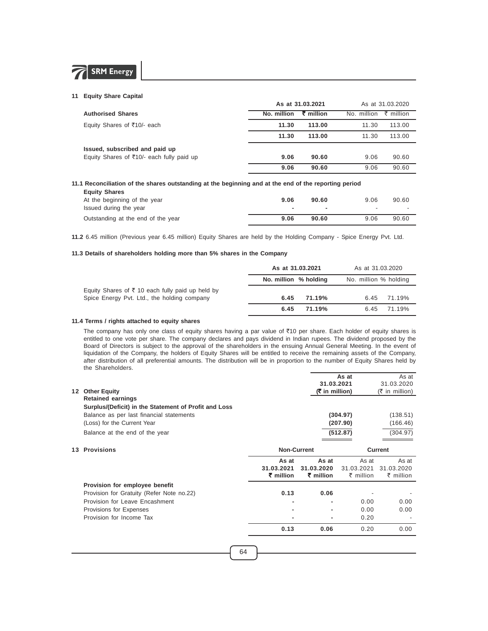# **11 Equity Share Capital**

|                                           | As at 31.03.2021 |                      | As at 31.03.2020 |              |
|-------------------------------------------|------------------|----------------------|------------------|--------------|
| <b>Authorised Shares</b>                  | No. million      | $\bar{\tau}$ million | No. million      | million<br>₹ |
| Equity Shares of ₹10/- each               | 11.30            | 113.00               | 11.30            | 113.00       |
|                                           | 11.30            | 113.00               | 11.30            | 113.00       |
| Issued, subscribed and paid up            |                  |                      |                  |              |
| Equity Shares of ₹10/- each fully paid up | 9.06             | 90.60                | 9.06             | 90.60        |
|                                           | 9.06             | 90.60                | 9.06             | 90.60        |

# **11.1 Reconciliation of the shares outstanding at the beginning and at the end of the reporting period**

| <b>Equity Shares</b>               |      |       |                          |       |
|------------------------------------|------|-------|--------------------------|-------|
| At the beginning of the year       | 9.06 | 90.60 | 9.06                     | 90.60 |
| Issued during the year             |      |       | $\overline{\phantom{a}}$ |       |
| Outstanding at the end of the year | 9.06 | 90.60 | 9.06                     | 90.60 |

**11.2** 6.45 million (Previous year 6.45 million) Equity Shares are held by the Holding Company - Spice Energy Pvt. Ltd.

# **11.3 Details of shareholders holding more than 5% shares in the Company**

|                                                             | As at 31.03.2021      |        | As at 31.03.2020      |             |
|-------------------------------------------------------------|-----------------------|--------|-----------------------|-------------|
|                                                             | No. million % holding |        | No. million % holding |             |
| Equity Shares of $\bar{\tau}$ 10 each fully paid up held by |                       |        |                       |             |
| Spice Energy Pvt. Ltd., the holding company                 | 6.45                  | 71.19% |                       | 6.45 71.19% |
|                                                             | 6.45                  | 71.19% | 6.45                  | 71.19%      |

#### **11.4 Terms / rights attached to equity shares**

The company has only one class of equity shares having a par value of ₹10 per share. Each holder of equity shares is entitled to one vote per share. The company declares and pays dividend in Indian rupees. The dividend proposed by the Board of Directors is subject to the approval of the shareholders in the ensuing Annual General Meeting. In the event of liquidation of the Company, the holders of Equity Shares will be entitled to receive the remaining assets of the Company, after distribution of all preferential amounts. The distribution will be in proportion to the number of Equity Shares held by the Shareholders.

| 12 | <b>Other Equity</b>                                                                                                           |                                             | 31.03.2021<br>(₹ in million)     | As at                                       | As at<br>31.03.2020<br>$(5$ in million)     |
|----|-------------------------------------------------------------------------------------------------------------------------------|---------------------------------------------|----------------------------------|---------------------------------------------|---------------------------------------------|
|    | <b>Retained earnings</b><br>Surplus/(Deficit) in the Statement of Profit and Loss<br>Balance as per last financial statements |                                             |                                  | (304.97)                                    | (138.51)                                    |
|    | (Loss) for the Current Year                                                                                                   |                                             |                                  | (207.90)                                    | (166.46)                                    |
|    | Balance at the end of the year                                                                                                |                                             |                                  | (512.87)                                    | (304.97)                                    |
|    | <b>13 Provisions</b>                                                                                                          | <b>Non-Current</b>                          |                                  |                                             | <b>Current</b>                              |
|    |                                                                                                                               | As at<br>31.03.2021<br>$\bar{\tau}$ million | As at<br>31.03.2020<br>₹ million | As at<br>31.03.2021<br>$\bar{\tau}$ million | As at<br>31.03.2020<br>$\bar{\tau}$ million |
|    | Provision for employee benefit                                                                                                |                                             |                                  |                                             |                                             |
|    | Provision for Gratuity (Refer Note no.22)                                                                                     | 0.13                                        | 0.06                             |                                             |                                             |
|    | Provision for Leave Encashment                                                                                                |                                             |                                  | 0.00                                        | 0.00                                        |
|    | Provisions for Expenses                                                                                                       |                                             |                                  | 0.00                                        | 0.00                                        |
|    | Provision for Income Tax                                                                                                      |                                             |                                  | 0.20                                        |                                             |
|    |                                                                                                                               | 0.13                                        | 0.06                             | 0.20                                        | 0.00                                        |
|    |                                                                                                                               |                                             |                                  |                                             |                                             |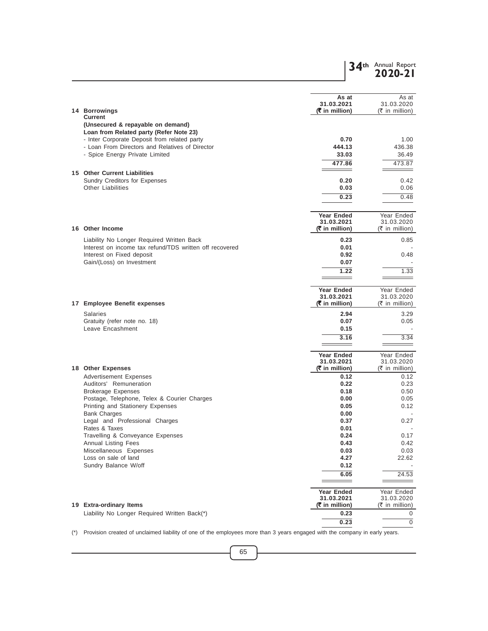| 14 Borrowings                                                                                  | As at<br>31.03.2021<br>(₹ in million) | As at<br>31.03.2020<br>$(5$ in million) |
|------------------------------------------------------------------------------------------------|---------------------------------------|-----------------------------------------|
| <b>Current</b><br>(Unsecured & repayable on demand)<br>Loan from Related party (Refer Note 23) |                                       |                                         |
| - Inter Corporate Deposit from related party                                                   | 0.70                                  | 1.00                                    |
| - Loan From Directors and Relatives of Director                                                | 444.13                                | 436.38                                  |
| - Spice Energy Private Limited                                                                 | 33.03                                 | 36.49                                   |
|                                                                                                | 477.86                                | 473.87                                  |
| <b>15 Other Current Liabilities</b>                                                            |                                       |                                         |
| <b>Sundry Creditors for Expenses</b>                                                           | 0.20                                  | 0.42                                    |
| <b>Other Liabilities</b>                                                                       | 0.03                                  | 0.06                                    |
|                                                                                                | 0.23                                  | 0.48                                    |
|                                                                                                |                                       |                                         |
|                                                                                                | <b>Year Ended</b>                     | Year Ended                              |
|                                                                                                | 31.03.2021                            | 31.03.2020                              |
| 16 Other Income                                                                                | (₹ in million)                        | $(\bar{\bar{\tau}}$ in million)         |
| Liability No Longer Required Written Back                                                      | 0.23                                  | 0.85                                    |
| Interest on income tax refund/TDS written off recovered                                        | 0.01                                  |                                         |
| Interest on Fixed deposit                                                                      | 0.92                                  | 0.48                                    |
| Gain/(Loss) on Investment                                                                      | 0.07                                  |                                         |
|                                                                                                | 1.22                                  | 1.33                                    |
|                                                                                                |                                       |                                         |
|                                                                                                | <b>Year Ended</b>                     | Year Ended                              |
|                                                                                                | 31.03.2021                            | 31.03.2020                              |
| 17 Employee Benefit expenses                                                                   | (₹ in million)                        | $(5$ in million)                        |
| <b>Salaries</b>                                                                                | 2.94                                  | 3.29                                    |
| Gratuity (refer note no. 18)                                                                   | 0.07                                  | 0.05                                    |
| Leave Encashment                                                                               | 0.15                                  |                                         |
|                                                                                                | 3.16                                  | 3.34                                    |
|                                                                                                |                                       |                                         |
|                                                                                                | <b>Year Ended</b>                     | Year Ended                              |
|                                                                                                | 31.03.2021                            | 31.03.2020                              |
| 18 Other Expenses                                                                              | (₹ in million)                        | $(5$ in million)                        |
| <b>Advertisement Expenses</b>                                                                  | 0.12                                  | 0.12                                    |
| Auditors' Remuneration                                                                         | 0.22                                  | 0.23                                    |
| <b>Brokerage Expenses</b>                                                                      | 0.18                                  | 0.50                                    |
| Postage, Telephone, Telex & Courier Charges                                                    | 0.00                                  | 0.05                                    |
| Printing and Stationery Expenses                                                               | 0.05                                  | 0.12                                    |
| <b>Bank Charges</b>                                                                            | 0.00                                  |                                         |
| Legal and Professional Charges                                                                 | 0.37                                  | 0.27                                    |
| Rates & Taxes                                                                                  | 0.01                                  |                                         |
| Travelling & Conveyance Expenses                                                               | 0.24                                  | 0.17                                    |
| <b>Annual Listing Fees</b>                                                                     | 0.43                                  | 0.42                                    |
| Miscellaneous Expenses                                                                         | 0.03                                  | 0.03                                    |
| Loss on sale of land                                                                           | 4.27                                  | 22.62                                   |
| Sundry Balance W/off                                                                           | 0.12                                  |                                         |
|                                                                                                | 6.05                                  | 24.53                                   |
|                                                                                                |                                       |                                         |
|                                                                                                | Year Ended<br>31.03.2021              | Year Ended<br>31.03.2020                |
| 19 Extra-ordinary Items                                                                        | (₹ in million)                        | $(5$ in million)                        |
| Liability No Longer Required Written Back(*)                                                   | 0.23                                  | 0                                       |
|                                                                                                |                                       |                                         |
|                                                                                                | 0.23                                  | $\mathbf 0$                             |

(\*) Provision created of unclaimed liability of one of the employees more than 3 years engaged with the company in early years.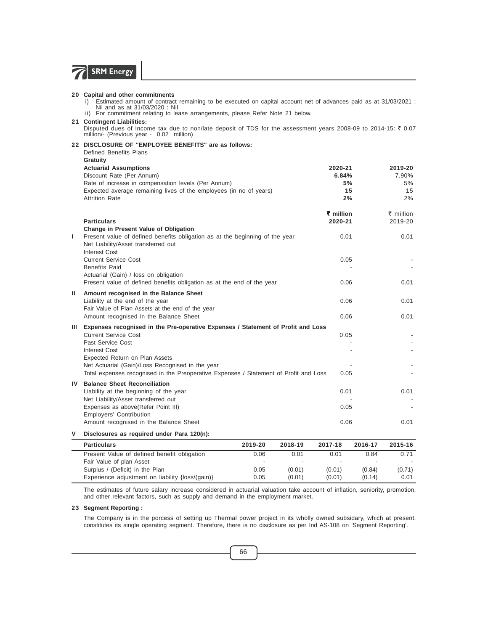# **20 Capital and other commitments**

i) Estimated amount of contract remaining to be executed on capital account net of advances paid as at 31/03/2021 : Nil and as at 31/03/2020 : Nil

ii) For commitment relating to lease arrangements, please Refer Note 21 below.

# **21 Contingent Liabilities:**

Disputed dues of Income tax due to non/late deposit of TDS for the assessment years 2008-09 to 2014-15: ₹ 0.07<br>million/- (Previous year - 0.02 million)

# **22 DISCLOSURE OF "EMPLOYEE BENEFITS" are as follows:**

Defined Benefits Plans **Gratuity**

|    | <b>Particulars</b><br>2019-20<br>2018-19                                                                                                                                                                                                                                                                                                        | 2017-18                                       | 2016-17 | 2015-16                                 |
|----|-------------------------------------------------------------------------------------------------------------------------------------------------------------------------------------------------------------------------------------------------------------------------------------------------------------------------------------------------|-----------------------------------------------|---------|-----------------------------------------|
| v  | Disclosures as required under Para 120(n):                                                                                                                                                                                                                                                                                                      |                                               |         |                                         |
|    | IV Balance Sheet Reconciliation<br>Liability at the beginning of the year<br>Net Liability/Asset transferred out<br>Expenses as above(Refer Point III)<br><b>Employers' Contribution</b><br>Amount recognised in the Balance Sheet                                                                                                              | 0.01<br>0.05<br>0.06                          |         | 0.01<br>0.01                            |
|    | III Expenses recognised in the Pre-operative Expenses / Statement of Profit and Loss<br><b>Current Service Cost</b><br>Past Service Cost<br><b>Interest Cost</b><br>Expected Return on Plan Assets<br>Net Actuarial (Gain)/Loss Recognised in the year<br>Total expenses recognised in the Preoperative Expenses / Statement of Profit and Loss | 0.05<br>0.05                                  |         |                                         |
| Ш. | Amount recognised in the Balance Sheet<br>Liability at the end of the year<br>Fair Value of Plan Assets at the end of the year<br>Amount recognised in the Balance Sheet                                                                                                                                                                        | 0.06<br>0.06                                  |         | 0.01<br>0.01                            |
|    | <b>Interest Cost</b><br><b>Current Service Cost</b><br><b>Benefits Paid</b><br>Actuarial (Gain) / loss on obligation<br>Present value of defined benefits obligation as at the end of the year                                                                                                                                                  | 0.05<br>0.06                                  |         | 0.01                                    |
| L  | <b>Particulars</b><br>Change in Present Value of Obligation<br>Present value of defined benefits obligation as at the beginning of the year<br>Net Liability/Asset transferred out                                                                                                                                                              | $\bar{\mathbf{z}}$ million<br>2020-21<br>0.01 |         | $\bar{\tau}$ million<br>2019-20<br>0.01 |
|    | oratulty<br><b>Actuarial Assumptions</b><br>Discount Rate (Per Annum)<br>Rate of increase in compensation levels (Per Annum)<br>Expected average remaining lives of the employees (in no of years)<br><b>Attrition Rate</b>                                                                                                                     | 2020-21<br>6.84%<br>5%<br>15<br>2%            |         | 2019-20<br>7.90%<br>5%<br>15<br>2%      |

| <b>Particulars</b>                               | 2019-20 | <b>2018-19</b>           | <b>2017-18</b>           | <b>2010-17</b> | 2013-10 |
|--------------------------------------------------|---------|--------------------------|--------------------------|----------------|---------|
| Present Value of defined benefit obligation      | 0.06    | 0.01                     | 0.01                     | 0.84           | 0.71    |
| Fair Value of plan Asset                         | -       | $\overline{\phantom{a}}$ | $\overline{\phantom{a}}$ | -              |         |
| Surplus / (Deficit) in the Plan                  | 0.05    | (0.01)                   | (0.01)                   | (0.84)         | (0.71)  |
| Experience adjustment on liability {loss/(gain)} | 0.05    | (0.01)                   | (0.01)                   | (0.14)         | 0.01    |

The estimates of future salary increase considered in actuarial valuation take account of inflation, seniority, promotion, and other relevant factors, such as supply and demand in the employment market.

# **23 Segment Reporting :**

The Company is in the porcess of setting up Thermal power project in its wholly owned subsidary, which at present, constitutes its single operating segment. Therefore, there is no disclosure as per Ind AS-108 on 'Segment Reporting'.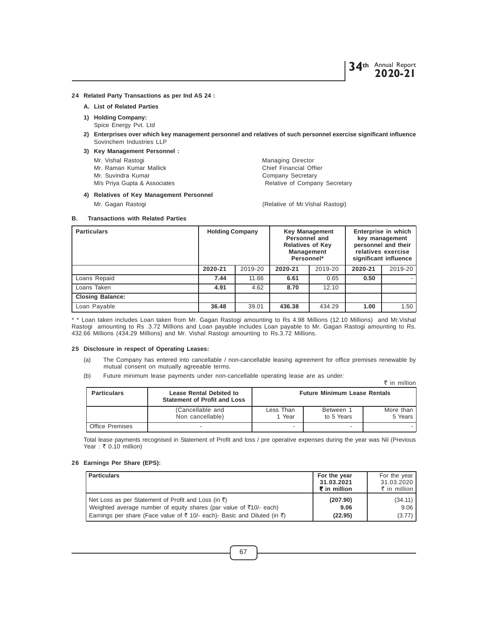Annual Report **2020-21 34th**

- **24 Related Party Transactions as per Ind AS 24 :**
	- **A. List of Related Parties**
	- **1) Holding Company:** Spice Energy Pvt. Ltd
	- **2) Enterprises over which key management personnel and relatives of such personnel exercise significant influence** Sovinchem Industries LLP

Relative of Company Secretary

- **3) Key Management Personnel :**
	- Mr. Vishal Rastogi **Managing Director** Managing Director
	- Mr. Raman Kumar Mallick Chief Financial Offier
	-
	- Mr. Suvindra Kumar Company Secretary<br>M/s Priva Gupta & Associates Company Secretary Relative of Compa
- **4) Relatives of Key Management Personnel**
	- Mr. Gagan Rastogi (Relative of Mr.Vishal Rastogi)

#### **B. Transactions with Related Parties**

| <b>Particulars</b>      | <b>Holding Company</b> |         | <b>Key Management</b><br>Personnel and<br><b>Relatives of Key</b><br><b>Management</b><br>Personnel* |         | Enterprise in which<br>key management<br>personnel and their<br>relatives exercise<br>significant influence |         |
|-------------------------|------------------------|---------|------------------------------------------------------------------------------------------------------|---------|-------------------------------------------------------------------------------------------------------------|---------|
|                         | 2020-21                | 2019-20 | 2020-21                                                                                              | 2019-20 | 2020-21                                                                                                     | 2019-20 |
| Loans Repaid            | 7.44                   | 11.66   | 6.61                                                                                                 | 0.65    | 0.50                                                                                                        |         |
| Loans Taken             | 4.91                   | 4.62    | 8.70                                                                                                 | 12.10   |                                                                                                             |         |
| <b>Closing Balance:</b> |                        |         |                                                                                                      |         |                                                                                                             |         |
| Loan Payable            | 36.48                  | 39.01   | 436.38                                                                                               | 434.29  | 1.00                                                                                                        | 1.50    |

\* \* Loan taken includes Loan taken from Mr. Gagan Rastogi amounting to Rs 4.98 Millions (12.10 Millions) and Mr.Vishal Rastogi amounting to Rs .3.72 Millions and Loan payable includes Loan payable to Mr. Gagan Rastogi amounting to Rs. 432.66 Millions (434.29 Millions) and Mr. Vishal Rastogi amounting to Rs.3.72 Millions.

#### **25 Disclosure in respect of Operating Leases:**

- (a) The Company has entered into cancellable / non-cancellable leasing agreement for office premises renewable by mutual consent on mutually agreeable terms.
- (b) Future minimum lease payments under non-cancellable operating lease are as under:

 $\bar{\tau}$  in million

| <b>Particulars</b> | Lease Rental Debited to<br><b>Statement of Profit and Loss</b> | <b>Future Minimum Lease Rentals</b> |                         |                      |
|--------------------|----------------------------------------------------------------|-------------------------------------|-------------------------|----------------------|
|                    | (Cancellable and<br>Non cancellable)                           | Less Than<br>Year                   | Between 1<br>to 5 Years | More than<br>5 Years |
| l Office Premises  |                                                                |                                     |                         |                      |

Total lease payments recognised in Statement of Profit and loss / pre operative expenses during the year was Nil (Previous Year:  $\bar{\tau}$  0.10 million)

#### **26 Earnings Per Share (EPS):**

| l Particulars                                                                                   | For the year<br>31.03.2021<br>₹ in million | For the year<br>31.03.2020<br>$\bar{\tau}$ in million |
|-------------------------------------------------------------------------------------------------|--------------------------------------------|-------------------------------------------------------|
| Net Loss as per Statement of Profit and Loss (in $\bar{z}$ )                                    | (207.90)                                   | (34.11)                                               |
| Weighted average number of equity shares (par value of ₹10/- each)                              | 9.06                                       | 9.06                                                  |
| Earnings per share (Face value of $\bar{\tau}$ 10/- each)- Basic and Diluted (in $\bar{\tau}$ ) | (22.95)                                    | (3.77)                                                |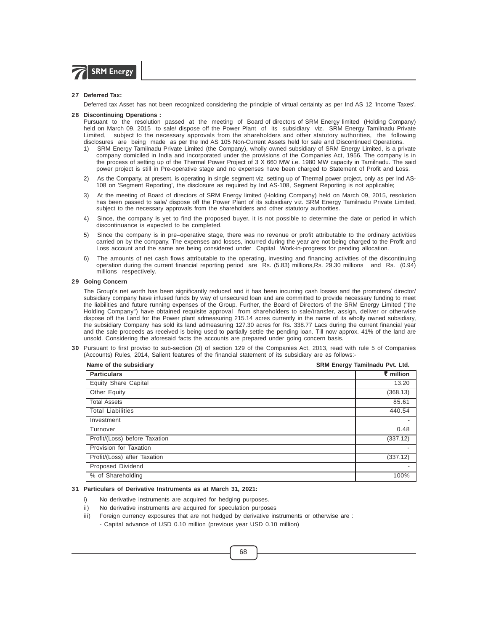#### **27 Deferred Tax:**

Deferred tax Asset has not been recognized considering the principle of virtual certainty as per Ind AS 12 'Income Taxes'.

#### **28 Discontinuing Operations :**

Pursuant to the resolution passed at the meeting of Board of directors of SRM Energy limited (Holding Company) held on March 09, 2015 to sale/ dispose off the Power Plant of its subsidiary viz. SRM Energy Tamilnadu Private Limited, subject to the necessary approvals from the shareholders and other statutory authorities, the following disclosures are being made as per the Ind AS 105 Non-Current Assets held for sale and Discontinued Operations.

- 1) SRM Energy Tamilnadu Private Limited (the Company), wholly owned subsidiary of SRM Energy Limited, is a private company domiciled in India and incorporated under the provisions of the Companies Act, 1956. The company is in the process of setting up of the Thermal Power Project of 3 X 660 MW i.e. 1980 MW capacity in Tamilnadu. The said power project is still in Pre-operative stage and no expenses have been charged to Statement of Profit and Loss.
- 2) As the Company, at present, is operating in single segment viz. setting up of Thermal power project, only as per Ind AS-108 on 'Segment Reporting', the disclosure as required by Ind AS-108, Segment Reporting is not applicable;
- 3) At the meeting of Board of directors of SRM Energy limited (Holding Company) held on March 09, 2015, resolution has been passed to sale/ dispose off the Power Plant of its subsidiary viz. SRM Energy Tamilnadu Private Limited, subject to the necessary approvals from the shareholders and other statutory authorities.
- 4) Since, the company is yet to find the proposed buyer, it is not possible to determine the date or period in which discontinuance is expected to be completed.
- 5) Since the company is in pre–operative stage, there was no revenue or profit attributable to the ordinary activities carried on by the company. The expenses and losses, incurred during the year are not being charged to the Profit and Loss account and the same are being considered under Capital Work-in-progress for pending allocation.
- The amounts of net cash flows attributable to the operating, investing and financing activities of the discontinuing operation during the current financial reporting period are Rs. (5.83) millions,Rs. 29.30 millions and Rs. (0.94) millions respectively.

#### **29 Going Concern**

The Group's net worth has been significantly reduced and it has been incurring cash losses and the promoters/ director/ subsidiary company have infused funds by way of unsecured loan and are committed to provide necessary funding to meet the liabilities and future running expenses of the Group. Further, the Board of Directors of the SRM Energy Limited ("the Holding Company") have obtained requisite approval from shareholders to sale/transfer, assign, deliver or otherwise dispose off the Land for the Power plant admeasuring 215.14 acres currently in the name of its wholly owned subsidiary, the subsidiary Company has sold its land admeasuring 127.30 acres for Rs. 338.77 Lacs during the current financial year and the sale proceeds as received is being used to partially settle the pending loan. Till now approx. 41% of the land are unsold. Considering the aforesaid facts the accounts are prepared under going concern basis.

**30** Pursuant to first proviso to sub-section (3) of section 129 of the Companies Act, 2013, read with rule 5 of Companies (Accounts) Rules, 2014, Salient features of the financial statement of its subsidiary are as follows:-

| Name of the subsidiary        | SRM Energy Tamilnadu Pvt. Ltd. |
|-------------------------------|--------------------------------|
| <b>Particulars</b>            | $\bar{\tau}$ million           |
| Equity Share Capital          | 13.20                          |
| Other Equity                  | (368.13)                       |
| <b>Total Assets</b>           | 85.61                          |
| <b>Total Liabilities</b>      | 440.54                         |
| Investment                    |                                |
| Turnover                      | 0.48                           |
| Profit/(Loss) before Taxation | (337.12)                       |
| Provision for Taxation        |                                |
| Profit/(Loss) after Taxation  | (337.12)                       |
| Proposed Dividend             |                                |
| % of Shareholding             | 100%                           |

# **31 Particulars of Derivative Instruments as at March 31, 2021:**

- No derivative instruments are acquired for hedging purposes.
- ii) No derivative instruments are acquired for speculation purposes
- iii) Foreign currency exposures that are not hedged by derivative instruments or otherwise are : - Capital advance of USD 0.10 million (previous year USD 0.10 million)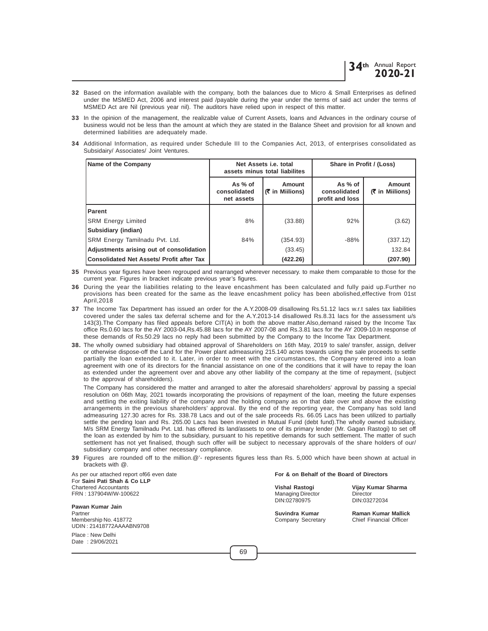- **32** Based on the information available with the company, both the balances due to Micro & Small Enterprises as defined under the MSMED Act, 2006 and interest paid /payable during the year under the terms of said act under the terms of MSMED Act are Nil (previous year nil). The auditors have relied upon in respect of this matter.
- **33** In the opinion of the management, the realizable value of Current Assets, loans and Advances in the ordinary course of business would not be less than the amount at which they are stated in the Balance Sheet and provision for all known and determined liabilities are adequately made.
- **34** Additional Information, as required under Schedule III to the Companies Act, 2013, of enterprises consolidated as Subsidairy/ Associates/ Joint Ventures.

| Name of the Company                         | Net Assets <i>i.e.</i> total<br>assets minus total liabilites |                           | Share in Profit / (Loss)                   |                           |
|---------------------------------------------|---------------------------------------------------------------|---------------------------|--------------------------------------------|---------------------------|
|                                             | As $%$ of<br>consolidated<br>net assets                       | Amount<br>(₹ in Miilions) | As % of<br>consolidated<br>profit and loss | Amount<br>(₹ in Miilions) |
| l Parent                                    |                                                               |                           |                                            |                           |
| <b>SRM Energy Limited</b>                   | 8%                                                            | (33.88)                   | 92%                                        | (3.62)                    |
| Subsidiary (indian)                         |                                                               |                           |                                            |                           |
| <b>SRM Energy Tamilnadu Pvt. Ltd.</b>       | 84%                                                           | (354.93)                  | $-88%$                                     | (337.12)                  |
| Adjustments arising out of consolidation    |                                                               | (33.45)                   |                                            | 132.84                    |
| l Consolidated Net Assets/ Profit after Tax |                                                               | (422.26)                  |                                            | (207.90)                  |

- **35** Previous year figures have been regrouped and rearranged wherever necessary. to make them comparable to those for the current year. Figures in bracket indicate previous year's figures.
- **36** During the year the liabilities relating to the leave encashment has been calculated and fully paid up.Further no provisions has been created for the same as the leave encashment policy has been abolished,effective from 01st April,2018
- **37** The Income Tax Department has issued an order for the A.Y.2008-09 disallowing Rs.51.12 lacs w.r.t sales tax liabilities covered under the sales tax deferral scheme and for the A.Y.2013-14 disallowed Rs.8.31 lacs for the assessment u/s 143(3).The Company has filed appeals before CIT(A) in both the above matter.Also,demand raised by the Income Tax office Rs.0.60 lacs for the AY 2003-04,Rs.45.88 lacs for the AY 2007-08 and Rs.3.81 lacs for the AY 2009-10.In response of these demands of Rs.50.29 lacs no reply had been submitted by the Company to the Income Tax Department.
- **38.** The wholly owned subsidiary had obtained approval of Shareholders on 16th May, 2019 to sale/ transfer, assign, deliver or otherwise dispose-off the Land for the Power plant admeasuring 215.140 acres towards using the sale proceeds to settle partially the loan extended to it. Later, in order to meet with the circumstances, the Company entered into a loan agreement with one of its directors for the financial assistance on one of the conditions that it will have to repay the loan as extended under the agreement over and above any other liability of the company at the time of repayment, (subject to the approval of shareholders).

The Company has considered the matter and arranged to alter the aforesaid shareholders' approval by passing a special resolution on 06th May, 2021 towards incorporating the provisions of repayment of the loan, meeting the future expenses and settling the exiting liability of the company and the holding company as on that date over and above the existing arrangements in the previous shareholders' approval. By the end of the reporting year, the Company has sold land admeasuring 127.30 acres for Rs. 338.78 Lacs and out of the sale proceeds Rs. 66.05 Lacs has been utilized to partially settle the pending loan and Rs. 265.00 Lacs has been invested in Mutual Fund (debt fund).The wholly owned subsidiary, M/s SRM Energy Tamilnadu Pvt. Ltd. has offered its land/assets to one of its primary lender (Mr. Gagan Rastogi) to set off the loan as extended by him to the subsidiary, pursuant to his repetitive demands for such settlement. The matter of such settlement has not yet finalised, though such offer will be subject to necessary approvals of the share holders of our/ subsidiary company and other necessary compliance.

**39** Figures are rounded off to the million.@'- represents figures less than Rs. 5,000 which have been shown at actual in brackets with @.

| As per our attached report of 66 even date | For & on Behalf of the Board of Directors |                                |
|--------------------------------------------|-------------------------------------------|--------------------------------|
| For Saini Pati Shah & Co LLP               |                                           |                                |
| <b>Chartered Accountants</b>               | <b>Vishal Rastogi</b>                     | Vijay Kumar Sharma             |
| FRN: 137904W/W-100622                      | <b>Managing Director</b>                  | Director                       |
|                                            | DIN:02780975                              | DIN:03272034                   |
| Pawan Kumar Jain                           |                                           |                                |
| Partner                                    | Suvindra Kumar                            | <b>Raman Kumar Mallick</b>     |
| Membership No. 418772                      | Company Secretary                         | <b>Chief Financial Officer</b> |
| UDIN: 21418772AAAABN9708                   |                                           |                                |
| Place: New Delhi                           |                                           |                                |
| Date: 29/06/2021                           |                                           |                                |
|                                            |                                           |                                |

69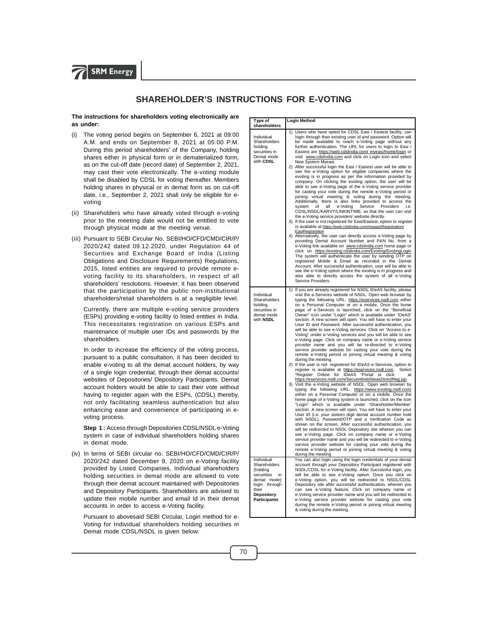

## **SHAREHOLDER'S INSTRUCTIONS FOR E-VOTING**

#### **The instructions for shareholders voting electronically are as under:**

- (i) The voting period begins on September 6, 2021 at 09:00 A.M. and ends on September 8, 2021 at 05:00 P.M. During this period shareholders' of the Company, holding shares either in physical form or in dematerialized form, as on the cut-off date (record date) of September 2, 2021, may cast their vote electronically. The e-voting module shall be disabled by CDSL for voting thereafter. Members holding shares in physical or in demat form as on cut-off date, i.e., September 2, 2021 shall only be eligible for evoting
- (ii) Shareholders who have already voted through e-voting prior to the meeting date would not be entitled to vote through physical mode at the meeting venue.
- (iii) Pursuant to SEBI Circular No. SEBI/HO/CFD/CMD/CIR/P/ 2020/242 dated 09.12.2020, under Regulation 44 of Securities and Exchange Board of India (Listing Obligations and Disclosure Requirements) Regulations, 2015, listed entities are required to provide remote evoting facility to its shareholders, in respect of all shareholders' resolutions. However, it has been observed that the participation by the public non-institutional shareholders/retail shareholders is at a negligible level.

Currently, there are multiple e-voting service providers (ESPs) providing e-voting facility to listed entities in India. This necessitates registration on various ESPs and maintenance of multiple user IDs and passwords by the shareholders.

In order to increase the efficiency of the voting process, pursuant to a public consultation, it has been decided to enable e-voting to all the demat account holders, by way of a single login credential, through their demat accounts/ websites of Depositories/ Depository Participants. Demat account holders would be able to cast their vote without having to register again with the ESPs, (CDSL) thereby, not only facilitating seamless authentication but also enhancing ease and convenience of participating in evoting process.

**Step 1 :** Access through Depositories CDSL/NSDL e-Voting system in case of individual shareholders holding shares in demat mode.

(iv) In terms of SEBI circular no. SEBI/HO/CFD/CMD/CIR/P/ 2020/242 dated December 9, 2020 on e-Voting facility provided by Listed Companies, Individual shareholders holding securities in demat mode are allowed to vote through their demat account maintained with Depositories and Depository Participants. Shareholders are advised to update their mobile number and email Id in their demat accounts in order to access e-Voting facility.

Pursuant to abovesaid SEBI Circular, Login method for e-Voting for Individual shareholders holding securities in Demat mode CDSL/NSDL is given below:

| Type of<br>shareholders                                                                                                                  | Login Method                                                                                                                                                                                                                                                                                                                                                                                                                                                                                                                                                                                                                                                                                                                                                                                                                                                                                                                                                                                                                                                                                                                                                                                                                                                                                                                                                                                                                                                                                                                                                                                                                                                                                                                                                                                                                                                                                                                                                                                                                                                                                 |
|------------------------------------------------------------------------------------------------------------------------------------------|----------------------------------------------------------------------------------------------------------------------------------------------------------------------------------------------------------------------------------------------------------------------------------------------------------------------------------------------------------------------------------------------------------------------------------------------------------------------------------------------------------------------------------------------------------------------------------------------------------------------------------------------------------------------------------------------------------------------------------------------------------------------------------------------------------------------------------------------------------------------------------------------------------------------------------------------------------------------------------------------------------------------------------------------------------------------------------------------------------------------------------------------------------------------------------------------------------------------------------------------------------------------------------------------------------------------------------------------------------------------------------------------------------------------------------------------------------------------------------------------------------------------------------------------------------------------------------------------------------------------------------------------------------------------------------------------------------------------------------------------------------------------------------------------------------------------------------------------------------------------------------------------------------------------------------------------------------------------------------------------------------------------------------------------------------------------------------------------|
| Individual<br>Shareholders<br>holding<br>securities in<br>Demat mode<br>with CDSL                                                        | 1) Users who have opted for CDSL Easi / Easiest facility, can<br>login through their existing user id and password. Option will<br>be made available to reach e-Voting page without any<br>further authentication. The URL for users to login to Easi /<br>Easiest are https://web.cdslindia.com/ myeasi/home/login or<br>visit www.cdslindia.com and click on Login icon and select<br>New System Myeasi.<br>2) After successful login the Easi / Easiest user will be able to<br>see the e-Voting option for eligible companies where the<br>evoting is in progress as per the information provided by<br>company. On clicking the evoting option, the user will be<br>able to see e-Voting page of the e-Voting service provider<br>for casting your vote during the remote e-Voting period or<br>joining virtual meeting & voting during the meeting.<br>Additionally, there is also links provided to access the<br>of<br>Service<br>e-Voting<br>Providers<br>all<br>system<br>i.e.<br>CDSL/NSDL/KARVY/LINKINTIME, so that the user can visit<br>the e-Voting service providers' website directly.<br>3) If the user is not registered for Easi/Easiest, option to register<br>is available at https://web.cdslindia.com/myeasi/Registration/<br>EasiRegistration<br>4) Alternatively, the user can directly access e-Voting page by<br>providing Demat Account Number and PAN No. from a<br>e-Voting link available on www.cdslindia.com home page or<br>click on https://evoting.cdslindia.com/Evoting/EvotingLogin<br>The system will authenticate the user by sending OTP on<br>registered Mobile & Email as recorded in the Demat<br>Account. After successful authentication, user will be able to<br>see the e-Voting option where the evoting is in progress and<br>also able to directly access the system of all e-Voting<br>Service Providers.                                                                                                                                                                                                                               |
| Individual<br>Shareholders<br>holding<br>securities in<br>demat mode<br>with NSDL                                                        | 1) If you are already registered for NSDL IDeAS facility, please<br>visit the e-Services website of NSDL. Open web browser by<br>typing the following URL: https://eservices.nsdl.com either<br>on a Personal Computer or on a mobile. Once the home<br>page of e-Services is launched, click on the "Beneficial<br>Owner" icon under "Login" which is available under 'IDeAS'<br>section. A new screen will open. You will have to enter your<br>User ID and Password. After successful authentication, you<br>will be able to see e-Voting services. Click on "Access to e-<br>Voting" under e-Voting services and you will be able to see<br>e-Voting page. Click on company name or e-Voting service<br>provider name and you will be re-directed to e-Voting<br>service provider website for casting your vote during the<br>remote e-Voting period or joining virtual meeting & voting<br>during the meeting.<br>2) If the user is not registered for IDeAS e-Services, option to<br>register is available at https://eservices.nsdl.com.<br>Select<br>"Register Online for IDeAS<br>"Portal<br>$\alpha$<br>click<br>at<br>https://eservices.nsdl.com/SecureWeb/IdeasDirectReg.jsp<br>3) Visit the e-Voting website of NSDL. Open web browser by<br>typing the following URL: https://www.evoting.nsdl.com/<br>either on a Personal Computer or on a mobile. Once the<br>home page of e-Voting system is launched, click on the icon<br>"Login" which is available under 'Shareholder/Member'<br>section. A new screen will open. You will have to enter your<br>User ID (i.e. your sixteen digit demat account number hold<br>with NSDL), Password/OTP and a Verification Code as<br>shown on the screen. After successful authentication, you<br>will be redirected to NSDL Depository site wherein you can<br>see e-Voting page. Click on company name or e-Voting<br>service provider name and you will be redirected to e-Voting<br>service provider website for casting your vote during the<br>remote e-Voting period or joining virtual meeting & voting<br>during the meeting |
| Individual<br>Shareholders<br>(holdina<br>securities<br>in<br>demat mode)<br>login through<br>their<br>Depository<br><b>Participants</b> | You can also login using the login credentials of your demat<br>account through your Depository Participant registered with<br>NSDL/CDSL for e-Voting facility. After Successful login, you<br>will be able to see e-Voting option. Once you click on<br>e-Voting option, you will be redirected to NSDL/CDSL<br>Depository site after successful authentication, wherein you<br>can see e-Voting feature. Click on company name or<br>e-Voting service provider name and you will be redirected to<br>e-Voting service provider website for casting your vote<br>during the remote e-Voting period or joining virtual meeting<br>& voting during the meeting.                                                                                                                                                                                                                                                                                                                                                                                                                                                                                                                                                                                                                                                                                                                                                                                                                                                                                                                                                                                                                                                                                                                                                                                                                                                                                                                                                                                                                               |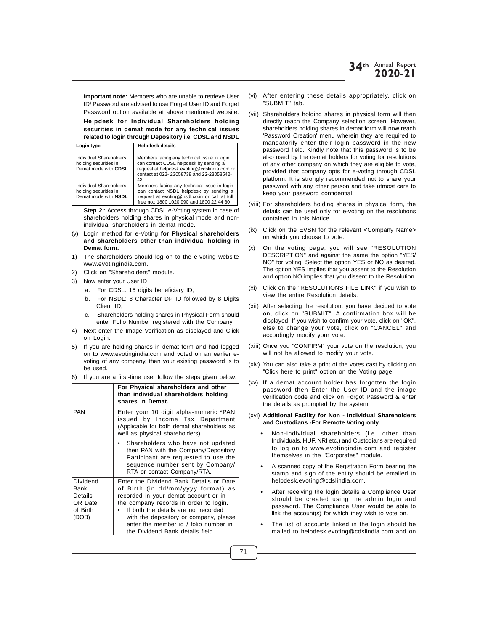**Important note:** Members who are unable to retrieve User ID/ Password are advised to use Forget User ID and Forget Password option available at above mentioned website.

**Helpdesk for Individual Shareholders holding securities in demat mode for any technical issues related to login through Depository i.e. CDSL and NSDL**

| Login type                                                               | <b>Helpdesk details</b>                                                                                                                                                                  |
|--------------------------------------------------------------------------|------------------------------------------------------------------------------------------------------------------------------------------------------------------------------------------|
| Individual Shareholders<br>holding securities in<br>Demat mode with CDSL | Members facing any technical issue in login<br>can contact CDSL helpdesk by sending a<br>request at helpdesk.evoting@cdslindia.com or<br>contact at 022-23058738 and 22-23058542-<br>43. |
| Individual Shareholders<br>holding securities in<br>Demat mode with NSDL | Members facing any technical issue in login<br>can contact NSDL helpdesk by sending a<br>request at evoting@nsdl.co.in or call at toll<br>free no.: 1800 1020 990 and 1800 22 44 30      |

**Step 2:** Access through CDSL e-Voting system in case of shareholders holding shares in physical mode and nonindividual shareholders in demat mode.

- (v) Login method for e-Voting **for Physical shareholders and shareholders other than individual holding in Demat form.**
- 1) The shareholders should log on to the e-voting website www.evotingindia.com.
- 2) Click on "Shareholders" module.
- 3) Now enter your User ID
	- a. For CDSL: 16 digits beneficiary ID,
	- b. For NSDL: 8 Character DP ID followed by 8 Digits Client ID,
	- c. Shareholders holding shares in Physical Form should enter Folio Number registered with the Company.
- 4) Next enter the Image Verification as displayed and Click on Login.
- 5) If you are holding shares in demat form and had logged on to www.evotingindia.com and voted on an earlier evoting of any company, then your existing password is to be used.
- 6) If you are a first-time user follow the steps given below:

|                                                             | For Physical shareholders and other<br>than individual shareholders holding<br>shares in Demat.                                                                                                                                                                                                                                |
|-------------------------------------------------------------|--------------------------------------------------------------------------------------------------------------------------------------------------------------------------------------------------------------------------------------------------------------------------------------------------------------------------------|
| <b>PAN</b>                                                  | Enter your 10 digit alpha-numeric *PAN<br>issued by Income Tax Department<br>(Applicable for both demat shareholders as<br>well as physical shareholders)                                                                                                                                                                      |
|                                                             | Shareholders who have not updated<br>their PAN with the Company/Depository<br>Participant are requested to use the<br>sequence number sent by Company/<br>RTA or contact Company/RTA.                                                                                                                                          |
| Dividend<br>Bank<br>Details<br>OR Date<br>of Birth<br>(DOB) | Enter the Dividend Bank Details or Date<br>of Birth (in dd/mm/yyyy format) as<br>recorded in your demat account or in<br>the company records in order to login.<br>If both the details are not recorded<br>with the depository or company, please<br>enter the member id / folio number in<br>the Dividend Bank details field. |

- (vi) After entering these details appropriately, click on "SUBMIT" tab.
- (vii) Shareholders holding shares in physical form will then directly reach the Company selection screen. However, shareholders holding shares in demat form will now reach 'Password Creation' menu wherein they are required to mandatorily enter their login password in the new password field. Kindly note that this password is to be also used by the demat holders for voting for resolutions of any other company on which they are eligible to vote, provided that company opts for e-voting through CDSL platform. It is strongly recommended not to share your password with any other person and take utmost care to keep your password confidential.
- (viii) For shareholders holding shares in physical form, the details can be used only for e-voting on the resolutions contained in this Notice.
- (ix) Click on the EVSN for the relevant <Company Name> on which you choose to vote.
- (x) On the voting page, you will see "RESOLUTION DESCRIPTION" and against the same the option "YES/ NO" for voting. Select the option YES or NO as desired. The option YES implies that you assent to the Resolution and option NO implies that you dissent to the Resolution.
- (xi) Click on the "RESOLUTIONS FILE LINK" if you wish to view the entire Resolution details.
- (xii) After selecting the resolution, you have decided to vote on, click on "SUBMIT". A confirmation box will be displayed. If you wish to confirm your vote, click on "OK", else to change your vote, click on "CANCEL" and accordingly modify your vote.
- (xiii) Once you "CONFIRM" your vote on the resolution, you will not be allowed to modify your vote.
- (xiv) You can also take a print of the votes cast by clicking on "Click here to print" option on the Voting page.
- (xv) If a demat account holder has forgotten the login password then Enter the User ID and the image verification code and click on Forgot Password & enter the details as prompted by the system.
- (xvi) **Additional Facility for Non Individual Shareholders and Custodians -For Remote Voting only.**
	- Non-Individual shareholders (i.e. other than Individuals, HUF, NRI etc.) and Custodians are required to log on to www.evotingindia.com and register themselves in the "Corporates" module.
	- A scanned copy of the Registration Form bearing the stamp and sign of the entity should be emailed to helpdesk.evoting@cdslindia.com.
	- After receiving the login details a Compliance User should be created using the admin login and password. The Compliance User would be able to link the account(s) for which they wish to vote on.
	- The list of accounts linked in the login should be mailed to helpdesk.evoting@cdslindia.com and on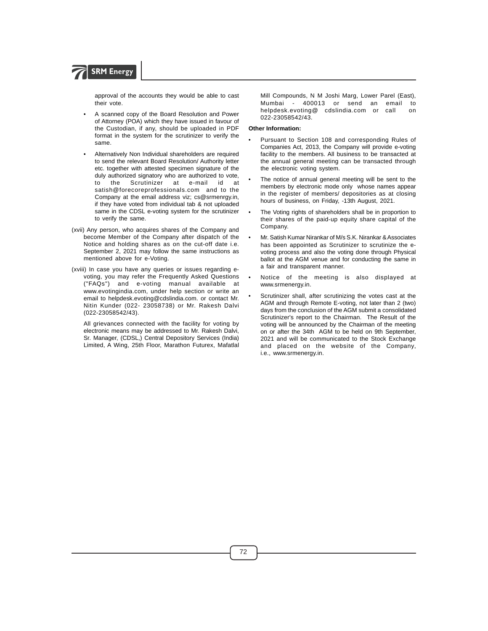# **SRM Energy**

approval of the accounts they would be able to cast their vote.

- A scanned copy of the Board Resolution and Power of Attorney (POA) which they have issued in favour of the Custodian, if any, should be uploaded in PDF format in the system for the scrutinizer to verify the same.
- Alternatively Non Individual shareholders are required to send the relevant Board Resolution/ Authority letter etc. together with attested specimen signature of the duly authorized signatory who are authorized to vote,<br>to the Scrutinizer at e-mail id at to the Scrutinizer at e-mail id at satish@forecoreprofessionals.com and to the Company at the email address viz; cs@srmenrgy.in, if they have voted from individual tab & not uploaded same in the CDSL e-voting system for the scrutinizer to verify the same.
- (xvii) Any person, who acquires shares of the Company and become Member of the Company after dispatch of the Notice and holding shares as on the cut-off date i.e. September 2, 2021 may follow the same instructions as mentioned above for e-Voting.
- (xviii) In case you have any queries or issues regarding evoting, you may refer the Frequently Asked Questions ("FAQs") and e-voting manual available at www.evotingindia.com, under help section or write an email to helpdesk.evoting@cdslindia.com. or contact Mr. Nitin Kunder (022- 23058738) or Mr. Rakesh Dalvi (022-23058542/43).

All grievances connected with the facility for voting by electronic means may be addressed to Mr. Rakesh Dalvi, Sr. Manager, (CDSL,) Central Depository Services (India) Limited, A Wing, 25th Floor, Marathon Futurex, Mafatlal Mill Compounds, N M Joshi Marg, Lower Parel (East), Mumbai - 400013 or send an email to helpdesk.evoting@ cdslindia.com or call on 022-23058542/43.

## **Other Information:**

- Pursuant to Section 108 and corresponding Rules of Companies Act, 2013, the Company will provide e-voting facility to the members. All business to be transacted at the annual general meeting can be transacted through the electronic voting system.
- The notice of annual general meeting will be sent to the members by electronic mode only whose names appear in the register of members/ depositories as at closing hours of business, on Friday, -13th August, 2021.
- The Voting rights of shareholders shall be in proportion to their shares of the paid-up equity share capital of the Company.
- Mr. Satish Kumar Nirankar of M/s S.K. Nirankar & Associates has been appointed as Scrutinizer to scrutinize the evoting process and also the voting done through Physical ballot at the AGM venue and for conducting the same in a fair and transparent manner.
- Notice of the meeting is also displayed at www.srmenergy.in.
- Scrutinizer shall, after scrutinizing the votes cast at the AGM and through Remote E-voting, not later than 2 (two) days from the conclusion of the AGM submit a consolidated Scrutinizer's report to the Chairman. The Result of the voting will be announced by the Chairman of the meeting on or after the 34th AGM to be held on 9th September, 2021 and will be communicated to the Stock Exchange and placed on the website of the Company, i.e., www.srmenergy.in.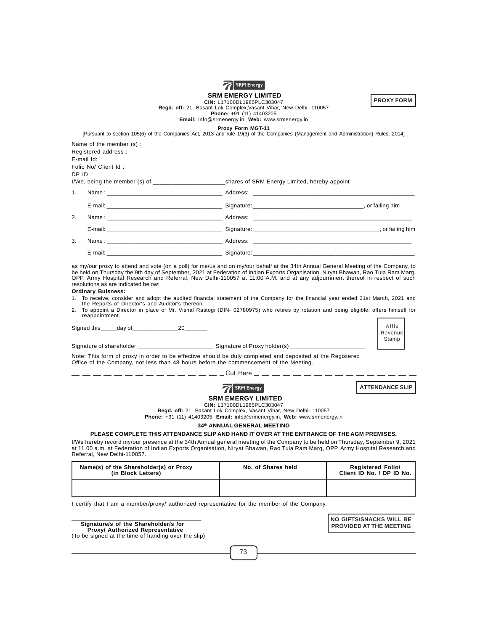

 **SRM EMERGY LIMITED CIN:** L17100DL1985PLC303047

**PROXY FORM**

**Regd. off:** 21, Basant Lok Complex,Vasant Vihar, New Delhi- 110057 **Phone:** +91 (11) 41403205 **Email:** info@srmenergy.in, **Web:** www.srmenergy.in

**Proxy Form MGT-11**

[Pursuant to section 105(6) of the Companies Act, 2013 and rule 19(3) of the Companies (Management and Administration) Rules, 2014]

|         | Name of the member (s) :<br>Registered address: |                                                                                                                                                                                                                               |  |
|---------|-------------------------------------------------|-------------------------------------------------------------------------------------------------------------------------------------------------------------------------------------------------------------------------------|--|
| DP ID : | E-mail Id:<br>Folio No/ Client Id:              |                                                                                                                                                                                                                               |  |
|         |                                                 | I/We, being the member (s) of ________________________________shares of SRM Energy Limited, hereby appoint                                                                                                                    |  |
|         |                                                 |                                                                                                                                                                                                                               |  |
|         |                                                 |                                                                                                                                                                                                                               |  |
| 2.      |                                                 |                                                                                                                                                                                                                               |  |
|         |                                                 |                                                                                                                                                                                                                               |  |
| 3.      |                                                 | Name: Address: Address: Address: Address: Address: Address: Address: Address: Address: Address: Address: Address: Address: Address: Address: Address: Address: Address: Address: Address: Address: Address: Address: Address: |  |
|         |                                                 |                                                                                                                                                                                                                               |  |

as my/our proxy to attend and vote (on a poll) for me/us and on my/our behalf at the 34th Annual General Meeting of the Company, to be held on Thursday the 9th day of September, 2021 at Federation of Indian Exports Organisation, Niryat Bhawan, Rao Tula Ram Marg,<br>OPP. Army Hospital Research and Referral, New Delhi-110057 at 11:00 A.M. and at any adjourn resolutions as are indicated below:

#### **Ordinary Buisness:**

- 1. To receive, consider and adopt the audited financial statement of the Company for the financial year ended 31st March, 2021 and the Reports of Director's and Auditor's thereon.
- 2. To appoint a Director in place of Mr. Vishal Rastogi (DIN- 02780975) who retires by rotation and being eligible, offers himself for reappointment.

Signed this\_\_\_\_\_day of\_\_\_\_\_\_\_\_\_\_\_\_\_\_20\_\_\_\_\_\_\_

| Affix   |
|---------|
| Revenue |
| Stamp   |
|         |

Signature of shareholder \_\_\_\_\_\_\_\_\_\_\_\_\_\_\_\_\_\_\_\_\_\_\_\_\_\_\_\_\_ Signature of Proxy holder(s)

Note: This form of proxy in order to be effective should be duly completed and deposited at the Registered Office of the Company, not less than 48 hours before the commencement of the Meeting.

Cut Here

**ATTENDANCE SLIP**

## **SRM EMERGY LIMITED**

**CIN:** L17100DL1985PLC303047 **Regd. off:** 21, Basant Lok Complex, Vasant Vihar, New Delhi- 110057

**Phone:** +91 (11) 41403205, **Email:** info@srmenergy.in, **Web:** www.srmenergy.in

### **34th ANNUAL GENERAL MEETING**

**PLEASE COMPLETE THIS ATTENDANCE SLIP AND HAND IT OVER AT THE ENTRANCE OF THE AGM PREMISES.**

I/We hereby record my/our presence at the 34th Annual general meeting of the Company to be held on Thursday, September 9, 2021 at 11.00 a.m. at Federation of Indian Exports Organisation, Niryat Bhawan, Rao Tula Ram Marg, OPP. Army Hospital Research and Referral, New Delhi-110057.

| Name(s) of the Shareholder(s) or Proxy<br>(in Block Letters) | No. of Shares held | <b>Registered Folio/</b><br>Client ID No. / DP ID No. |
|--------------------------------------------------------------|--------------------|-------------------------------------------------------|
|                                                              |                    |                                                       |

I certify that I am a member/proxy/ authorized representative for the member of the Company.

| Signature/s of the Shareholder/s /or                |
|-----------------------------------------------------|
| <b>Proxy/ Authorized Representative</b>             |
| (To be signed at the time of handing over the slip) |

**NO GIFTS/SNACKS WILL BE PROVIDED AT THE MEETING**

73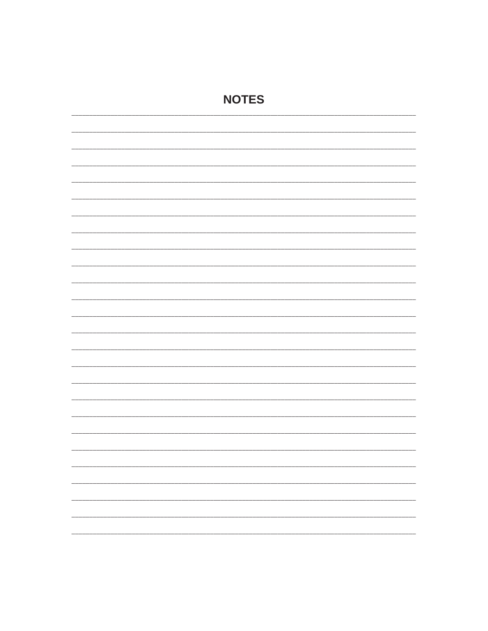# 

# **NOTES**